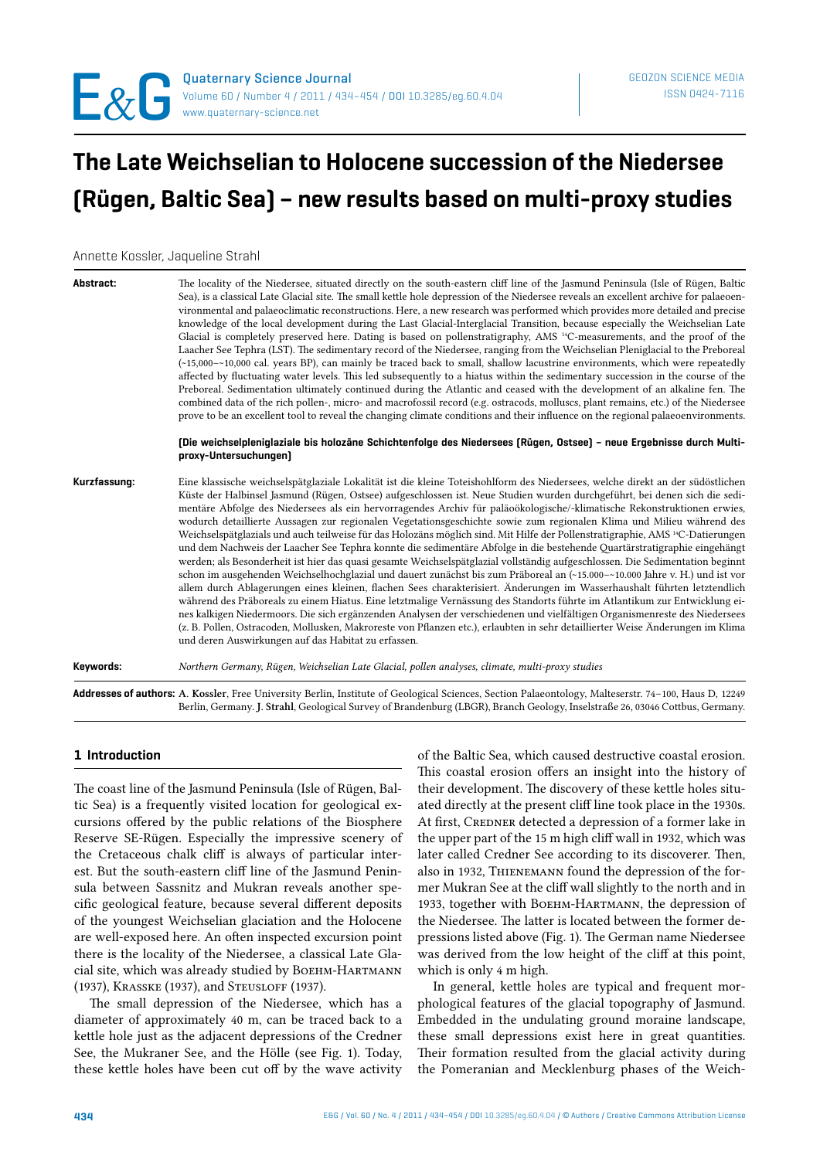# **The Late Weichselian to Holocene succession of the Niedersee (Rügen, Baltic Sea) – new results based on multi-proxy studies**

Annette Kossler, Jaqueline Strahl

| Abstract:    | The locality of the Niedersee, situated directly on the south-eastern cliff line of the Jasmund Peninsula (Isle of Rügen, Baltic<br>Sea), is a classical Late Glacial site. The small kettle hole depression of the Niedersee reveals an excellent archive for palaeoen-<br>vironmental and palaeoclimatic reconstructions. Here, a new research was performed which provides more detailed and precise<br>knowledge of the local development during the Last Glacial-Interglacial Transition, because especially the Weichselian Late<br>Glacial is completely preserved here. Dating is based on pollenstratigraphy, AMS <sup>14</sup> C-measurements, and the proof of the<br>Laacher See Tephra (LST). The sedimentary record of the Niedersee, ranging from the Weichselian Pleniglacial to the Preboreal<br>$(-15,000 - 10,000)$ cal. years BP), can mainly be traced back to small, shallow lacustrine environments, which were repeatedly<br>affected by fluctuating water levels. This led subsequently to a hiatus within the sedimentary succession in the course of the<br>Preboreal. Sedimentation ultimately continued during the Atlantic and ceased with the development of an alkaline fen. The<br>combined data of the rich pollen-, micro- and macrofossil record (e.g. ostracods, molluscs, plant remains, etc.) of the Niedersee<br>prove to be an excellent tool to reveal the changing climate conditions and their influence on the regional palaeoenvironments.<br>[Die weichselpleniglaziale bis holozäne Schichtenfolge des Niedersees [Rügen, Ostsee] - neue Ergebnisse durch Multi-<br>proxy-Untersuchungen] |
|--------------|-------------------------------------------------------------------------------------------------------------------------------------------------------------------------------------------------------------------------------------------------------------------------------------------------------------------------------------------------------------------------------------------------------------------------------------------------------------------------------------------------------------------------------------------------------------------------------------------------------------------------------------------------------------------------------------------------------------------------------------------------------------------------------------------------------------------------------------------------------------------------------------------------------------------------------------------------------------------------------------------------------------------------------------------------------------------------------------------------------------------------------------------------------------------------------------------------------------------------------------------------------------------------------------------------------------------------------------------------------------------------------------------------------------------------------------------------------------------------------------------------------------------------------------------------------------------------------------------------------------------------------------------|
| Kurzfassung: | Eine klassische weichselspätglaziale Lokalität ist die kleine Toteishohlform des Niedersees, welche direkt an der südöstlichen<br>Küste der Halbinsel Jasmund (Rügen, Ostsee) aufgeschlossen ist. Neue Studien wurden durchgeführt, bei denen sich die sedi-<br>mentäre Abfolge des Niedersees als ein hervorragendes Archiv für paläoökologische/-klimatische Rekonstruktionen erwies,<br>wodurch detaillierte Aussagen zur regionalen Vegetationsgeschichte sowie zum regionalen Klima und Milieu während des<br>Weichselspätglazials und auch teilweise für das Holozäns möglich sind. Mit Hilfe der Pollenstratigraphie, AMS <sup>14</sup> C-Datierungen<br>und dem Nachweis der Laacher See Tephra konnte die sedimentäre Abfolge in die bestehende Quartärstratigraphie eingehängt<br>werden; als Besonderheit ist hier das quasi gesamte Weichselspätglazial vollständig aufgeschlossen. Die Sedimentation beginnt<br>schon im ausgehenden Weichselhochglazial und dauert zunächst bis zum Präboreal an (~15.000-~10.000 Jahre v. H.) und ist vor<br>allem durch Ablagerungen eines kleinen, flachen Sees charakterisiert. Änderungen im Wasserhaushalt führten letztendlich<br>während des Präboreals zu einem Hiatus. Eine letztmalige Vernässung des Standorts führte im Atlantikum zur Entwicklung ei-<br>nes kalkigen Niedermoors. Die sich ergänzenden Analysen der verschiedenen und vielfältigen Organismenreste des Niedersees<br>(z. B. Pollen, Ostracoden, Mollusken, Makroreste von Pflanzen etc.), erlaubten in sehr detaillierter Weise Änderungen im Klima<br>und deren Auswirkungen auf das Habitat zu erfassen.   |
| Keywords:    | Northern Germany, Rügen, Weichselian Late Glacial, pollen analyses, climate, multi-proxy studies                                                                                                                                                                                                                                                                                                                                                                                                                                                                                                                                                                                                                                                                                                                                                                                                                                                                                                                                                                                                                                                                                                                                                                                                                                                                                                                                                                                                                                                                                                                                          |
|              | are the result and contained and an activities                                                                                                                                                                                                                                                                                                                                                                                                                                                                                                                                                                                                                                                                                                                                                                                                                                                                                                                                                                                                                                                                                                                                                                                                                                                                                                                                                                                                                                                                                                                                                                                            |

**Addresses of authors:** A. Kossler, Free University Berlin, Institute of Geological Sciences, Section Palaeontology, Malteserstr. 74–100, Haus D, 12249 Berlin, Germany. J. Strahl, Geological Survey of Brandenburg (LBGR), Branch Geology, Inselstraße 26, 03046 Cottbus, Germany.

## **1 Introduction**

The coast line of the Jasmund Peninsula (Isle of Rügen, Baltic Sea) is a frequently visited location for geological excursions offered by the public relations of the Biosphere Reserve SE-Rügen. Especially the impressive scenery of the Cretaceous chalk cliff is always of particular interest. But the south-eastern cliff line of the Jasmund Peninsula between Sassnitz and Mukran reveals another specific geological feature, because several different deposits of the youngest Weichselian glaciation and the Holocene are well-exposed here. An often inspected excursion point there is the locality of the Niedersee, a classical Late Glacial site, which was already studied by BOEHM-HARTMANN (1937), Krasske (1937), and Steusloff (1937).

The small depression of the Niedersee, which has a diameter of approximately 40 m, can be traced back to a kettle hole just as the adjacent depressions of the Credner See, the Mukraner See, and the Hölle (see Fig. 1). Today, these kettle holes have been cut off by the wave activity

of the Baltic Sea, which caused destructive coastal erosion. This coastal erosion offers an insight into the history of their development. The discovery of these kettle holes situated directly at the present cliff line took place in the 1930s. At first, CREDNER detected a depression of a former lake in the upper part of the 15 m high cliff wall in 1932, which was later called Credner See according to its discoverer. Then, also in 1932, Thienemann found the depression of the former Mukran See at the cliff wall slightly to the north and in 1933, together with Военм-Навтмани, the depression of the Niedersee. The latter is located between the former depressions listed above (Fig. 1). The German name Niedersee was derived from the low height of the cliff at this point, which is only 4 m high.

In general, kettle holes are typical and frequent morphological features of the glacial topography of Jasmund. Embedded in the undulating ground moraine landscape, these small depressions exist here in great quantities. Their formation resulted from the glacial activity during the Pomeranian and Mecklenburg phases of the Weich-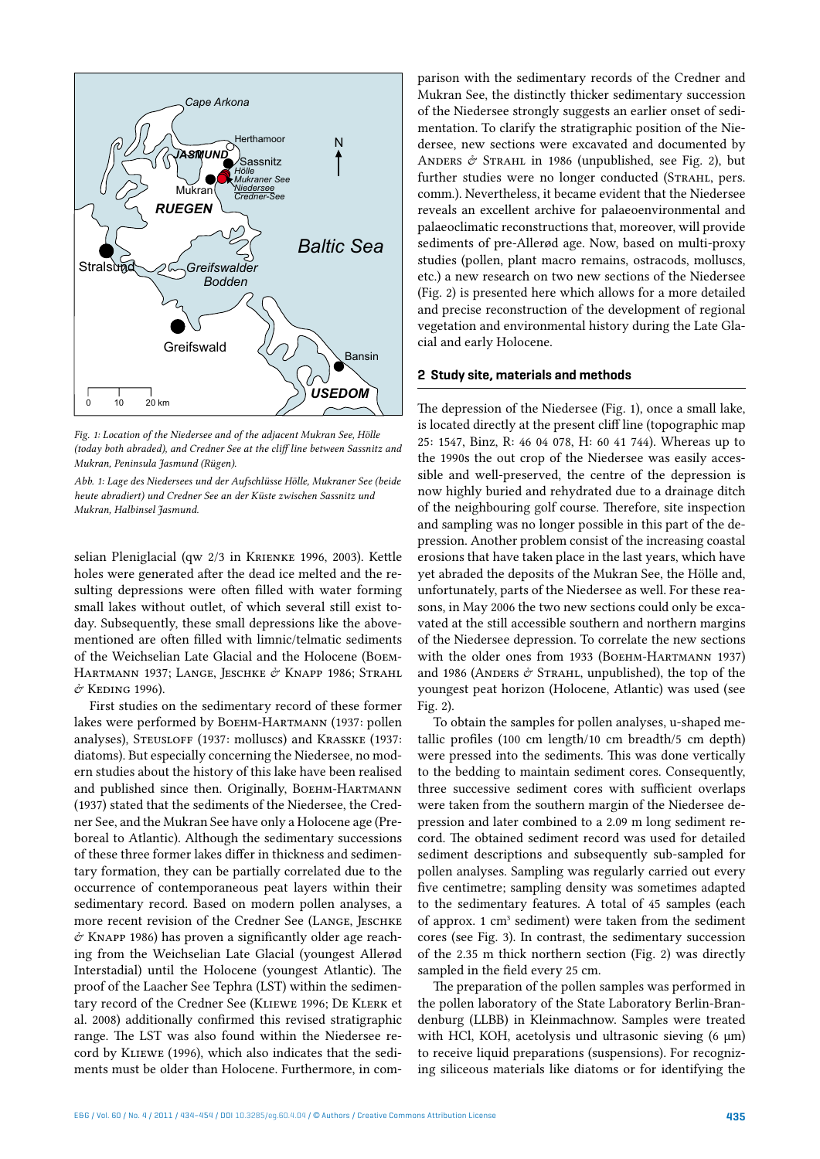

*Fig. 1: Location of the Niedersee and of the adjacent Mukran See, Hölle (today both abraded), and Credner See at the cliff line between Sassnitz and Mukran, Peninsula Jasmund (Rügen).*

*Abb. 1: Lage des Niedersees und der Aufschlüsse Hölle, Mukraner See (beide heute abradiert) und Credner See an der Küste zwischen Sassnitz und Mukran, Halbinsel Jasmund.*

selian Pleniglacial (qw 2/3 in Krienke 1996, 2003). Kettle holes were generated after the dead ice melted and the resulting depressions were often filled with water forming small lakes without outlet, of which several still exist today. Subsequently, these small depressions like the abovementioned are often filled with limnic/telmatic sediments of the Weichselian Late Glacial and the Holocene (Boem-Hartmann 1937; Lange, Jeschke & Knapp 1986; Strahl & Keding 1996).

First studies on the sedimentary record of these former lakes were performed by Boehm-Hartmann (1937: pollen analyses), STEUSLOFF (1937: molluscs) and KRASSKE (1937: diatoms). But especially concerning the Niedersee, no modern studies about the history of this lake have been realised and published since then. Originally, BOEHM-HARTMANN (1937) stated that the sediments of the Niedersee, the Credner See, and the Mukran See have only a Holocene age (Preboreal to Atlantic). Although the sedimentary successions of these three former lakes differ in thickness and sedimentary formation, they can be partially correlated due to the occurrence of contemporaneous peat layers within their sedimentary record. Based on modern pollen analyses, a more recent revision of the Credner See (LANGE, JESCHKE  $\acute{\sigma}$  KNAPP 1986) has proven a significantly older age reaching from the Weichselian Late Glacial (youngest Allerød Interstadial) until the Holocene (youngest Atlantic). The proof of the Laacher See Tephra (LST) within the sedimentary record of the Credner See (Kliewe 1996; De Klerk et al. 2008) additionally confirmed this revised stratigraphic range. The LST was also found within the Niedersee record by Kliewe (1996), which also indicates that the sediments must be older than Holocene. Furthermore, in com-

parison with the sedimentary records of the Credner and Mukran See, the distinctly thicker sedimentary succession of the Niedersee strongly suggests an earlier onset of sedimentation. To clarify the stratigraphic position of the Niedersee, new sections were excavated and documented by ANDERS  $\mathcal O$  STRAHL in 1986 (unpublished, see Fig. 2), but further studies were no longer conducted (STRAHL, pers. comm.). Nevertheless, it became evident that the Niedersee reveals an excellent archive for palaeoenvironmental and palaeoclimatic reconstructions that, moreover, will provide sediments of pre-Allerød age. Now, based on multi-proxy studies (pollen, plant macro remains, ostracods, molluscs, etc.) a new research on two new sections of the Niedersee (Fig. 2) is presented here which allows for a more detailed and precise reconstruction of the development of regional vegetation and environmental history during the Late Glacial and early Holocene.

#### **2 Study site, materials and methods**

The depression of the Niedersee (Fig. 1), once a small lake, is located directly at the present cliff line (topographic map 25: 1547, Binz, R: 46 04 078, H: 60 41 744). Whereas up to the 1990s the out crop of the Niedersee was easily accessible and well-preserved, the centre of the depression is now highly buried and rehydrated due to a drainage ditch of the neighbouring golf course. Therefore, site inspection and sampling was no longer possible in this part of the depression. Another problem consist of the increasing coastal erosions that have taken place in the last years, which have yet abraded the deposits of the Mukran See, the Hölle and, unfortunately, parts of the Niedersee as well. For these reasons, in May 2006 the two new sections could only be excavated at the still accessible southern and northern margins of the Niedersee depression. To correlate the new sections with the older ones from 1933 (BOEHM-HARTMANN 1937) and 1986 (ANDERS  $\acute{\sigma}$  STRAHL, unpublished), the top of the youngest peat horizon (Holocene, Atlantic) was used (see Fig. 2).

To obtain the samples for pollen analyses, u-shaped metallic profiles (100 cm length/10 cm breadth/5 cm depth) were pressed into the sediments. This was done vertically to the bedding to maintain sediment cores. Consequently, three successive sediment cores with sufficient overlaps were taken from the southern margin of the Niedersee depression and later combined to a 2.09 m long sediment record. The obtained sediment record was used for detailed sediment descriptions and subsequently sub-sampled for pollen analyses. Sampling was regularly carried out every five centimetre; sampling density was sometimes adapted to the sedimentary features. A total of 45 samples (each of approx. 1 cm<sup>3</sup> sediment) were taken from the sediment cores (see Fig. 3). In contrast, the sedimentary succession of the 2.35 m thick northern section (Fig. 2) was directly sampled in the field every 25 cm.

The preparation of the pollen samples was performed in the pollen laboratory of the State Laboratory Berlin-Brandenburg (LLBB) in Kleinmachnow. Samples were treated with HCl, KOH, acetolysis und ultrasonic sieving  $(6 \mu m)$ to receive liquid preparations (suspensions). For recognizing siliceous materials like diatoms or for identifying the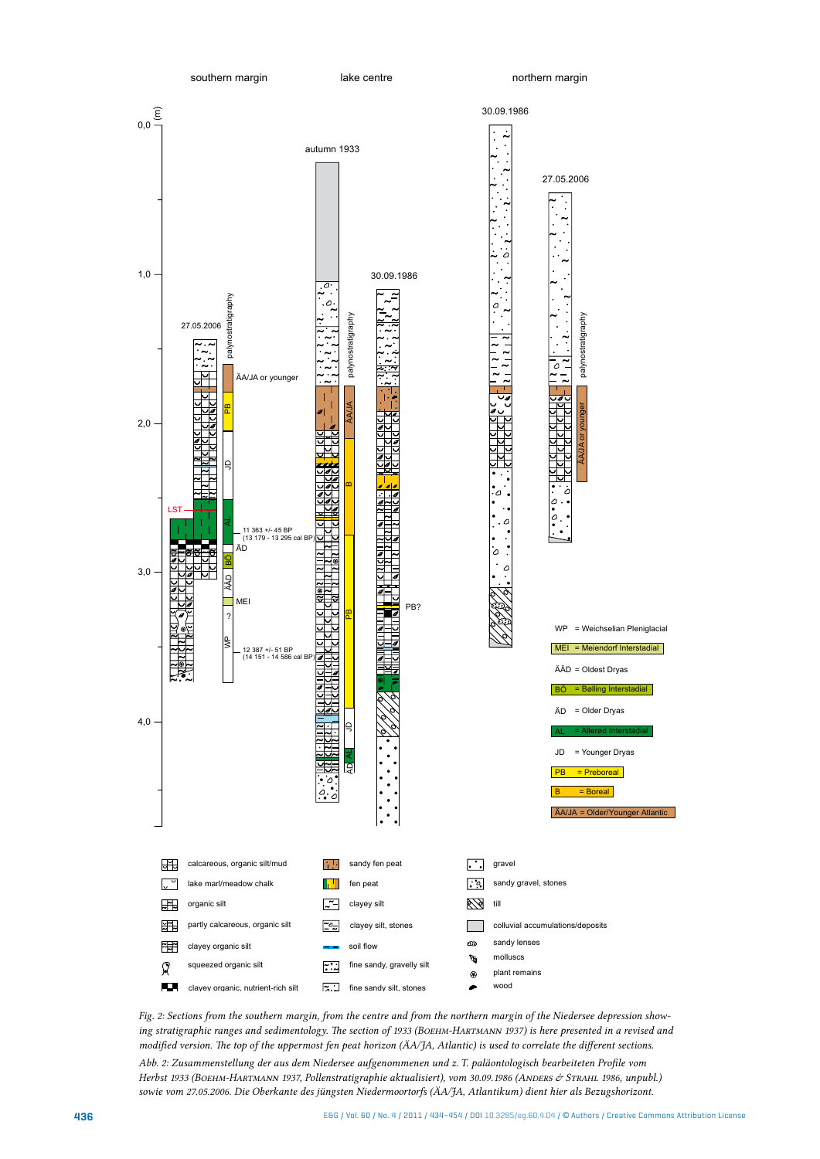

lake centre

northern margin



*Fig. 2: Sections from the southern margin, from the centre and from the northern margin of the Niedersee depression showing stratigraphic ranges and sedimentology. The section of 1933 (BOEHM-HARTMANN 1937) is here presented in a revised and modified version. The top of the uppermost fen peat horizon (ÄA/JA, Atlantic) is used to correlate the different sections.* 

*Abb. 2: Zusammenstellung der aus dem Niedersee aufgenommenen und z. T. paläontologisch bearbeiteten Profile vom*  Herbst 1933 (Военм-Нактмаnn 1937, Pollenstratigraphie aktualisiert), vom 30.09.1986 (Аноекs & Sтканl 1986, unpubl.) *sowie vom 27.05.2006. Die Oberkante des jüngsten Niedermoortorfs (ÄA/JA, Atlantikum) dient hier als Bezugshorizont.*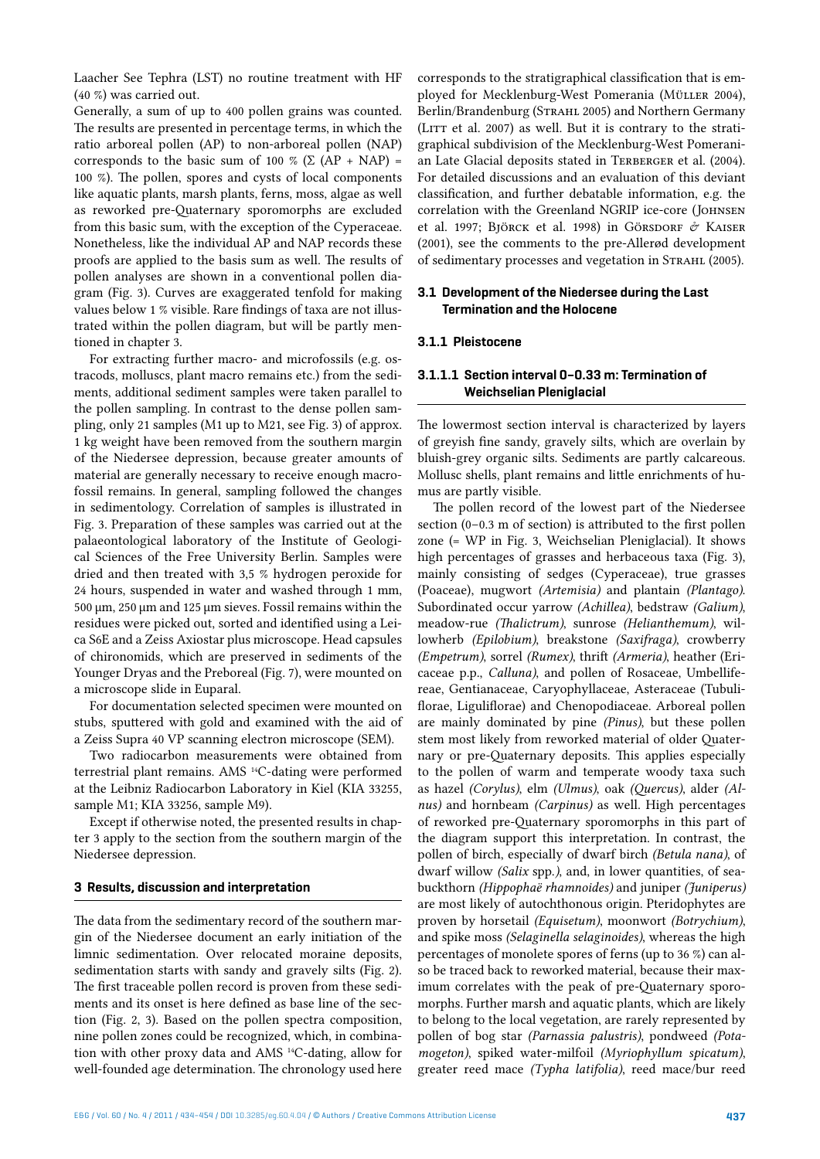Laacher See Tephra (LST) no routine treatment with HF (40 %) was carried out.

Generally, a sum of up to 400 pollen grains was counted. The results are presented in percentage terms, in which the ratio arboreal pollen (AP) to non-arboreal pollen (NAP) corresponds to the basic sum of 100 % ( $\Sigma$  (AP + NAP) = 100 %). The pollen, spores and cysts of local components like aquatic plants, marsh plants, ferns, moss, algae as well as reworked pre-Quaternary sporomorphs are excluded from this basic sum, with the exception of the Cyperaceae. Nonetheless, like the individual AP and NAP records these proofs are applied to the basis sum as well. The results of pollen analyses are shown in a conventional pollen diagram (Fig. 3). Curves are exaggerated tenfold for making values below 1 % visible. Rare findings of taxa are not illustrated within the pollen diagram, but will be partly mentioned in chapter 3.

For extracting further macro- and microfossils (e.g. ostracods, molluscs, plant macro remains etc.) from the sediments, additional sediment samples were taken parallel to the pollen sampling. In contrast to the dense pollen sampling, only 21 samples (M1 up to M21, see Fig. 3) of approx. 1 kg weight have been removed from the southern margin of the Niedersee depression, because greater amounts of material are generally necessary to receive enough macrofossil remains. In general, sampling followed the changes in sedimentology. Correlation of samples is illustrated in Fig. 3. Preparation of these samples was carried out at the palaeontological laboratory of the Institute of Geological Sciences of the Free University Berlin. Samples were dried and then treated with 3,5 % hydrogen peroxide for 24 hours, suspended in water and washed through 1 mm, 500 µm, 250 µm and 125 µm sieves. Fossil remains within the residues were picked out, sorted and identified using a Leica S6E and a Zeiss Axiostar plus microscope. Head capsules of chironomids, which are preserved in sediments of the Younger Dryas and the Preboreal (Fig. 7), were mounted on a microscope slide in Euparal.

For documentation selected specimen were mounted on stubs, sputtered with gold and examined with the aid of a Zeiss Supra 40 VP scanning electron microscope (SEM).

Two radiocarbon measurements were obtained from terrestrial plant remains. AMS 14C-dating were performed at the Leibniz Radiocarbon Laboratory in Kiel (KIA 33255, sample M1; KIA 33256, sample M9).

Except if otherwise noted, the presented results in chapter 3 apply to the section from the southern margin of the Niedersee depression.

#### **3 Results, discussion and interpretation**

The data from the sedimentary record of the southern margin of the Niedersee document an early initiation of the limnic sedimentation. Over relocated moraine deposits, sedimentation starts with sandy and gravely silts (Fig. 2). The first traceable pollen record is proven from these sediments and its onset is here defined as base line of the section (Fig. 2, 3). Based on the pollen spectra composition, nine pollen zones could be recognized, which, in combination with other proxy data and AMS 14C-dating, allow for well-founded age determination. The chronology used here

corresponds to the stratigraphical classification that is employed for Mecklenburg-West Pomerania (Müller 2004), Berlin/Brandenburg (STRAHL 2005) and Northern Germany (LITT et al. 2007) as well. But it is contrary to the stratigraphical subdivision of the Mecklenburg-West Pomeranian Late Glacial deposits stated in TERBERGER et al. (2004). For detailed discussions and an evaluation of this deviant classification, and further debatable information, e.g. the correlation with the Greenland NGRIP ice-core (Johnsen et al. 1997; Björck et al. 1998) in Görsdorf & KAISER (2001), see the comments to the pre-Allerød development of sedimentary processes and vegetation in STRAHL (2005).

## **3.1 Development of the Niedersee during the Last Termination and the Holocene**

## **3.1.1 Pleistocene**

## **3.1.1.1 Section interval 0–0.33 m: Termination of Weichselian Pleniglacial**

The lowermost section interval is characterized by layers of greyish fine sandy, gravely silts, which are overlain by bluish-grey organic silts. Sediments are partly calcareous. Mollusc shells, plant remains and little enrichments of humus are partly visible.

The pollen record of the lowest part of the Niedersee section (0–0.3 m of section) is attributed to the first pollen zone (= WP in Fig. 3, Weichselian Pleniglacial). It shows high percentages of grasses and herbaceous taxa (Fig. 3), mainly consisting of sedges (Cyperaceae), true grasses (Poaceae), mugwort *(Artemisia)* and plantain *(Plantago)*. Subordinated occur yarrow *(Achillea)*, bedstraw *(Galium)*, meadow-rue *(Thalictrum)*, sunrose *(Helianthemum)*, willowherb *(Epilobium)*, breakstone *(Saxifraga)*, crowberry *(Empetrum)*, sorrel *(Rumex)*, thrift *(Armeria)*, heather (Ericaceae p.p., *Calluna)*, and pollen of Rosaceae, Umbellifereae, Gentianaceae, Caryophyllaceae, Asteraceae (Tubuliflorae, Liguliflorae) and Chenopodiaceae. Arboreal pollen are mainly dominated by pine *(Pinus)*, but these pollen stem most likely from reworked material of older Quaternary or pre-Quaternary deposits. This applies especially to the pollen of warm and temperate woody taxa such as hazel *(Corylus)*, elm *(Ulmus)*, oak *(Quercus)*, alder *(Alnus)* and hornbeam *(Carpinus)* as well. High percentages of reworked pre-Quaternary sporomorphs in this part of the diagram support this interpretation. In contrast, the pollen of birch, especially of dwarf birch *(Betula nana)*, of dwarf willow *(Salix* spp.*)*, and, in lower quantities, of seabuckthorn *(Hippophaë rhamnoides)* and juniper *(Juniperus)* are most likely of autochthonous origin. Pteridophytes are proven by horsetail *(Equisetum)*, moonwort *(Botrychium)*, and spike moss *(Selaginella selaginoides)*, whereas the high percentages of monolete spores of ferns (up to 36 %) can also be traced back to reworked material, because their maximum correlates with the peak of pre-Quaternary sporomorphs. Further marsh and aquatic plants, which are likely to belong to the local vegetation, are rarely represented by pollen of bog star *(Parnassia palustris)*, pondweed *(Potamogeton)*, spiked water-milfoil *(Myriophyllum spicatum)*, greater reed mace *(Typha latifolia)*, reed mace/bur reed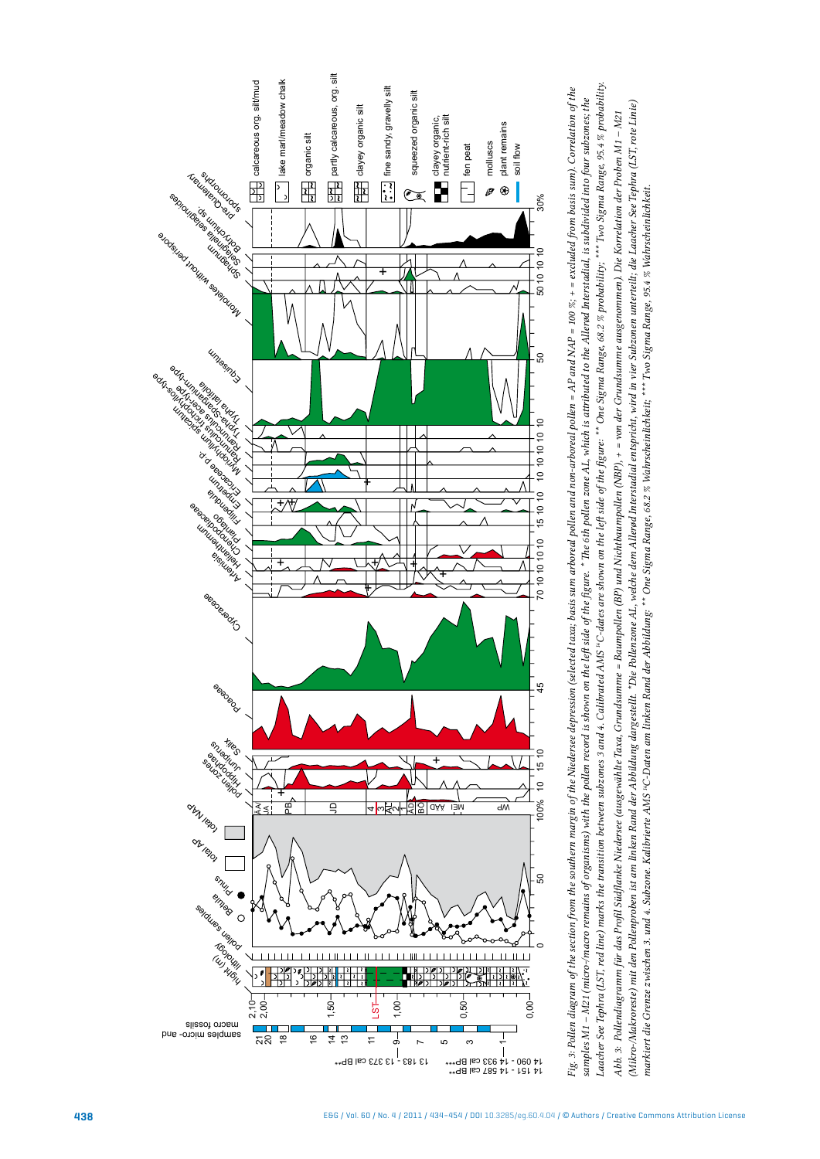



narkiert die Grenze zwischen 3. und 4. Subzone. Kalibrierte AMS "C-Daten am linken Rang" \*\* One Sigma Range, 68.2 % Wahrscheinlichkeit, \*\*\* Two Sigma Range, 95.4 % Wahrscheinlichkeit. *markiert die Grenze zwischen 3. und 4. Subzone. Kalibrierte AMS 14C-Daten am linken Rand der Abbildung: \*\* One Sigma Range, 68.2 % Wahrscheinlichkeit; \*\*\* Two Sigma Range, 95.4 % Wahrscheinlichkeit.*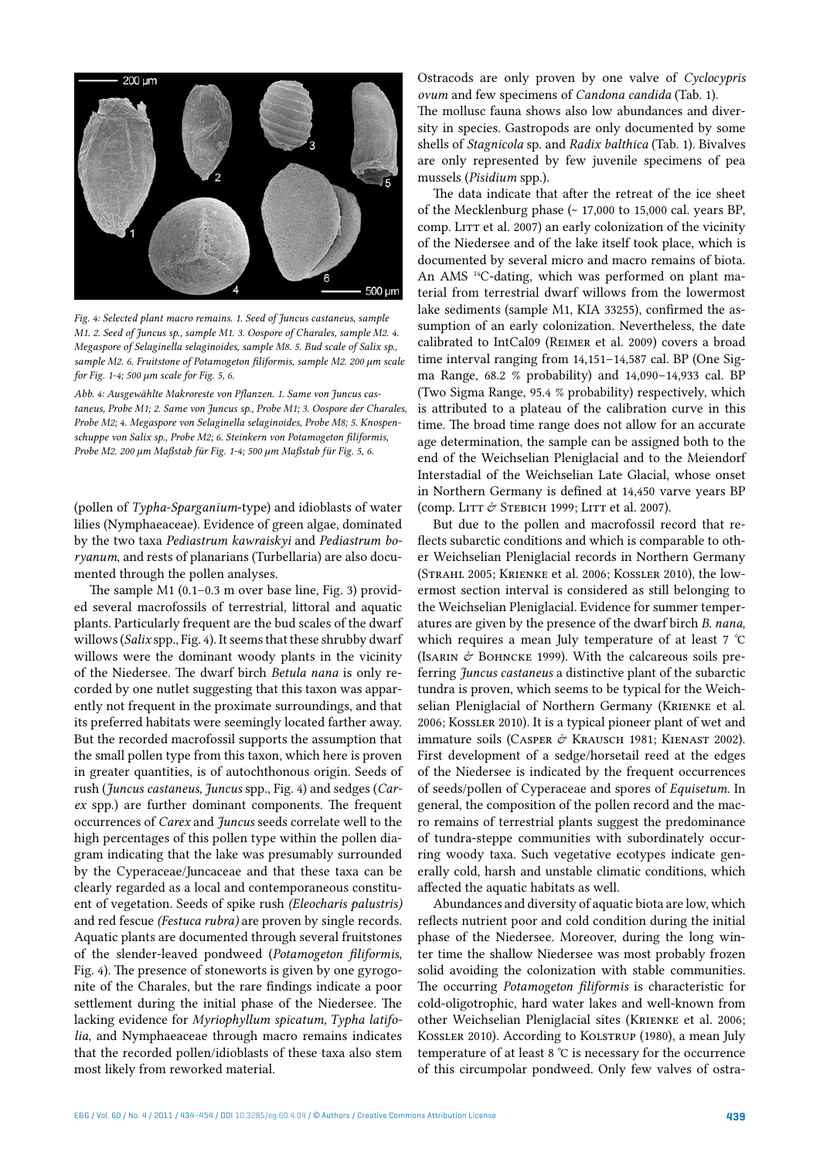

*Fig. 4: Selected plant macro remains. 1. Seed of Juncus castaneus, sample M1. 2. Seed of Juncus sp., sample M1. 3. Oospore of Charales, sample M2. 4. Megaspore of Selaginella selaginoides, sample M8. 5. Bud scale of Salix sp., sample M2. 6. Fruitstone of Potamogeton filiformis, sample M2. 200 µm scale for Fig. 1-4; 500 µm scale for Fig. 5, 6.*

*Abb. 4: Ausgewählte Makroreste von Pflanzen. 1. Same von Juncus castaneus, Probe M1; 2. Same von Juncus sp., Probe M1; 3. Oospore der Charales, Probe M2; 4. Megaspore von Selaginella selaginoides, Probe M8; 5. Knospenschuppe von Salix sp., Probe M2; 6. Steinkern von Potamogeton filiformis, Probe M2. 200 µm Maßstab für Fig. 1-4; 500 µm Maßstab für Fig. 5, 6.*

(pollen of *Typha-Sparganium*-type) and idioblasts of water lilies (Nymphaeaceae). Evidence of green algae, dominated by the two taxa *Pediastrum kawraiskyi* and *Pediastrum boryanum*, and rests of planarians (Turbellaria) are also documented through the pollen analyses.

The sample M1 (0.1–0.3 m over base line, Fig. 3) provided several macrofossils of terrestrial, littoral and aquatic plants. Particularly frequent are the bud scales of the dwarf willows (*Salix* spp., Fig. 4). It seems that these shrubby dwarf willows were the dominant woody plants in the vicinity of the Niedersee. The dwarf birch *Betula nana* is only recorded by one nutlet suggesting that this taxon was apparently not frequent in the proximate surroundings, and that its preferred habitats were seemingly located farther away. But the recorded macrofossil supports the assumption that the small pollen type from this taxon, which here is proven in greater quantities, is of autochthonous origin. Seeds of rush (*Juncus castaneus, Juncus* spp., Fig. 4) and sedges (*Carex* spp.) are further dominant components. The frequent occurrences of *Carex* and *Juncus* seeds correlate well to the high percentages of this pollen type within the pollen diagram indicating that the lake was presumably surrounded by the Cyperaceae/Juncaceae and that these taxa can be clearly regarded as a local and contemporaneous constituent of vegetation. Seeds of spike rush *(Eleocharis palustris)* and red fescue *(Festuca rubra)* are proven by single records. Aquatic plants are documented through several fruitstones of the slender-leaved pondweed (*Potamogeton filiformis*, Fig. 4). The presence of stoneworts is given by one gyrogonite of the Charales, but the rare findings indicate a poor settlement during the initial phase of the Niedersee. The lacking evidence for *Myriophyllum spicatum, Typha latifolia*, and Nymphaeaceae through macro remains indicates that the recorded pollen/idioblasts of these taxa also stem most likely from reworked material.

Ostracods are only proven by one valve of *Cyclocypris ovum* and few specimens of *Candona candida* (Tab. 1). The mollusc fauna shows also low abundances and diversity in species. Gastropods are only documented by some shells of *Stagnicola* sp. and *Radix balthica* (Tab. 1). Bivalves are only represented by few juvenile specimens of pea mussels (*Pisidium* spp.).

The data indicate that after the retreat of the ice sheet of the Mecklenburg phase (~ 17,000 to 15,000 cal. years BP, comp. LITT et al. 2007) an early colonization of the vicinity of the Niedersee and of the lake itself took place, which is documented by several micro and macro remains of biota. An AMS<sup>14</sup>C-dating, which was performed on plant material from terrestrial dwarf willows from the lowermost lake sediments (sample M1, KIA 33255), confirmed the assumption of an early colonization. Nevertheless, the date calibrated to IntCal09 (Reimer et al. 2009) covers a broad time interval ranging from 14,151–14,587 cal. BP (One Sigma Range, 68.2 % probability) and 14,090–14,933 cal. BP (Two Sigma Range, 95.4 % probability) respectively, which is attributed to a plateau of the calibration curve in this time. The broad time range does not allow for an accurate age determination, the sample can be assigned both to the end of the Weichselian Pleniglacial and to the Meiendorf Interstadial of the Weichselian Late Glacial, whose onset in Northern Germany is defined at 14,450 varve years BP (comp. LITT & STEBICH 1999; LITT et al. 2007).

But due to the pollen and macrofossil record that reflects subarctic conditions and which is comparable to other Weichselian Pleniglacial records in Northern Germany (Strahl 2005; Krienke et al. 2006; Kossler 2010), the lowermost section interval is considered as still belonging to the Weichselian Pleniglacial. Evidence for summer temperatures are given by the presence of the dwarf birch *B. nana*, which requires a mean July temperature of at least 7 °C (ISARIN  $\dot{\mathcal{O}}$  BOHNCKE 1999). With the calcareous soils preferring *Juncus castaneus* a distinctive plant of the subarctic tundra is proven, which seems to be typical for the Weichselian Pleniglacial of Northern Germany (Krienke et al. 2006; Kossler 2010). It is a typical pioneer plant of wet and immature soils (CASPER & KRAUSCH 1981; KIENAST 2002). First development of a sedge/horsetail reed at the edges of the Niedersee is indicated by the frequent occurrences of seeds/pollen of Cyperaceae and spores of *Equisetum*. In general, the composition of the pollen record and the macro remains of terrestrial plants suggest the predominance of tundra-steppe communities with subordinately occurring woody taxa. Such vegetative ecotypes indicate generally cold, harsh and unstable climatic conditions, which affected the aquatic habitats as well.

Abundances and diversity of aquatic biota are low, which reflects nutrient poor and cold condition during the initial phase of the Niedersee. Moreover, during the long winter time the shallow Niedersee was most probably frozen solid avoiding the colonization with stable communities. The occurring *Potamogeton filiformis* is characteristic for cold-oligotrophic, hard water lakes and well-known from other Weichselian Pleniglacial sites (Krienke et al. 2006; Kossler 2010). According to Kolstrup (1980), a mean July temperature of at least 8 °C is necessary for the occurrence of this circumpolar pondweed. Only few valves of ostra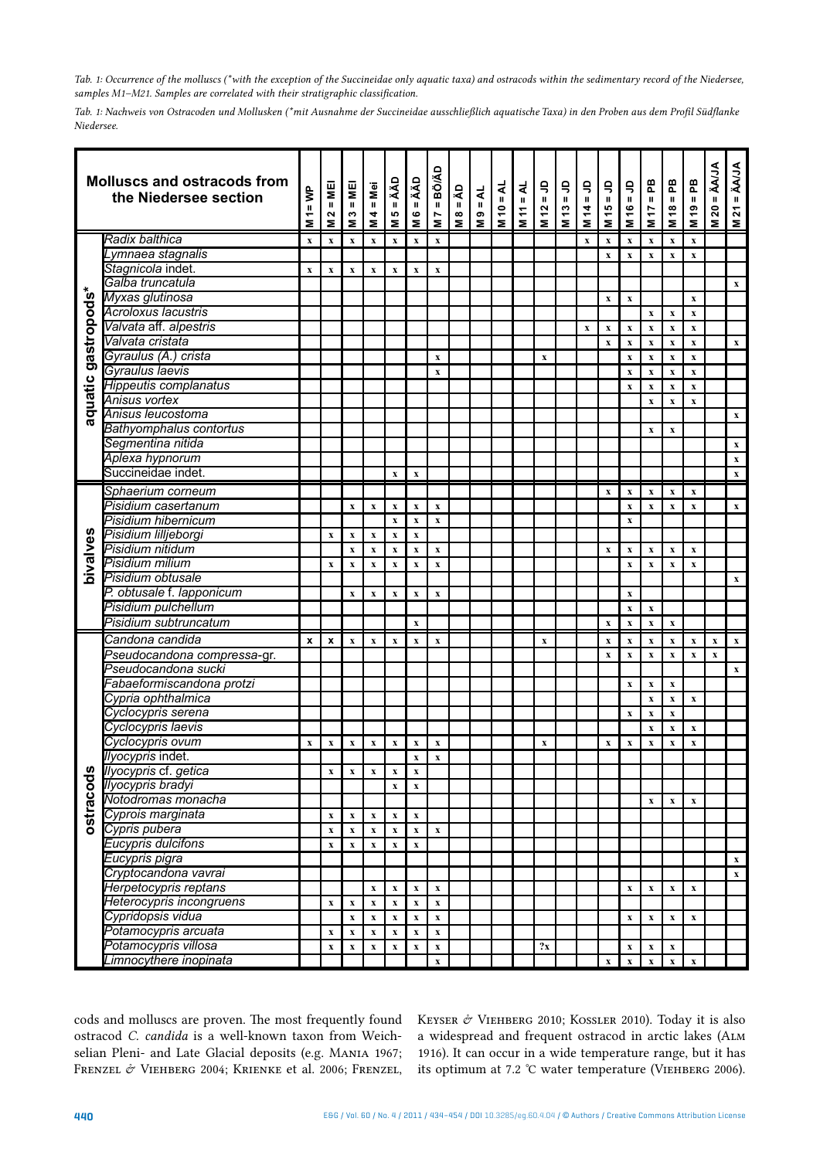*Tab. 1: Occurrence of the molluscs (\*with the exception of the Succineidae only aquatic taxa) and ostracods within the sedimentary record of the Niedersee, samples M1–M21. Samples are correlated with their stratigraphic classification.* 

*Tab. 1: Nachweis von Ostracoden und Mollusken (\*mit Ausnahme der Succineidae ausschließlich aquatische Taxa) in den Proben aus dem Profil Südflanke Niedersee.* 

| <b>AUA</b><br><b>BÖ/ÄD</b><br><b>Molluscs and ostracods from</b><br>ÄÄD<br>ÄÄD<br>æ<br>æ<br>æ<br>$\mathsf{S}$<br>$\mathord{\mathop{\mathsf{g}}\nolimits}$<br>$\mathsf{S}$<br>۹<br>S<br>$=AL$<br>4<br>₩.<br>Mei<br>띨 <br>$\frac{1}{2}$<br>$4 = NP$<br>$\overline{\mathbf{A}}$<br>the Niedersee section<br>$\mathbf{H}$<br>$\mathbf H$<br>$\mathbf{u}$<br>$\mathbf H$<br>$\mathbf{H}$<br>$\mathbf H$<br>$\mathbf H$<br>$\mathbf{H}$<br>$\mathbf{u}$<br>$\mathbf{u}$<br>$\mathbf H$<br>$\mathbf{u}$<br>$\mathbf H$<br>$\mathbf{u}$<br>$\mathbf H$<br>$\mathbf H$<br>Ш<br>$\overline{20}$<br>45<br>Ş<br>$\frac{6}{5}$<br>$\frac{19}{2}$<br>$\tilde{a}$<br>$\ddot{5}$<br>$\dot{a}$<br>17<br>$\overset{\circ}{\tau}$<br>$\div$<br>S<br>4<br>ю<br>$\boldsymbol{\infty}$<br>e M<br>$\boldsymbol{\sim}$<br>ဖ<br>Ľ<br>$\overline{\mathbf{z}}$<br>Ξ<br>$\overline{\mathbf{z}}$<br>έ<br>$\overline{\mathbf{z}}$<br>Ξ<br>$\overline{\mathbf{z}}$<br>Ξ<br>Σ<br>Σ<br>Σ<br>Σ<br>Σ<br>Σ<br>Σ<br>Σ<br>Σ<br>Σ<br>Radix balthica<br>$\boldsymbol{\mathrm{x}}$<br>$\mathbf x$<br>$\mathbf x$<br>$\mathbf x$<br>$\mathbf x$<br>$\mathbf x$<br>$\mathbf x$<br>$\mathbf x$<br>$\mathbf x$<br>$\mathbf x$<br>$\mathbf x$<br>$\mathbf x$<br>$\mathbf x$<br>Lymnaea stagnalis<br>$\mathbf x$<br>$\mathbf x$<br>$\mathbf x$<br>$\mathbf x$<br>$\mathbf{x}$<br>Stagnicola indet.<br>$\mathbf{x}$<br>$\mathbf x$<br>$\mathbf x$<br>$\mathbf x$<br>$\mathbf x$<br>$\mathbf x$<br>$\mathbf x$<br>Galba truncatula<br>gastropods*<br>Myxas glutinosa<br>$\mathbf x$<br>$\mathbf x$<br>$\mathbf{x}$<br>Acroloxus lacustris<br>$\mathbf x$<br>$\mathbf x$<br>$\boldsymbol{\mathrm{x}}$<br>Valvata aff. alpestris<br>$\mathbf x$<br>$\boldsymbol{\mathrm{x}}$<br>$\mathbf x$<br>$\mathbf x$<br>$\mathbf x$<br>$\mathbf x$<br>Valvata cristata<br>$\mathbf x$<br>$\mathbf x$<br>$\boldsymbol{\mathrm{X}}$<br>$\boldsymbol{\mathrm{x}}$<br>$\mathbf x$<br>Gyraulus (A.) crista<br>$\mathbf x$<br>$\mathbf x$<br>$\boldsymbol{\mathrm{X}}$<br>$\boldsymbol{\mathrm{x}}$<br>$\mathbf x$<br>$\mathbf x$<br>Gyraulus laevis<br>$\mathbf x$<br>$\boldsymbol{\mathrm{X}}$<br>$\boldsymbol{\mathrm{x}}$<br>$\mathbf x$<br>$\mathbf x$<br>aquatic<br>Hippeutis complanatus<br>$\mathbf x$<br>$\boldsymbol{\mathrm{x}}$<br>$\mathbf x$<br>$\mathbf x$<br>Anisus vortex<br>$\mathbf x$<br>$\mathbf{x}$<br>$\mathbf{x}$<br>Anisus leucostoma<br><b>Bathyomphalus contortus</b><br>$\boldsymbol{\mathrm{X}}$<br>$\mathbf x$<br>Segmentina nitida<br>Aplexa hypnorum<br>Succineidae indet.<br>$\mathbf x$<br>$\mathbf x$<br>Sphaerium corneum<br>$\mathbf x$<br>$\mathbf x$<br>$\mathbf x$<br>$\mathbf x$<br>$\mathbf X$<br>Pisidium casertanum<br>$\boldsymbol{\mathrm{x}}$<br>$\mathbf x$<br>$\mathbf X$<br>$\mathbf x$<br>$\boldsymbol{\mathrm{x}}$<br>$\mathbf x$<br>$\mathbf x$<br>$\boldsymbol{\mathrm{X}}$<br>$\boldsymbol{\mathrm{x}}$<br>Pisidium hibernicum<br>$\mathbf x$<br>$\mathbf x$<br>$\mathbf x$<br>$\mathbf x$<br>bivalves<br>Pisidium lilljeborgi<br>$\mathbf x$<br>$\mathbf x$<br>$\mathbf x$<br>$\mathbf x$<br>$\mathbf X$<br>Pisidium nitidum<br>$\boldsymbol{\mathrm{X}}$<br>$\mathbf x$<br>$\mathbf x$<br>$\mathbf x$<br>$\mathbf x$<br>$\mathbf x$<br>$\mathbf x$<br>$\mathbf x$<br>$\boldsymbol{\mathrm{x}}$<br>$\mathbf x$<br>Pisidium milium<br>$\mathbf x$<br>$\mathbf x$<br>$\mathbf x$<br>$\mathbf x$<br>$\mathbf x$<br>$\mathbf x$<br>$\mathbf x$<br>$\mathbf x$<br>$\mathbf X$<br>$\mathbf x$<br>Pisidium obtusale<br>P. obtusale f. lapponicum<br>$\mathbf x$<br>$\mathbf x$<br>$\mathbf x$<br>$\mathbf x$<br>$\mathbf X$<br>$\mathbf x$<br>Pisidium pulchellum<br>$\mathbf x$<br>$\mathbf x$<br>Pisidium subtruncatum<br>$\mathbf x$<br>$\mathbf x$<br>$\mathbf x$<br>$\mathbf x$<br>$\mathbf x$<br>Candona candida<br>$\pmb{\mathsf{x}}$<br>$\pmb{\mathsf{x}}$<br>$\mathbf x$<br>$\boldsymbol{\mathrm{x}}$<br>$\mathbf x$<br>$\mathbf x$<br>$\mathbf x$<br>$\mathbf x$<br>$\mathbf x$<br>$\mathbf x$<br>$\mathbf x$<br>$\mathbf x$<br>$\boldsymbol{\mathrm{x}}$<br>$\boldsymbol{\mathrm{X}}$<br>Pseudocandona compressa-gr.<br>$\mathbf x$<br>$\bar{\mathbf{x}}$<br>$\mathbf x$<br>$\mathbf x$<br>$\mathbf x$<br>$\mathbf x$<br>Pseudocandona sucki<br>Fabaeformiscandona protzi<br>$\mathbf x$<br>$\mathbf x$<br>$\mathbf X$<br>Cypria ophthalmica<br>$\mathbf x$<br>$\mathbf x$<br>$\boldsymbol{\mathrm{x}}$<br>Cyclocypris serena<br>$\mathbf x$<br>$\mathbf x$<br>$\mathbf x$<br>Cyclocypris laevis<br>$\boldsymbol{\mathrm{x}}$<br>$\mathbf x$<br>$\mathbf x$<br>Cyclocypris ovum<br>$\mathbf{x}$<br>$\mathbf x$<br>$\boldsymbol{\mathrm{x}}$<br>$\mathbf x$<br>$\mathbf x$<br>$\mathbf x$<br>$\mathbf x$<br>$\boldsymbol{\mathrm{x}}$<br>$\boldsymbol{\mathrm{x}}$<br>$\boldsymbol{\mathrm{X}}$<br>$\mathbf x$<br>$\mathbf x$<br>$\boldsymbol{\mathrm{X}}$<br>llyocypris indet. |           |  |  |  |  |                    |                           |  |  |  |  |  |  |                           |
|-------------------------------------------------------------------------------------------------------------------------------------------------------------------------------------------------------------------------------------------------------------------------------------------------------------------------------------------------------------------------------------------------------------------------------------------------------------------------------------------------------------------------------------------------------------------------------------------------------------------------------------------------------------------------------------------------------------------------------------------------------------------------------------------------------------------------------------------------------------------------------------------------------------------------------------------------------------------------------------------------------------------------------------------------------------------------------------------------------------------------------------------------------------------------------------------------------------------------------------------------------------------------------------------------------------------------------------------------------------------------------------------------------------------------------------------------------------------------------------------------------------------------------------------------------------------------------------------------------------------------------------------------------------------------------------------------------------------------------------------------------------------------------------------------------------------------------------------------------------------------------------------------------------------------------------------------------------------------------------------------------------------------------------------------------------------------------------------------------------------------------------------------------------------------------------------------------------------------------------------------------------------------------------------------------------------------------------------------------------------------------------------------------------------------------------------------------------------------------------------------------------------------------------------------------------------------------------------------------------------------------------------------------------------------------------------------------------------------------------------------------------------------------------------------------------------------------------------------------------------------------------------------------------------------------------------------------------------------------------------------------------------------------------------------------------------------------------------------------------------------------------------------------------------------------------------------------------------------------------------------------------------------------------------------------------------------------------------------------------------------------------------------------------------------------------------------------------------------------------------------------------------------------------------------------------------------------------------------------------------------------------------------------------------------------------------------------------------------------------------------------------------------------------------------------------------------------------------------------------------------------------------------------------------------------------------------------------------------------------------------------------------------------------------------------------------------------------------------------------------------------------------------------------------------------------------------------------------------------------------------------------------------------------------------------------------------------------------------------------------------------------------------------------------------------------------------------------------------------------------------------------------------------------------------------------------------------------------------------------------------------------------------------------------------------------------------------------------------------------------------------------------------------------------------------------------------------------------------------------------------|-----------|--|--|--|--|--------------------|---------------------------|--|--|--|--|--|--|---------------------------|
|                                                                                                                                                                                                                                                                                                                                                                                                                                                                                                                                                                                                                                                                                                                                                                                                                                                                                                                                                                                                                                                                                                                                                                                                                                                                                                                                                                                                                                                                                                                                                                                                                                                                                                                                                                                                                                                                                                                                                                                                                                                                                                                                                                                                                                                                                                                                                                                                                                                                                                                                                                                                                                                                                                                                                                                                                                                                                                                                                                                                                                                                                                                                                                                                                                                                                                                                                                                                                                                                                                                                                                                                                                                                                                                                                                                                                                                                                                                                                                                                                                                                                                                                                                                                                                                                                                                                                                                                                                                                                                                                                                                                                                                                                                                                                                                                                                                                         |           |  |  |  |  |                    |                           |  |  |  |  |  |  | $M 21 = \tilde{A} A J A$  |
|                                                                                                                                                                                                                                                                                                                                                                                                                                                                                                                                                                                                                                                                                                                                                                                                                                                                                                                                                                                                                                                                                                                                                                                                                                                                                                                                                                                                                                                                                                                                                                                                                                                                                                                                                                                                                                                                                                                                                                                                                                                                                                                                                                                                                                                                                                                                                                                                                                                                                                                                                                                                                                                                                                                                                                                                                                                                                                                                                                                                                                                                                                                                                                                                                                                                                                                                                                                                                                                                                                                                                                                                                                                                                                                                                                                                                                                                                                                                                                                                                                                                                                                                                                                                                                                                                                                                                                                                                                                                                                                                                                                                                                                                                                                                                                                                                                                                         |           |  |  |  |  |                    |                           |  |  |  |  |  |  |                           |
|                                                                                                                                                                                                                                                                                                                                                                                                                                                                                                                                                                                                                                                                                                                                                                                                                                                                                                                                                                                                                                                                                                                                                                                                                                                                                                                                                                                                                                                                                                                                                                                                                                                                                                                                                                                                                                                                                                                                                                                                                                                                                                                                                                                                                                                                                                                                                                                                                                                                                                                                                                                                                                                                                                                                                                                                                                                                                                                                                                                                                                                                                                                                                                                                                                                                                                                                                                                                                                                                                                                                                                                                                                                                                                                                                                                                                                                                                                                                                                                                                                                                                                                                                                                                                                                                                                                                                                                                                                                                                                                                                                                                                                                                                                                                                                                                                                                                         |           |  |  |  |  |                    |                           |  |  |  |  |  |  |                           |
|                                                                                                                                                                                                                                                                                                                                                                                                                                                                                                                                                                                                                                                                                                                                                                                                                                                                                                                                                                                                                                                                                                                                                                                                                                                                                                                                                                                                                                                                                                                                                                                                                                                                                                                                                                                                                                                                                                                                                                                                                                                                                                                                                                                                                                                                                                                                                                                                                                                                                                                                                                                                                                                                                                                                                                                                                                                                                                                                                                                                                                                                                                                                                                                                                                                                                                                                                                                                                                                                                                                                                                                                                                                                                                                                                                                                                                                                                                                                                                                                                                                                                                                                                                                                                                                                                                                                                                                                                                                                                                                                                                                                                                                                                                                                                                                                                                                                         |           |  |  |  |  |                    |                           |  |  |  |  |  |  |                           |
|                                                                                                                                                                                                                                                                                                                                                                                                                                                                                                                                                                                                                                                                                                                                                                                                                                                                                                                                                                                                                                                                                                                                                                                                                                                                                                                                                                                                                                                                                                                                                                                                                                                                                                                                                                                                                                                                                                                                                                                                                                                                                                                                                                                                                                                                                                                                                                                                                                                                                                                                                                                                                                                                                                                                                                                                                                                                                                                                                                                                                                                                                                                                                                                                                                                                                                                                                                                                                                                                                                                                                                                                                                                                                                                                                                                                                                                                                                                                                                                                                                                                                                                                                                                                                                                                                                                                                                                                                                                                                                                                                                                                                                                                                                                                                                                                                                                                         |           |  |  |  |  |                    |                           |  |  |  |  |  |  |                           |
|                                                                                                                                                                                                                                                                                                                                                                                                                                                                                                                                                                                                                                                                                                                                                                                                                                                                                                                                                                                                                                                                                                                                                                                                                                                                                                                                                                                                                                                                                                                                                                                                                                                                                                                                                                                                                                                                                                                                                                                                                                                                                                                                                                                                                                                                                                                                                                                                                                                                                                                                                                                                                                                                                                                                                                                                                                                                                                                                                                                                                                                                                                                                                                                                                                                                                                                                                                                                                                                                                                                                                                                                                                                                                                                                                                                                                                                                                                                                                                                                                                                                                                                                                                                                                                                                                                                                                                                                                                                                                                                                                                                                                                                                                                                                                                                                                                                                         |           |  |  |  |  |                    |                           |  |  |  |  |  |  | $\mathbf x$               |
|                                                                                                                                                                                                                                                                                                                                                                                                                                                                                                                                                                                                                                                                                                                                                                                                                                                                                                                                                                                                                                                                                                                                                                                                                                                                                                                                                                                                                                                                                                                                                                                                                                                                                                                                                                                                                                                                                                                                                                                                                                                                                                                                                                                                                                                                                                                                                                                                                                                                                                                                                                                                                                                                                                                                                                                                                                                                                                                                                                                                                                                                                                                                                                                                                                                                                                                                                                                                                                                                                                                                                                                                                                                                                                                                                                                                                                                                                                                                                                                                                                                                                                                                                                                                                                                                                                                                                                                                                                                                                                                                                                                                                                                                                                                                                                                                                                                                         |           |  |  |  |  |                    |                           |  |  |  |  |  |  |                           |
|                                                                                                                                                                                                                                                                                                                                                                                                                                                                                                                                                                                                                                                                                                                                                                                                                                                                                                                                                                                                                                                                                                                                                                                                                                                                                                                                                                                                                                                                                                                                                                                                                                                                                                                                                                                                                                                                                                                                                                                                                                                                                                                                                                                                                                                                                                                                                                                                                                                                                                                                                                                                                                                                                                                                                                                                                                                                                                                                                                                                                                                                                                                                                                                                                                                                                                                                                                                                                                                                                                                                                                                                                                                                                                                                                                                                                                                                                                                                                                                                                                                                                                                                                                                                                                                                                                                                                                                                                                                                                                                                                                                                                                                                                                                                                                                                                                                                         |           |  |  |  |  |                    |                           |  |  |  |  |  |  |                           |
|                                                                                                                                                                                                                                                                                                                                                                                                                                                                                                                                                                                                                                                                                                                                                                                                                                                                                                                                                                                                                                                                                                                                                                                                                                                                                                                                                                                                                                                                                                                                                                                                                                                                                                                                                                                                                                                                                                                                                                                                                                                                                                                                                                                                                                                                                                                                                                                                                                                                                                                                                                                                                                                                                                                                                                                                                                                                                                                                                                                                                                                                                                                                                                                                                                                                                                                                                                                                                                                                                                                                                                                                                                                                                                                                                                                                                                                                                                                                                                                                                                                                                                                                                                                                                                                                                                                                                                                                                                                                                                                                                                                                                                                                                                                                                                                                                                                                         |           |  |  |  |  |                    |                           |  |  |  |  |  |  |                           |
|                                                                                                                                                                                                                                                                                                                                                                                                                                                                                                                                                                                                                                                                                                                                                                                                                                                                                                                                                                                                                                                                                                                                                                                                                                                                                                                                                                                                                                                                                                                                                                                                                                                                                                                                                                                                                                                                                                                                                                                                                                                                                                                                                                                                                                                                                                                                                                                                                                                                                                                                                                                                                                                                                                                                                                                                                                                                                                                                                                                                                                                                                                                                                                                                                                                                                                                                                                                                                                                                                                                                                                                                                                                                                                                                                                                                                                                                                                                                                                                                                                                                                                                                                                                                                                                                                                                                                                                                                                                                                                                                                                                                                                                                                                                                                                                                                                                                         |           |  |  |  |  |                    |                           |  |  |  |  |  |  | $\boldsymbol{\mathrm{x}}$ |
|                                                                                                                                                                                                                                                                                                                                                                                                                                                                                                                                                                                                                                                                                                                                                                                                                                                                                                                                                                                                                                                                                                                                                                                                                                                                                                                                                                                                                                                                                                                                                                                                                                                                                                                                                                                                                                                                                                                                                                                                                                                                                                                                                                                                                                                                                                                                                                                                                                                                                                                                                                                                                                                                                                                                                                                                                                                                                                                                                                                                                                                                                                                                                                                                                                                                                                                                                                                                                                                                                                                                                                                                                                                                                                                                                                                                                                                                                                                                                                                                                                                                                                                                                                                                                                                                                                                                                                                                                                                                                                                                                                                                                                                                                                                                                                                                                                                                         |           |  |  |  |  |                    |                           |  |  |  |  |  |  |                           |
|                                                                                                                                                                                                                                                                                                                                                                                                                                                                                                                                                                                                                                                                                                                                                                                                                                                                                                                                                                                                                                                                                                                                                                                                                                                                                                                                                                                                                                                                                                                                                                                                                                                                                                                                                                                                                                                                                                                                                                                                                                                                                                                                                                                                                                                                                                                                                                                                                                                                                                                                                                                                                                                                                                                                                                                                                                                                                                                                                                                                                                                                                                                                                                                                                                                                                                                                                                                                                                                                                                                                                                                                                                                                                                                                                                                                                                                                                                                                                                                                                                                                                                                                                                                                                                                                                                                                                                                                                                                                                                                                                                                                                                                                                                                                                                                                                                                                         |           |  |  |  |  |                    |                           |  |  |  |  |  |  |                           |
|                                                                                                                                                                                                                                                                                                                                                                                                                                                                                                                                                                                                                                                                                                                                                                                                                                                                                                                                                                                                                                                                                                                                                                                                                                                                                                                                                                                                                                                                                                                                                                                                                                                                                                                                                                                                                                                                                                                                                                                                                                                                                                                                                                                                                                                                                                                                                                                                                                                                                                                                                                                                                                                                                                                                                                                                                                                                                                                                                                                                                                                                                                                                                                                                                                                                                                                                                                                                                                                                                                                                                                                                                                                                                                                                                                                                                                                                                                                                                                                                                                                                                                                                                                                                                                                                                                                                                                                                                                                                                                                                                                                                                                                                                                                                                                                                                                                                         |           |  |  |  |  |                    |                           |  |  |  |  |  |  |                           |
|                                                                                                                                                                                                                                                                                                                                                                                                                                                                                                                                                                                                                                                                                                                                                                                                                                                                                                                                                                                                                                                                                                                                                                                                                                                                                                                                                                                                                                                                                                                                                                                                                                                                                                                                                                                                                                                                                                                                                                                                                                                                                                                                                                                                                                                                                                                                                                                                                                                                                                                                                                                                                                                                                                                                                                                                                                                                                                                                                                                                                                                                                                                                                                                                                                                                                                                                                                                                                                                                                                                                                                                                                                                                                                                                                                                                                                                                                                                                                                                                                                                                                                                                                                                                                                                                                                                                                                                                                                                                                                                                                                                                                                                                                                                                                                                                                                                                         |           |  |  |  |  |                    |                           |  |  |  |  |  |  |                           |
|                                                                                                                                                                                                                                                                                                                                                                                                                                                                                                                                                                                                                                                                                                                                                                                                                                                                                                                                                                                                                                                                                                                                                                                                                                                                                                                                                                                                                                                                                                                                                                                                                                                                                                                                                                                                                                                                                                                                                                                                                                                                                                                                                                                                                                                                                                                                                                                                                                                                                                                                                                                                                                                                                                                                                                                                                                                                                                                                                                                                                                                                                                                                                                                                                                                                                                                                                                                                                                                                                                                                                                                                                                                                                                                                                                                                                                                                                                                                                                                                                                                                                                                                                                                                                                                                                                                                                                                                                                                                                                                                                                                                                                                                                                                                                                                                                                                                         |           |  |  |  |  |                    |                           |  |  |  |  |  |  | $\mathbf x$               |
|                                                                                                                                                                                                                                                                                                                                                                                                                                                                                                                                                                                                                                                                                                                                                                                                                                                                                                                                                                                                                                                                                                                                                                                                                                                                                                                                                                                                                                                                                                                                                                                                                                                                                                                                                                                                                                                                                                                                                                                                                                                                                                                                                                                                                                                                                                                                                                                                                                                                                                                                                                                                                                                                                                                                                                                                                                                                                                                                                                                                                                                                                                                                                                                                                                                                                                                                                                                                                                                                                                                                                                                                                                                                                                                                                                                                                                                                                                                                                                                                                                                                                                                                                                                                                                                                                                                                                                                                                                                                                                                                                                                                                                                                                                                                                                                                                                                                         |           |  |  |  |  |                    |                           |  |  |  |  |  |  |                           |
|                                                                                                                                                                                                                                                                                                                                                                                                                                                                                                                                                                                                                                                                                                                                                                                                                                                                                                                                                                                                                                                                                                                                                                                                                                                                                                                                                                                                                                                                                                                                                                                                                                                                                                                                                                                                                                                                                                                                                                                                                                                                                                                                                                                                                                                                                                                                                                                                                                                                                                                                                                                                                                                                                                                                                                                                                                                                                                                                                                                                                                                                                                                                                                                                                                                                                                                                                                                                                                                                                                                                                                                                                                                                                                                                                                                                                                                                                                                                                                                                                                                                                                                                                                                                                                                                                                                                                                                                                                                                                                                                                                                                                                                                                                                                                                                                                                                                         |           |  |  |  |  |                    |                           |  |  |  |  |  |  | $\mathbf x$               |
|                                                                                                                                                                                                                                                                                                                                                                                                                                                                                                                                                                                                                                                                                                                                                                                                                                                                                                                                                                                                                                                                                                                                                                                                                                                                                                                                                                                                                                                                                                                                                                                                                                                                                                                                                                                                                                                                                                                                                                                                                                                                                                                                                                                                                                                                                                                                                                                                                                                                                                                                                                                                                                                                                                                                                                                                                                                                                                                                                                                                                                                                                                                                                                                                                                                                                                                                                                                                                                                                                                                                                                                                                                                                                                                                                                                                                                                                                                                                                                                                                                                                                                                                                                                                                                                                                                                                                                                                                                                                                                                                                                                                                                                                                                                                                                                                                                                                         |           |  |  |  |  |                    |                           |  |  |  |  |  |  | $\mathbf x$               |
|                                                                                                                                                                                                                                                                                                                                                                                                                                                                                                                                                                                                                                                                                                                                                                                                                                                                                                                                                                                                                                                                                                                                                                                                                                                                                                                                                                                                                                                                                                                                                                                                                                                                                                                                                                                                                                                                                                                                                                                                                                                                                                                                                                                                                                                                                                                                                                                                                                                                                                                                                                                                                                                                                                                                                                                                                                                                                                                                                                                                                                                                                                                                                                                                                                                                                                                                                                                                                                                                                                                                                                                                                                                                                                                                                                                                                                                                                                                                                                                                                                                                                                                                                                                                                                                                                                                                                                                                                                                                                                                                                                                                                                                                                                                                                                                                                                                                         |           |  |  |  |  |                    |                           |  |  |  |  |  |  | $\boldsymbol{\mathrm{x}}$ |
|                                                                                                                                                                                                                                                                                                                                                                                                                                                                                                                                                                                                                                                                                                                                                                                                                                                                                                                                                                                                                                                                                                                                                                                                                                                                                                                                                                                                                                                                                                                                                                                                                                                                                                                                                                                                                                                                                                                                                                                                                                                                                                                                                                                                                                                                                                                                                                                                                                                                                                                                                                                                                                                                                                                                                                                                                                                                                                                                                                                                                                                                                                                                                                                                                                                                                                                                                                                                                                                                                                                                                                                                                                                                                                                                                                                                                                                                                                                                                                                                                                                                                                                                                                                                                                                                                                                                                                                                                                                                                                                                                                                                                                                                                                                                                                                                                                                                         |           |  |  |  |  |                    |                           |  |  |  |  |  |  |                           |
|                                                                                                                                                                                                                                                                                                                                                                                                                                                                                                                                                                                                                                                                                                                                                                                                                                                                                                                                                                                                                                                                                                                                                                                                                                                                                                                                                                                                                                                                                                                                                                                                                                                                                                                                                                                                                                                                                                                                                                                                                                                                                                                                                                                                                                                                                                                                                                                                                                                                                                                                                                                                                                                                                                                                                                                                                                                                                                                                                                                                                                                                                                                                                                                                                                                                                                                                                                                                                                                                                                                                                                                                                                                                                                                                                                                                                                                                                                                                                                                                                                                                                                                                                                                                                                                                                                                                                                                                                                                                                                                                                                                                                                                                                                                                                                                                                                                                         |           |  |  |  |  |                    |                           |  |  |  |  |  |  | $\boldsymbol{\mathrm{x}}$ |
|                                                                                                                                                                                                                                                                                                                                                                                                                                                                                                                                                                                                                                                                                                                                                                                                                                                                                                                                                                                                                                                                                                                                                                                                                                                                                                                                                                                                                                                                                                                                                                                                                                                                                                                                                                                                                                                                                                                                                                                                                                                                                                                                                                                                                                                                                                                                                                                                                                                                                                                                                                                                                                                                                                                                                                                                                                                                                                                                                                                                                                                                                                                                                                                                                                                                                                                                                                                                                                                                                                                                                                                                                                                                                                                                                                                                                                                                                                                                                                                                                                                                                                                                                                                                                                                                                                                                                                                                                                                                                                                                                                                                                                                                                                                                                                                                                                                                         |           |  |  |  |  |                    |                           |  |  |  |  |  |  |                           |
|                                                                                                                                                                                                                                                                                                                                                                                                                                                                                                                                                                                                                                                                                                                                                                                                                                                                                                                                                                                                                                                                                                                                                                                                                                                                                                                                                                                                                                                                                                                                                                                                                                                                                                                                                                                                                                                                                                                                                                                                                                                                                                                                                                                                                                                                                                                                                                                                                                                                                                                                                                                                                                                                                                                                                                                                                                                                                                                                                                                                                                                                                                                                                                                                                                                                                                                                                                                                                                                                                                                                                                                                                                                                                                                                                                                                                                                                                                                                                                                                                                                                                                                                                                                                                                                                                                                                                                                                                                                                                                                                                                                                                                                                                                                                                                                                                                                                         |           |  |  |  |  |                    |                           |  |  |  |  |  |  |                           |
|                                                                                                                                                                                                                                                                                                                                                                                                                                                                                                                                                                                                                                                                                                                                                                                                                                                                                                                                                                                                                                                                                                                                                                                                                                                                                                                                                                                                                                                                                                                                                                                                                                                                                                                                                                                                                                                                                                                                                                                                                                                                                                                                                                                                                                                                                                                                                                                                                                                                                                                                                                                                                                                                                                                                                                                                                                                                                                                                                                                                                                                                                                                                                                                                                                                                                                                                                                                                                                                                                                                                                                                                                                                                                                                                                                                                                                                                                                                                                                                                                                                                                                                                                                                                                                                                                                                                                                                                                                                                                                                                                                                                                                                                                                                                                                                                                                                                         |           |  |  |  |  |                    |                           |  |  |  |  |  |  |                           |
|                                                                                                                                                                                                                                                                                                                                                                                                                                                                                                                                                                                                                                                                                                                                                                                                                                                                                                                                                                                                                                                                                                                                                                                                                                                                                                                                                                                                                                                                                                                                                                                                                                                                                                                                                                                                                                                                                                                                                                                                                                                                                                                                                                                                                                                                                                                                                                                                                                                                                                                                                                                                                                                                                                                                                                                                                                                                                                                                                                                                                                                                                                                                                                                                                                                                                                                                                                                                                                                                                                                                                                                                                                                                                                                                                                                                                                                                                                                                                                                                                                                                                                                                                                                                                                                                                                                                                                                                                                                                                                                                                                                                                                                                                                                                                                                                                                                                         |           |  |  |  |  |                    |                           |  |  |  |  |  |  |                           |
|                                                                                                                                                                                                                                                                                                                                                                                                                                                                                                                                                                                                                                                                                                                                                                                                                                                                                                                                                                                                                                                                                                                                                                                                                                                                                                                                                                                                                                                                                                                                                                                                                                                                                                                                                                                                                                                                                                                                                                                                                                                                                                                                                                                                                                                                                                                                                                                                                                                                                                                                                                                                                                                                                                                                                                                                                                                                                                                                                                                                                                                                                                                                                                                                                                                                                                                                                                                                                                                                                                                                                                                                                                                                                                                                                                                                                                                                                                                                                                                                                                                                                                                                                                                                                                                                                                                                                                                                                                                                                                                                                                                                                                                                                                                                                                                                                                                                         |           |  |  |  |  |                    |                           |  |  |  |  |  |  | $\boldsymbol{\mathrm{x}}$ |
|                                                                                                                                                                                                                                                                                                                                                                                                                                                                                                                                                                                                                                                                                                                                                                                                                                                                                                                                                                                                                                                                                                                                                                                                                                                                                                                                                                                                                                                                                                                                                                                                                                                                                                                                                                                                                                                                                                                                                                                                                                                                                                                                                                                                                                                                                                                                                                                                                                                                                                                                                                                                                                                                                                                                                                                                                                                                                                                                                                                                                                                                                                                                                                                                                                                                                                                                                                                                                                                                                                                                                                                                                                                                                                                                                                                                                                                                                                                                                                                                                                                                                                                                                                                                                                                                                                                                                                                                                                                                                                                                                                                                                                                                                                                                                                                                                                                                         |           |  |  |  |  |                    |                           |  |  |  |  |  |  |                           |
|                                                                                                                                                                                                                                                                                                                                                                                                                                                                                                                                                                                                                                                                                                                                                                                                                                                                                                                                                                                                                                                                                                                                                                                                                                                                                                                                                                                                                                                                                                                                                                                                                                                                                                                                                                                                                                                                                                                                                                                                                                                                                                                                                                                                                                                                                                                                                                                                                                                                                                                                                                                                                                                                                                                                                                                                                                                                                                                                                                                                                                                                                                                                                                                                                                                                                                                                                                                                                                                                                                                                                                                                                                                                                                                                                                                                                                                                                                                                                                                                                                                                                                                                                                                                                                                                                                                                                                                                                                                                                                                                                                                                                                                                                                                                                                                                                                                                         |           |  |  |  |  |                    |                           |  |  |  |  |  |  |                           |
|                                                                                                                                                                                                                                                                                                                                                                                                                                                                                                                                                                                                                                                                                                                                                                                                                                                                                                                                                                                                                                                                                                                                                                                                                                                                                                                                                                                                                                                                                                                                                                                                                                                                                                                                                                                                                                                                                                                                                                                                                                                                                                                                                                                                                                                                                                                                                                                                                                                                                                                                                                                                                                                                                                                                                                                                                                                                                                                                                                                                                                                                                                                                                                                                                                                                                                                                                                                                                                                                                                                                                                                                                                                                                                                                                                                                                                                                                                                                                                                                                                                                                                                                                                                                                                                                                                                                                                                                                                                                                                                                                                                                                                                                                                                                                                                                                                                                         |           |  |  |  |  |                    |                           |  |  |  |  |  |  |                           |
|                                                                                                                                                                                                                                                                                                                                                                                                                                                                                                                                                                                                                                                                                                                                                                                                                                                                                                                                                                                                                                                                                                                                                                                                                                                                                                                                                                                                                                                                                                                                                                                                                                                                                                                                                                                                                                                                                                                                                                                                                                                                                                                                                                                                                                                                                                                                                                                                                                                                                                                                                                                                                                                                                                                                                                                                                                                                                                                                                                                                                                                                                                                                                                                                                                                                                                                                                                                                                                                                                                                                                                                                                                                                                                                                                                                                                                                                                                                                                                                                                                                                                                                                                                                                                                                                                                                                                                                                                                                                                                                                                                                                                                                                                                                                                                                                                                                                         |           |  |  |  |  |                    |                           |  |  |  |  |  |  |                           |
|                                                                                                                                                                                                                                                                                                                                                                                                                                                                                                                                                                                                                                                                                                                                                                                                                                                                                                                                                                                                                                                                                                                                                                                                                                                                                                                                                                                                                                                                                                                                                                                                                                                                                                                                                                                                                                                                                                                                                                                                                                                                                                                                                                                                                                                                                                                                                                                                                                                                                                                                                                                                                                                                                                                                                                                                                                                                                                                                                                                                                                                                                                                                                                                                                                                                                                                                                                                                                                                                                                                                                                                                                                                                                                                                                                                                                                                                                                                                                                                                                                                                                                                                                                                                                                                                                                                                                                                                                                                                                                                                                                                                                                                                                                                                                                                                                                                                         |           |  |  |  |  |                    |                           |  |  |  |  |  |  | $\boldsymbol{\mathrm{x}}$ |
|                                                                                                                                                                                                                                                                                                                                                                                                                                                                                                                                                                                                                                                                                                                                                                                                                                                                                                                                                                                                                                                                                                                                                                                                                                                                                                                                                                                                                                                                                                                                                                                                                                                                                                                                                                                                                                                                                                                                                                                                                                                                                                                                                                                                                                                                                                                                                                                                                                                                                                                                                                                                                                                                                                                                                                                                                                                                                                                                                                                                                                                                                                                                                                                                                                                                                                                                                                                                                                                                                                                                                                                                                                                                                                                                                                                                                                                                                                                                                                                                                                                                                                                                                                                                                                                                                                                                                                                                                                                                                                                                                                                                                                                                                                                                                                                                                                                                         |           |  |  |  |  |                    |                           |  |  |  |  |  |  |                           |
|                                                                                                                                                                                                                                                                                                                                                                                                                                                                                                                                                                                                                                                                                                                                                                                                                                                                                                                                                                                                                                                                                                                                                                                                                                                                                                                                                                                                                                                                                                                                                                                                                                                                                                                                                                                                                                                                                                                                                                                                                                                                                                                                                                                                                                                                                                                                                                                                                                                                                                                                                                                                                                                                                                                                                                                                                                                                                                                                                                                                                                                                                                                                                                                                                                                                                                                                                                                                                                                                                                                                                                                                                                                                                                                                                                                                                                                                                                                                                                                                                                                                                                                                                                                                                                                                                                                                                                                                                                                                                                                                                                                                                                                                                                                                                                                                                                                                         |           |  |  |  |  |                    |                           |  |  |  |  |  |  | $\boldsymbol{\mathrm{x}}$ |
|                                                                                                                                                                                                                                                                                                                                                                                                                                                                                                                                                                                                                                                                                                                                                                                                                                                                                                                                                                                                                                                                                                                                                                                                                                                                                                                                                                                                                                                                                                                                                                                                                                                                                                                                                                                                                                                                                                                                                                                                                                                                                                                                                                                                                                                                                                                                                                                                                                                                                                                                                                                                                                                                                                                                                                                                                                                                                                                                                                                                                                                                                                                                                                                                                                                                                                                                                                                                                                                                                                                                                                                                                                                                                                                                                                                                                                                                                                                                                                                                                                                                                                                                                                                                                                                                                                                                                                                                                                                                                                                                                                                                                                                                                                                                                                                                                                                                         |           |  |  |  |  |                    |                           |  |  |  |  |  |  |                           |
|                                                                                                                                                                                                                                                                                                                                                                                                                                                                                                                                                                                                                                                                                                                                                                                                                                                                                                                                                                                                                                                                                                                                                                                                                                                                                                                                                                                                                                                                                                                                                                                                                                                                                                                                                                                                                                                                                                                                                                                                                                                                                                                                                                                                                                                                                                                                                                                                                                                                                                                                                                                                                                                                                                                                                                                                                                                                                                                                                                                                                                                                                                                                                                                                                                                                                                                                                                                                                                                                                                                                                                                                                                                                                                                                                                                                                                                                                                                                                                                                                                                                                                                                                                                                                                                                                                                                                                                                                                                                                                                                                                                                                                                                                                                                                                                                                                                                         |           |  |  |  |  |                    |                           |  |  |  |  |  |  |                           |
|                                                                                                                                                                                                                                                                                                                                                                                                                                                                                                                                                                                                                                                                                                                                                                                                                                                                                                                                                                                                                                                                                                                                                                                                                                                                                                                                                                                                                                                                                                                                                                                                                                                                                                                                                                                                                                                                                                                                                                                                                                                                                                                                                                                                                                                                                                                                                                                                                                                                                                                                                                                                                                                                                                                                                                                                                                                                                                                                                                                                                                                                                                                                                                                                                                                                                                                                                                                                                                                                                                                                                                                                                                                                                                                                                                                                                                                                                                                                                                                                                                                                                                                                                                                                                                                                                                                                                                                                                                                                                                                                                                                                                                                                                                                                                                                                                                                                         |           |  |  |  |  |                    |                           |  |  |  |  |  |  |                           |
|                                                                                                                                                                                                                                                                                                                                                                                                                                                                                                                                                                                                                                                                                                                                                                                                                                                                                                                                                                                                                                                                                                                                                                                                                                                                                                                                                                                                                                                                                                                                                                                                                                                                                                                                                                                                                                                                                                                                                                                                                                                                                                                                                                                                                                                                                                                                                                                                                                                                                                                                                                                                                                                                                                                                                                                                                                                                                                                                                                                                                                                                                                                                                                                                                                                                                                                                                                                                                                                                                                                                                                                                                                                                                                                                                                                                                                                                                                                                                                                                                                                                                                                                                                                                                                                                                                                                                                                                                                                                                                                                                                                                                                                                                                                                                                                                                                                                         | ostracods |  |  |  |  |                    |                           |  |  |  |  |  |  |                           |
|                                                                                                                                                                                                                                                                                                                                                                                                                                                                                                                                                                                                                                                                                                                                                                                                                                                                                                                                                                                                                                                                                                                                                                                                                                                                                                                                                                                                                                                                                                                                                                                                                                                                                                                                                                                                                                                                                                                                                                                                                                                                                                                                                                                                                                                                                                                                                                                                                                                                                                                                                                                                                                                                                                                                                                                                                                                                                                                                                                                                                                                                                                                                                                                                                                                                                                                                                                                                                                                                                                                                                                                                                                                                                                                                                                                                                                                                                                                                                                                                                                                                                                                                                                                                                                                                                                                                                                                                                                                                                                                                                                                                                                                                                                                                                                                                                                                                         |           |  |  |  |  |                    |                           |  |  |  |  |  |  |                           |
|                                                                                                                                                                                                                                                                                                                                                                                                                                                                                                                                                                                                                                                                                                                                                                                                                                                                                                                                                                                                                                                                                                                                                                                                                                                                                                                                                                                                                                                                                                                                                                                                                                                                                                                                                                                                                                                                                                                                                                                                                                                                                                                                                                                                                                                                                                                                                                                                                                                                                                                                                                                                                                                                                                                                                                                                                                                                                                                                                                                                                                                                                                                                                                                                                                                                                                                                                                                                                                                                                                                                                                                                                                                                                                                                                                                                                                                                                                                                                                                                                                                                                                                                                                                                                                                                                                                                                                                                                                                                                                                                                                                                                                                                                                                                                                                                                                                                         |           |  |  |  |  | $\bar{\mathbf{x}}$ | $\boldsymbol{\mathrm{x}}$ |  |  |  |  |  |  |                           |
| Ilyocypris cf. getica<br>$\mathbf x$<br>$\boldsymbol{\mathrm{x}}$<br>$\boldsymbol{\mathrm{x}}$<br>$\mathbf x$<br>$\boldsymbol{\mathrm{x}}$                                                                                                                                                                                                                                                                                                                                                                                                                                                                                                                                                                                                                                                                                                                                                                                                                                                                                                                                                                                                                                                                                                                                                                                                                                                                                                                                                                                                                                                                                                                                                                                                                                                                                                                                                                                                                                                                                                                                                                                                                                                                                                                                                                                                                                                                                                                                                                                                                                                                                                                                                                                                                                                                                                                                                                                                                                                                                                                                                                                                                                                                                                                                                                                                                                                                                                                                                                                                                                                                                                                                                                                                                                                                                                                                                                                                                                                                                                                                                                                                                                                                                                                                                                                                                                                                                                                                                                                                                                                                                                                                                                                                                                                                                                                              |           |  |  |  |  |                    |                           |  |  |  |  |  |  |                           |
| Ilyocypris bradyi<br>$\boldsymbol{\mathrm{X}}$<br>$\boldsymbol{\mathrm{x}}$                                                                                                                                                                                                                                                                                                                                                                                                                                                                                                                                                                                                                                                                                                                                                                                                                                                                                                                                                                                                                                                                                                                                                                                                                                                                                                                                                                                                                                                                                                                                                                                                                                                                                                                                                                                                                                                                                                                                                                                                                                                                                                                                                                                                                                                                                                                                                                                                                                                                                                                                                                                                                                                                                                                                                                                                                                                                                                                                                                                                                                                                                                                                                                                                                                                                                                                                                                                                                                                                                                                                                                                                                                                                                                                                                                                                                                                                                                                                                                                                                                                                                                                                                                                                                                                                                                                                                                                                                                                                                                                                                                                                                                                                                                                                                                                             |           |  |  |  |  |                    |                           |  |  |  |  |  |  |                           |
| Notodromas monacha<br>$\mathbf x$<br>$\boldsymbol{\mathrm{X}}$<br>$\mathbf x$                                                                                                                                                                                                                                                                                                                                                                                                                                                                                                                                                                                                                                                                                                                                                                                                                                                                                                                                                                                                                                                                                                                                                                                                                                                                                                                                                                                                                                                                                                                                                                                                                                                                                                                                                                                                                                                                                                                                                                                                                                                                                                                                                                                                                                                                                                                                                                                                                                                                                                                                                                                                                                                                                                                                                                                                                                                                                                                                                                                                                                                                                                                                                                                                                                                                                                                                                                                                                                                                                                                                                                                                                                                                                                                                                                                                                                                                                                                                                                                                                                                                                                                                                                                                                                                                                                                                                                                                                                                                                                                                                                                                                                                                                                                                                                                           |           |  |  |  |  |                    |                           |  |  |  |  |  |  |                           |
| Cyprois marginata<br>$\mathbf x$<br>$\boldsymbol{\mathrm{x}}$<br>$\mathbf x$<br>$\mathbf x$<br>$\boldsymbol{\mathrm{x}}$                                                                                                                                                                                                                                                                                                                                                                                                                                                                                                                                                                                                                                                                                                                                                                                                                                                                                                                                                                                                                                                                                                                                                                                                                                                                                                                                                                                                                                                                                                                                                                                                                                                                                                                                                                                                                                                                                                                                                                                                                                                                                                                                                                                                                                                                                                                                                                                                                                                                                                                                                                                                                                                                                                                                                                                                                                                                                                                                                                                                                                                                                                                                                                                                                                                                                                                                                                                                                                                                                                                                                                                                                                                                                                                                                                                                                                                                                                                                                                                                                                                                                                                                                                                                                                                                                                                                                                                                                                                                                                                                                                                                                                                                                                                                                |           |  |  |  |  |                    |                           |  |  |  |  |  |  |                           |
| Cypris pubera<br>$\boldsymbol{\mathrm{x}}$<br>$\mathbf x$<br>$\boldsymbol{\mathrm{x}}$<br>$\mathbf x$<br>$\mathbf x$<br>$\boldsymbol{\mathrm{X}}$                                                                                                                                                                                                                                                                                                                                                                                                                                                                                                                                                                                                                                                                                                                                                                                                                                                                                                                                                                                                                                                                                                                                                                                                                                                                                                                                                                                                                                                                                                                                                                                                                                                                                                                                                                                                                                                                                                                                                                                                                                                                                                                                                                                                                                                                                                                                                                                                                                                                                                                                                                                                                                                                                                                                                                                                                                                                                                                                                                                                                                                                                                                                                                                                                                                                                                                                                                                                                                                                                                                                                                                                                                                                                                                                                                                                                                                                                                                                                                                                                                                                                                                                                                                                                                                                                                                                                                                                                                                                                                                                                                                                                                                                                                                       |           |  |  |  |  |                    |                           |  |  |  |  |  |  |                           |
| Eucypris dulcifons<br>$\boldsymbol{\mathrm{x}}$<br>$\boldsymbol{\mathrm{x}}$<br>$\boldsymbol{\mathrm{x}}$<br>$\mathbf x$<br>$\boldsymbol{\mathrm{x}}$                                                                                                                                                                                                                                                                                                                                                                                                                                                                                                                                                                                                                                                                                                                                                                                                                                                                                                                                                                                                                                                                                                                                                                                                                                                                                                                                                                                                                                                                                                                                                                                                                                                                                                                                                                                                                                                                                                                                                                                                                                                                                                                                                                                                                                                                                                                                                                                                                                                                                                                                                                                                                                                                                                                                                                                                                                                                                                                                                                                                                                                                                                                                                                                                                                                                                                                                                                                                                                                                                                                                                                                                                                                                                                                                                                                                                                                                                                                                                                                                                                                                                                                                                                                                                                                                                                                                                                                                                                                                                                                                                                                                                                                                                                                   |           |  |  |  |  |                    |                           |  |  |  |  |  |  |                           |
| Eucypris pigra                                                                                                                                                                                                                                                                                                                                                                                                                                                                                                                                                                                                                                                                                                                                                                                                                                                                                                                                                                                                                                                                                                                                                                                                                                                                                                                                                                                                                                                                                                                                                                                                                                                                                                                                                                                                                                                                                                                                                                                                                                                                                                                                                                                                                                                                                                                                                                                                                                                                                                                                                                                                                                                                                                                                                                                                                                                                                                                                                                                                                                                                                                                                                                                                                                                                                                                                                                                                                                                                                                                                                                                                                                                                                                                                                                                                                                                                                                                                                                                                                                                                                                                                                                                                                                                                                                                                                                                                                                                                                                                                                                                                                                                                                                                                                                                                                                                          |           |  |  |  |  |                    |                           |  |  |  |  |  |  | $\boldsymbol{\mathrm{X}}$ |
| Cryptocandona vavrai                                                                                                                                                                                                                                                                                                                                                                                                                                                                                                                                                                                                                                                                                                                                                                                                                                                                                                                                                                                                                                                                                                                                                                                                                                                                                                                                                                                                                                                                                                                                                                                                                                                                                                                                                                                                                                                                                                                                                                                                                                                                                                                                                                                                                                                                                                                                                                                                                                                                                                                                                                                                                                                                                                                                                                                                                                                                                                                                                                                                                                                                                                                                                                                                                                                                                                                                                                                                                                                                                                                                                                                                                                                                                                                                                                                                                                                                                                                                                                                                                                                                                                                                                                                                                                                                                                                                                                                                                                                                                                                                                                                                                                                                                                                                                                                                                                                    |           |  |  |  |  |                    |                           |  |  |  |  |  |  | $\boldsymbol{\mathrm{X}}$ |
| Herpetocypris reptans<br>$\boldsymbol{\mathrm{x}}$<br>$\boldsymbol{\mathrm{x}}$<br>$\boldsymbol{\mathrm{x}}$<br>$\boldsymbol{\mathrm{x}}$<br>$\mathbf x$<br>$\boldsymbol{\mathrm{X}}$<br>$\mathbf x$<br>$\boldsymbol{\mathrm{x}}$                                                                                                                                                                                                                                                                                                                                                                                                                                                                                                                                                                                                                                                                                                                                                                                                                                                                                                                                                                                                                                                                                                                                                                                                                                                                                                                                                                                                                                                                                                                                                                                                                                                                                                                                                                                                                                                                                                                                                                                                                                                                                                                                                                                                                                                                                                                                                                                                                                                                                                                                                                                                                                                                                                                                                                                                                                                                                                                                                                                                                                                                                                                                                                                                                                                                                                                                                                                                                                                                                                                                                                                                                                                                                                                                                                                                                                                                                                                                                                                                                                                                                                                                                                                                                                                                                                                                                                                                                                                                                                                                                                                                                                       |           |  |  |  |  |                    |                           |  |  |  |  |  |  |                           |
| Heterocypris incongruens<br>$\mathbf x$<br>$\mathbf x$<br>$\boldsymbol{\mathrm{x}}$<br>$\mathbf x$<br>$\mathbf x$<br>$\mathbf x$                                                                                                                                                                                                                                                                                                                                                                                                                                                                                                                                                                                                                                                                                                                                                                                                                                                                                                                                                                                                                                                                                                                                                                                                                                                                                                                                                                                                                                                                                                                                                                                                                                                                                                                                                                                                                                                                                                                                                                                                                                                                                                                                                                                                                                                                                                                                                                                                                                                                                                                                                                                                                                                                                                                                                                                                                                                                                                                                                                                                                                                                                                                                                                                                                                                                                                                                                                                                                                                                                                                                                                                                                                                                                                                                                                                                                                                                                                                                                                                                                                                                                                                                                                                                                                                                                                                                                                                                                                                                                                                                                                                                                                                                                                                                        |           |  |  |  |  |                    |                           |  |  |  |  |  |  |                           |
| Cypridopsis vidua<br>$\boldsymbol{\mathrm{x}}$<br>$\boldsymbol{\mathrm{x}}$<br>$\boldsymbol{\mathrm{x}}$<br>$\mathbf x$<br>$\mathbf x$<br>$\boldsymbol{\mathrm{X}}$<br>$\boldsymbol{\mathrm{x}}$<br>$\mathbf x$<br>$\mathbf x$                                                                                                                                                                                                                                                                                                                                                                                                                                                                                                                                                                                                                                                                                                                                                                                                                                                                                                                                                                                                                                                                                                                                                                                                                                                                                                                                                                                                                                                                                                                                                                                                                                                                                                                                                                                                                                                                                                                                                                                                                                                                                                                                                                                                                                                                                                                                                                                                                                                                                                                                                                                                                                                                                                                                                                                                                                                                                                                                                                                                                                                                                                                                                                                                                                                                                                                                                                                                                                                                                                                                                                                                                                                                                                                                                                                                                                                                                                                                                                                                                                                                                                                                                                                                                                                                                                                                                                                                                                                                                                                                                                                                                                          |           |  |  |  |  |                    |                           |  |  |  |  |  |  |                           |
| Potamocypris arcuata<br>$\boldsymbol{\mathrm{x}}$<br>$\boldsymbol{\mathrm{X}}$<br>$\boldsymbol{\mathrm{X}}$<br>$\boldsymbol{\mathrm{x}}$<br>$\mathbf x$<br>$\mathbf x$                                                                                                                                                                                                                                                                                                                                                                                                                                                                                                                                                                                                                                                                                                                                                                                                                                                                                                                                                                                                                                                                                                                                                                                                                                                                                                                                                                                                                                                                                                                                                                                                                                                                                                                                                                                                                                                                                                                                                                                                                                                                                                                                                                                                                                                                                                                                                                                                                                                                                                                                                                                                                                                                                                                                                                                                                                                                                                                                                                                                                                                                                                                                                                                                                                                                                                                                                                                                                                                                                                                                                                                                                                                                                                                                                                                                                                                                                                                                                                                                                                                                                                                                                                                                                                                                                                                                                                                                                                                                                                                                                                                                                                                                                                  |           |  |  |  |  |                    |                           |  |  |  |  |  |  |                           |
| Potamocypris villosa<br>2x<br>$\boldsymbol{\mathrm{X}}$<br>$\mathbf x$<br>$\boldsymbol{\mathrm{x}}$<br>$\boldsymbol{\mathrm{x}}$<br>$\boldsymbol{\mathrm{x}}$<br>$\boldsymbol{\mathrm{x}}$<br>$\boldsymbol{\mathrm{x}}$<br>$\boldsymbol{\mathrm{X}}$<br>$\boldsymbol{\mathrm{X}}$                                                                                                                                                                                                                                                                                                                                                                                                                                                                                                                                                                                                                                                                                                                                                                                                                                                                                                                                                                                                                                                                                                                                                                                                                                                                                                                                                                                                                                                                                                                                                                                                                                                                                                                                                                                                                                                                                                                                                                                                                                                                                                                                                                                                                                                                                                                                                                                                                                                                                                                                                                                                                                                                                                                                                                                                                                                                                                                                                                                                                                                                                                                                                                                                                                                                                                                                                                                                                                                                                                                                                                                                                                                                                                                                                                                                                                                                                                                                                                                                                                                                                                                                                                                                                                                                                                                                                                                                                                                                                                                                                                                       |           |  |  |  |  |                    |                           |  |  |  |  |  |  |                           |
| Limnocythere inopinata<br>$\mathbf x$<br>$\mathbf x$<br>$\mathbf x$<br>$\boldsymbol{\mathrm{x}}$<br>$\boldsymbol{\mathrm{x}}$<br>$\mathbf x$                                                                                                                                                                                                                                                                                                                                                                                                                                                                                                                                                                                                                                                                                                                                                                                                                                                                                                                                                                                                                                                                                                                                                                                                                                                                                                                                                                                                                                                                                                                                                                                                                                                                                                                                                                                                                                                                                                                                                                                                                                                                                                                                                                                                                                                                                                                                                                                                                                                                                                                                                                                                                                                                                                                                                                                                                                                                                                                                                                                                                                                                                                                                                                                                                                                                                                                                                                                                                                                                                                                                                                                                                                                                                                                                                                                                                                                                                                                                                                                                                                                                                                                                                                                                                                                                                                                                                                                                                                                                                                                                                                                                                                                                                                                            |           |  |  |  |  |                    |                           |  |  |  |  |  |  |                           |

cods and molluscs are proven. The most frequently found ostracod *C. candida* is a well-known taxon from Weichselian Pleni- and Late Glacial deposits (e.g. Mania 1967; FRENZEL & VIEHBERG 2004; KRIENKE et al. 2006; FRENZEL,

KEYSER  $\acute{\sigma}$  VIEHBERG 2010; KOSSLER 2010). Today it is also a widespread and frequent ostracod in arctic lakes (Alm 1916). It can occur in a wide temperature range, but it has its optimum at 7.2 °C water temperature (VIEHBERG 2006).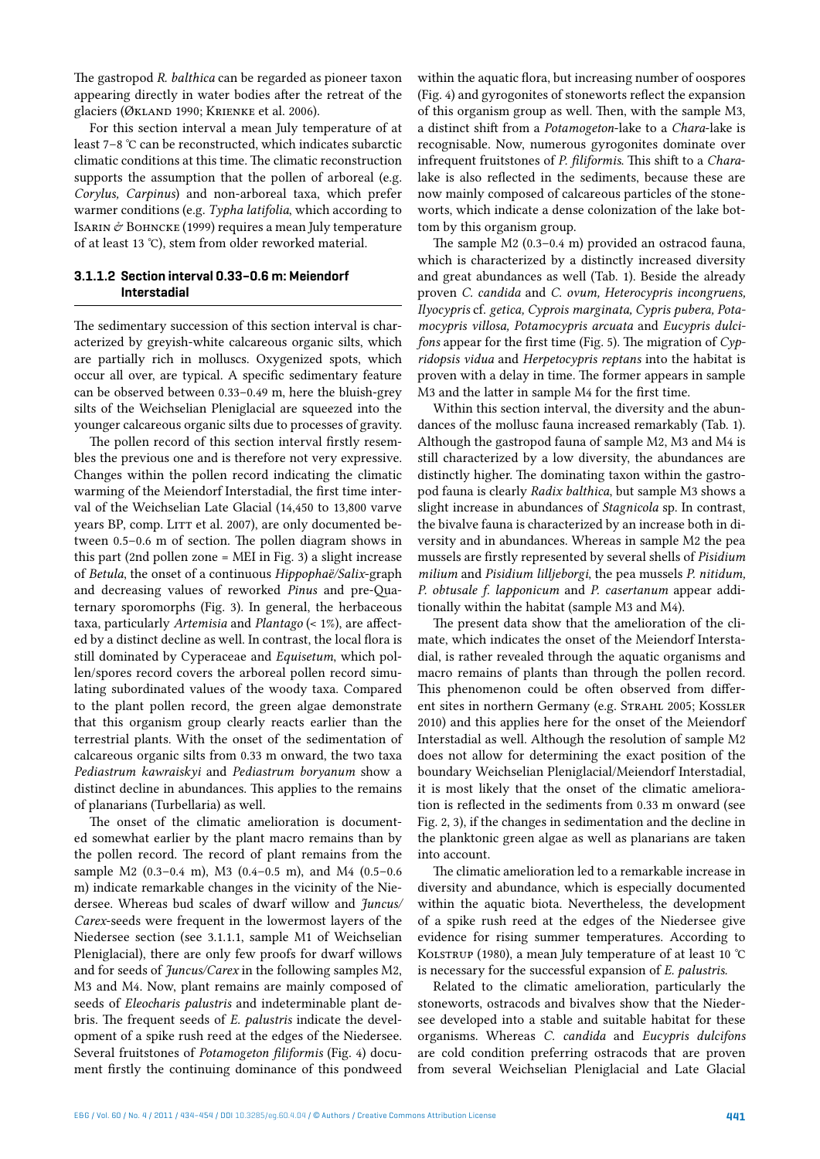The gastropod *R. balthica* can be regarded as pioneer taxon appearing directly in water bodies after the retreat of the glaciers (Økland 1990; Krienke et al. 2006).

For this section interval a mean July temperature of at least 7–8 °C can be reconstructed, which indicates subarctic climatic conditions at this time. The climatic reconstruction supports the assumption that the pollen of arboreal (e.g. *Corylus, Carpinus*) and non-arboreal taxa, which prefer warmer conditions (e.g. *Typha latifolia*, which according to ISARIN  $\acute{\sigma}$  BOHNCKE (1999) requires a mean July temperature of at least 13 °C), stem from older reworked material.

## **3.1.1.2 Section interval 0.33–0.6 m: Meiendorf Interstadial**

The sedimentary succession of this section interval is characterized by greyish-white calcareous organic silts, which are partially rich in molluscs. Oxygenized spots, which occur all over, are typical. A specific sedimentary feature can be observed between 0.33–0.49 m, here the bluish-grey silts of the Weichselian Pleniglacial are squeezed into the younger calcareous organic silts due to processes of gravity.

The pollen record of this section interval firstly resembles the previous one and is therefore not very expressive. Changes within the pollen record indicating the climatic warming of the Meiendorf Interstadial, the first time interval of the Weichselian Late Glacial (14,450 to 13,800 varve years BP, comp. LITT et al. 2007), are only documented between 0.5–0.6 m of section. The pollen diagram shows in this part (2nd pollen zone = MEI in Fig. 3) a slight increase of *Betula*, the onset of a continuous *Hippophaë/Salix*-graph and decreasing values of reworked *Pinus* and pre-Quaternary sporomorphs (Fig. 3). In general, the herbaceous taxa, particularly *Artemisia* and *Plantago* (< 1%), are affected by a distinct decline as well. In contrast, the local flora is still dominated by Cyperaceae and *Equisetum*, which pollen/spores record covers the arboreal pollen record simulating subordinated values of the woody taxa. Compared to the plant pollen record, the green algae demonstrate that this organism group clearly reacts earlier than the terrestrial plants. With the onset of the sedimentation of calcareous organic silts from 0.33 m onward, the two taxa *Pediastrum kawraiskyi* and *Pediastrum boryanum* show a distinct decline in abundances. This applies to the remains of planarians (Turbellaria) as well.

The onset of the climatic amelioration is documented somewhat earlier by the plant macro remains than by the pollen record. The record of plant remains from the sample M2 (0.3–0.4 m), M3 (0.4–0.5 m), and M4 (0.5–0.6 m) indicate remarkable changes in the vicinity of the Niedersee. Whereas bud scales of dwarf willow and *Juncus/ Carex*-seeds were frequent in the lowermost layers of the Niedersee section (see 3.1.1.1, sample M1 of Weichselian Pleniglacial), there are only few proofs for dwarf willows and for seeds of *Juncus/Carex* in the following samples M2, M3 and M4. Now, plant remains are mainly composed of seeds of *Eleocharis palustris* and indeterminable plant debris. The frequent seeds of *E. palustris* indicate the development of a spike rush reed at the edges of the Niedersee. Several fruitstones of *Potamogeton filiformis* (Fig. 4) document firstly the continuing dominance of this pondweed

within the aquatic flora, but increasing number of oospores (Fig. 4) and gyrogonites of stoneworts reflect the expansion of this organism group as well. Then, with the sample M3, a distinct shift from a *Potamogeton*-lake to a *Chara*-lake is recognisable. Now, numerous gyrogonites dominate over infrequent fruitstones of *P. filiformis*. This shift to a *Chara*lake is also reflected in the sediments, because these are now mainly composed of calcareous particles of the stoneworts, which indicate a dense colonization of the lake bottom by this organism group.

The sample M2 (0.3–0.4 m) provided an ostracod fauna, which is characterized by a distinctly increased diversity and great abundances as well (Tab. 1). Beside the already proven *C. candida* and *C. ovum, Heterocypris incongruens, Ilyocypris* cf. *getica, Cyprois marginata, Cypris pubera, Potamocypris villosa, Potamocypris arcuata* and *Eucypris dulcifons* appear for the first time (Fig. 5). The migration of *Cypridopsis vidua* and *Herpetocypris reptans* into the habitat is proven with a delay in time. The former appears in sample M3 and the latter in sample M4 for the first time.

Within this section interval, the diversity and the abundances of the mollusc fauna increased remarkably (Tab. 1). Although the gastropod fauna of sample M2, M3 and M4 is still characterized by a low diversity, the abundances are distinctly higher. The dominating taxon within the gastropod fauna is clearly *Radix balthica*, but sample M3 shows a slight increase in abundances of *Stagnicola* sp. In contrast, the bivalve fauna is characterized by an increase both in diversity and in abundances. Whereas in sample M2 the pea mussels are firstly represented by several shells of *Pisidium milium* and *Pisidium lilljeborgi*, the pea mussels *P. nitidum, P. obtusale f. lapponicum* and *P. casertanum* appear additionally within the habitat (sample M3 and M4).

The present data show that the amelioration of the climate, which indicates the onset of the Meiendorf Interstadial, is rather revealed through the aquatic organisms and macro remains of plants than through the pollen record. This phenomenon could be often observed from different sites in northern Germany (e.g. STRAHL 2005; KOSSLER 2010) and this applies here for the onset of the Meiendorf Interstadial as well. Although the resolution of sample M2 does not allow for determining the exact position of the boundary Weichselian Pleniglacial/Meiendorf Interstadial, it is most likely that the onset of the climatic amelioration is reflected in the sediments from 0.33 m onward (see Fig. 2, 3), if the changes in sedimentation and the decline in the planktonic green algae as well as planarians are taken into account.

The climatic amelioration led to a remarkable increase in diversity and abundance, which is especially documented within the aquatic biota. Nevertheless, the development of a spike rush reed at the edges of the Niedersee give evidence for rising summer temperatures. According to KOLSTRUP (1980), a mean July temperature of at least 10 °C is necessary for the successful expansion of *E. palustris.*

Related to the climatic amelioration, particularly the stoneworts, ostracods and bivalves show that the Niedersee developed into a stable and suitable habitat for these organisms. Whereas *C. candida* and *Eucypris dulcifons* are cold condition preferring ostracods that are proven from several Weichselian Pleniglacial and Late Glacial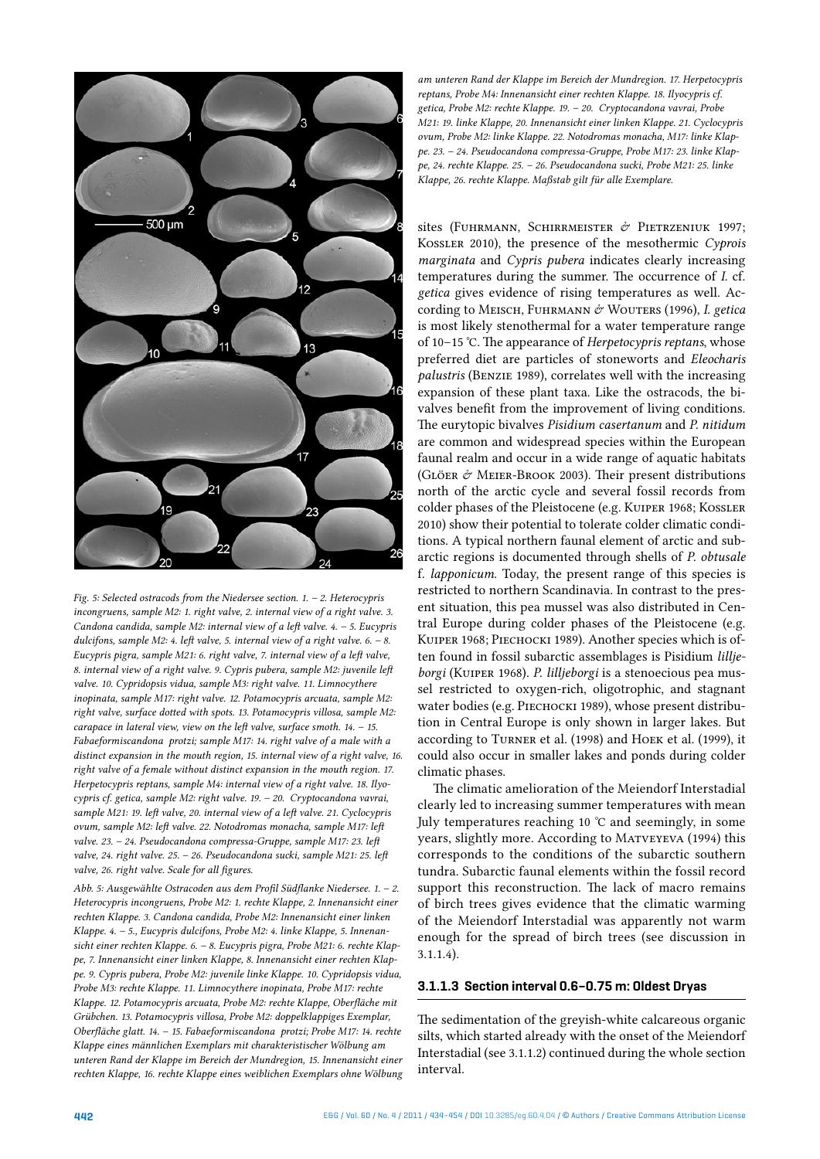

*Fig. 5: Selected ostracods from the Niedersee section. 1. – 2. Heterocypris incongruens, sample M2: 1. right valve, 2. internal view of a right valve. 3. Candona candida, sample M2: internal view of a left valve. 4. – 5. Eucypris dulcifons, sample M2: 4. left valve, 5. internal view of a right valve. 6. – 8. Eucypris pigra, sample M21: 6. right valve, 7. internal view of a left valve, 8. internal view of a right valve. 9. Cypris pubera, sample M2: juvenile left valve. 10. Cypridopsis vidua, sample M3: right valve. 11. Limnocythere inopinata, sample M17: right valve. 12. Potamocypris arcuata, sample M2: right valve, surface dotted with spots. 13. Potamocypris villosa, sample M2: carapace in lateral view, view on the left valve, surface smoth. 14. – 15. Fabaeformiscandona protzi; sample M17: 14. right valve of a male with a distinct expansion in the mouth region, 15. internal view of a right valve, 16. right valve of a female without distinct expansion in the mouth region. 17. Herpetocypris reptans, sample M4: internal view of a right valve. 18. Ilyocypris cf. getica, sample M2: right valve. 19. – 20. Cryptocandona vavrai, sample M21: 19. left valve, 20. internal view of a left valve. 21. Cyclocypris ovum, sample M2: left valve. 22. Notodromas monacha, sample M17: left valve. 23. – 24. Pseudocandona compressa-Gruppe, sample M17: 23. left valve, 24. right valve. 25. – 26. Pseudocandona sucki, sample M21: 25. left valve, 26. right valve. Scale for all figures.*

*Abb. 5: Ausgewählte Ostracoden aus dem Profil Südflanke Niedersee. 1. – 2. Heterocypris incongruens, Probe M2: 1. rechte Klappe, 2. Innenansicht einer rechten Klappe. 3. Candona candida, Probe M2: Innenansicht einer linken Klappe. 4. – 5., Eucypris dulcifons, Probe M2: 4. linke Klappe, 5. Innenansicht einer rechten Klappe. 6. – 8. Eucypris pigra, Probe M21: 6. rechte Klappe, 7. Innenansicht einer linken Klappe, 8. Innenansicht einer rechten Klappe. 9. Cypris pubera, Probe M2: juvenile linke Klappe. 10. Cypridopsis vidua, Probe M3: rechte Klappe. 11. Limnocythere inopinata, Probe M17: rechte Klappe. 12. Potamocypris arcuata, Probe M2: rechte Klappe, Oberfläche mit Grübchen. 13. Potamocypris villosa, Probe M2: doppelklappiges Exemplar, Oberfläche glatt. 14. – 15. Fabaeformiscandona protzi; Probe M17: 14. rechte Klappe eines männlichen Exemplars mit charakteristischer Wölbung am unteren Rand der Klappe im Bereich der Mundregion, 15. Innenansicht einer rechten Klappe, 16. rechte Klappe eines weiblichen Exemplars ohne Wölbung* 

*am unteren Rand der Klappe im Bereich der Mundregion. 17. Herpetocypris reptans, Probe M4: Innenansicht einer rechten Klappe. 18. Ilyocypris cf. getica, Probe M2: rechte Klappe. 19. – 20. Cryptocandona vavrai, Probe M21: 19. linke Klappe, 20. Innenansicht einer linken Klappe. 21. Cyclocypris ovum, Probe M2: linke Klappe. 22. Notodromas monacha, M17: linke Klappe. 23. – 24. Pseudocandona compressa-Gruppe, Probe M17: 23. linke Klappe, 24. rechte Klappe. 25. – 26. Pseudocandona sucki, Probe M21: 25. linke Klappe, 26. rechte Klappe. Maßstab gilt für alle Exemplare.*

sites (FUHRMANN, SCHIRRMEISTER  $\mathring{\sigma}$  PIETRZENIUK 1997; Kossler 2010), the presence of the mesothermic *Cyprois marginata* and *Cypris pubera* indicates clearly increasing temperatures during the summer. The occurrence of *I.* cf. *getica* gives evidence of rising temperatures as well. According to Меізсн, Fuhrmann & Wouters (1996), *I. getica* is most likely stenothermal for a water temperature range of 10–15 °C. The appearance of *Herpetocypris reptans*, whose preferred diet are particles of stoneworts and *Eleocharis palustris* (Benzie 1989), correlates well with the increasing expansion of these plant taxa. Like the ostracods, the bivalves benefit from the improvement of living conditions. The eurytopic bivalves *Pisidium casertanum* and *P. nitidum*  are common and widespread species within the European faunal realm and occur in a wide range of aquatic habitats (Glöer & Meier-Brook 2003). Their present distributions north of the arctic cycle and several fossil records from colder phases of the Pleistocene (e.g. Kuiper 1968; Kossler 2010) show their potential to tolerate colder climatic conditions. A typical northern faunal element of arctic and subarctic regions is documented through shells of *P. obtusale*  f. *lapponicum*. Today, the present range of this species is restricted to northern Scandinavia. In contrast to the present situation, this pea mussel was also distributed in Central Europe during colder phases of the Pleistocene (e.g. Kuiper 1968; Piechocki 1989). Another species which is often found in fossil subarctic assemblages is Pisidium *lilljeborgi* (Kuiper 1968). *P. lilljeborgi* is a stenoecious pea mussel restricted to oxygen-rich, oligotrophic, and stagnant water bodies (e.g. PIECHOCKI 1989), whose present distribution in Central Europe is only shown in larger lakes. But according to Turner et al. (1998) and Hoek et al. (1999), it could also occur in smaller lakes and ponds during colder climatic phases.

The climatic amelioration of the Meiendorf Interstadial clearly led to increasing summer temperatures with mean July temperatures reaching 10 °C and seemingly, in some years, slightly more. According to Matveyeva (1994) this corresponds to the conditions of the subarctic southern tundra. Subarctic faunal elements within the fossil record support this reconstruction. The lack of macro remains of birch trees gives evidence that the climatic warming of the Meiendorf Interstadial was apparently not warm enough for the spread of birch trees (see discussion in 3.1.1.4).

## **3.1.1.3 Section interval 0.6–0.75 m: Oldest Dryas**

The sedimentation of the greyish-white calcareous organic silts, which started already with the onset of the Meiendorf Interstadial (see 3.1.1.2) continued during the whole section interval.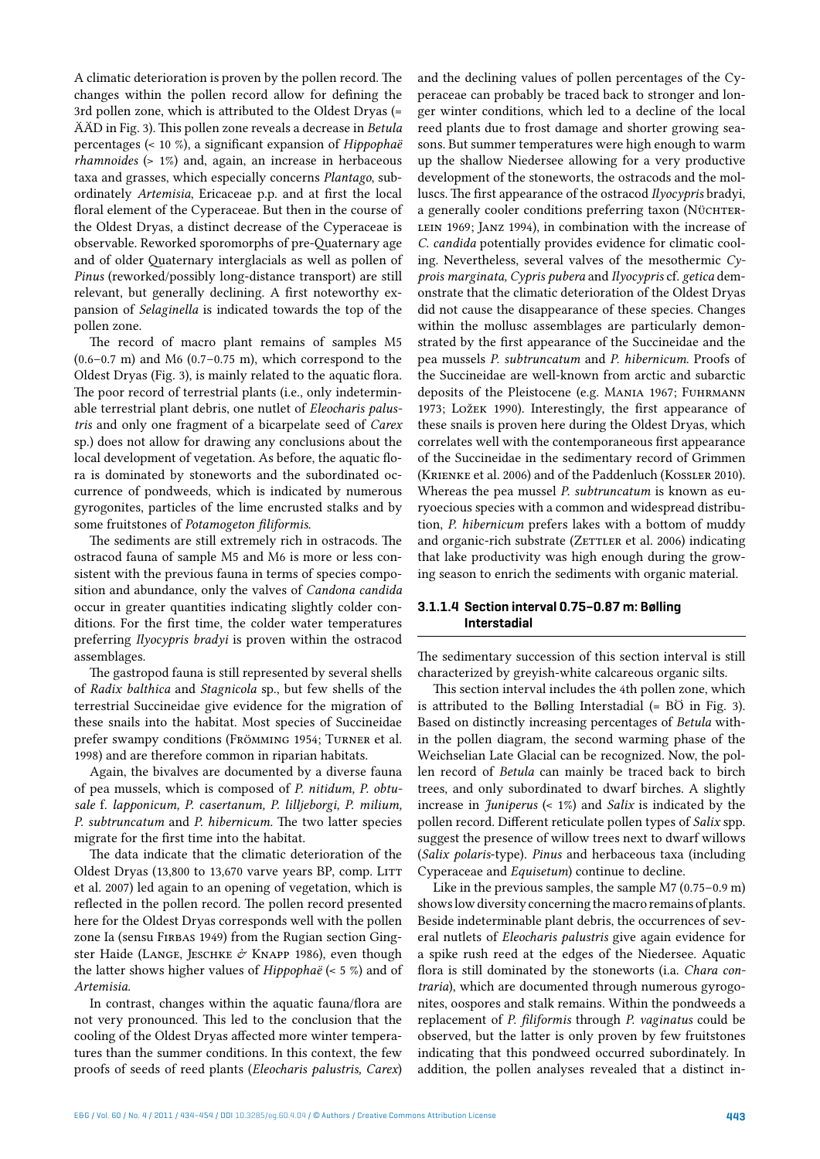A climatic deterioration is proven by the pollen record. The changes within the pollen record allow for defining the 3rd pollen zone, which is attributed to the Oldest Dryas (= ÄÄD in Fig. 3). This pollen zone reveals a decrease in *Betula* percentages (< 10 %), a significant expansion of *Hippophaë rhamnoides* (> 1%) and, again, an increase in herbaceous taxa and grasses, which especially concerns *Plantago*, subordinately *Artemisia*, Ericaceae p.p. and at first the local floral element of the Cyperaceae. But then in the course of the Oldest Dryas, a distinct decrease of the Cyperaceae is observable. Reworked sporomorphs of pre-Quaternary age and of older Quaternary interglacials as well as pollen of *Pinus* (reworked/possibly long-distance transport) are still relevant, but generally declining. A first noteworthy expansion of *Selaginella* is indicated towards the top of the pollen zone.

The record of macro plant remains of samples M5  $(0.6-0.7 \text{ m})$  and M6  $(0.7-0.75 \text{ m})$ , which correspond to the Oldest Dryas (Fig. 3), is mainly related to the aquatic flora. The poor record of terrestrial plants (i.e., only indeterminable terrestrial plant debris, one nutlet of *Eleocharis palustris* and only one fragment of a bicarpelate seed of *Carex*  sp.) does not allow for drawing any conclusions about the local development of vegetation. As before, the aquatic flora is dominated by stoneworts and the subordinated occurrence of pondweeds, which is indicated by numerous gyrogonites, particles of the lime encrusted stalks and by some fruitstones of *Potamogeton filiformis.*

The sediments are still extremely rich in ostracods. The ostracod fauna of sample M5 and M6 is more or less consistent with the previous fauna in terms of species composition and abundance, only the valves of *Candona candida*  occur in greater quantities indicating slightly colder conditions. For the first time, the colder water temperatures preferring *Ilyocypris bradyi* is proven within the ostracod assemblages.

The gastropod fauna is still represented by several shells of *Radix balthica* and *Stagnicola* sp., but few shells of the terrestrial Succineidae give evidence for the migration of these snails into the habitat. Most species of Succineidae prefer swampy conditions (Frömming 1954; Turner et al. 1998) and are therefore common in riparian habitats.

Again, the bivalves are documented by a diverse fauna of pea mussels, which is composed of *P. nitidum, P. obtusale* f. *lapponicum, P. casertanum, P. lilljeborgi, P. milium, P. subtruncatum* and *P. hibernicum.* The two latter species migrate for the first time into the habitat.

The data indicate that the climatic deterioration of the Oldest Dryas (13,800 to 13,670 varve years BP, comp. LITT et al. 2007) led again to an opening of vegetation, which is reflected in the pollen record. The pollen record presented here for the Oldest Dryas corresponds well with the pollen zone Ia (sensu FIRBAS 1949) from the Rugian section Gingster Haide (LANGE, JESCHKE  $\mathring{\sigma}$  KNAPP 1986), even though the latter shows higher values of *Hippophaë* (< 5 %) and of *Artemisia.*

In contrast, changes within the aquatic fauna/flora are not very pronounced. This led to the conclusion that the cooling of the Oldest Dryas affected more winter temperatures than the summer conditions. In this context, the few proofs of seeds of reed plants (*Eleocharis palustris, Carex*)

and the declining values of pollen percentages of the Cyperaceae can probably be traced back to stronger and longer winter conditions, which led to a decline of the local reed plants due to frost damage and shorter growing seasons. But summer temperatures were high enough to warm up the shallow Niedersee allowing for a very productive development of the stoneworts, the ostracods and the molluscs. The first appearance of the ostracod *Ilyocypris* bradyi, a generally cooler conditions preferring taxon (NÜCHTERlein 1969; Janz 1994), in combination with the increase of *C. candida* potentially provides evidence for climatic cooling. Nevertheless, several valves of the mesothermic *Cyprois marginata, Cypris pubera* and *Ilyocypris* cf. *getica* demonstrate that the climatic deterioration of the Oldest Dryas did not cause the disappearance of these species. Changes within the mollusc assemblages are particularly demonstrated by the first appearance of the Succineidae and the pea mussels *P. subtruncatum* and *P. hibernicum*. Proofs of the Succineidae are well-known from arctic and subarctic deposits of the Pleistocene (e.g. MANIA 1967; FUHRMANN 1973; Ložek 1990). Interestingly, the first appearance of these snails is proven here during the Oldest Dryas, which correlates well with the contemporaneous first appearance of the Succineidae in the sedimentary record of Grimmen (Krienke et al. 2006) and of the Paddenluch (Kossler 2010). Whereas the pea mussel *P. subtruncatum* is known as euryoecious species with a common and widespread distribution, *P. hibernicum* prefers lakes with a bottom of muddy and organic-rich substrate (ZETTLER et al. 2006) indicating that lake productivity was high enough during the growing season to enrich the sediments with organic material.

#### **3.1.1.4 Section interval 0.75–0.87 m: Bølling Interstadial**

The sedimentary succession of this section interval is still characterized by greyish-white calcareous organic silts.

This section interval includes the 4th pollen zone, which is attributed to the Bølling Interstadial (= BÖ in Fig. 3). Based on distinctly increasing percentages of *Betula* within the pollen diagram, the second warming phase of the Weichselian Late Glacial can be recognized. Now, the pollen record of *Betula* can mainly be traced back to birch trees, and only subordinated to dwarf birches. A slightly increase in *Juniperus* (< 1%) and *Salix* is indicated by the pollen record. Different reticulate pollen types of *Salix* spp. suggest the presence of willow trees next to dwarf willows (*Salix polaris*-type). *Pinus* and herbaceous taxa (including Cyperaceae and *Equisetum*) continue to decline.

Like in the previous samples, the sample M7 (0.75–0.9 m) shows low diversity concerning the macro remains of plants. Beside indeterminable plant debris, the occurrences of several nutlets of *Eleocharis palustris* give again evidence for a spike rush reed at the edges of the Niedersee. Aquatic flora is still dominated by the stoneworts (i.a. *Chara contraria*), which are documented through numerous gyrogonites, oospores and stalk remains. Within the pondweeds a replacement of *P. filiformis* through *P. vaginatus* could be observed, but the latter is only proven by few fruitstones indicating that this pondweed occurred subordinately. In addition, the pollen analyses revealed that a distinct in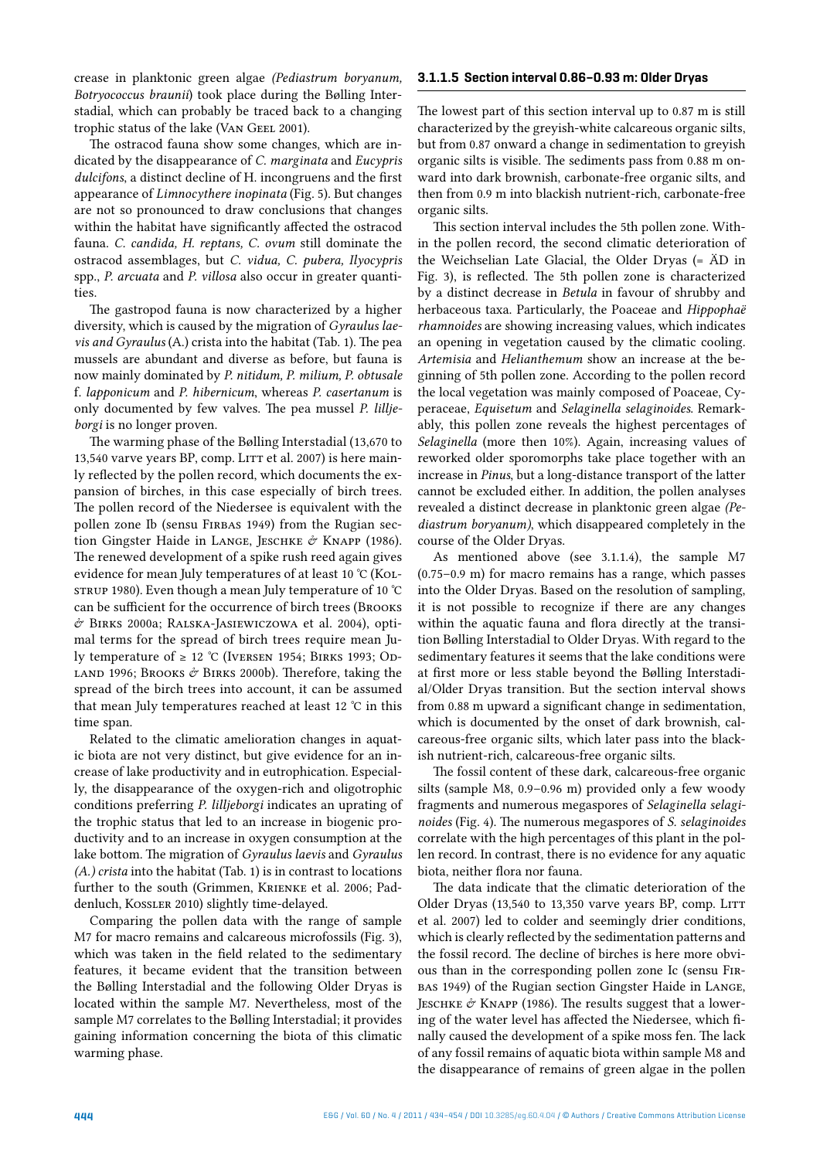crease in planktonic green algae *(Pediastrum boryanum, Botryococcus braunii*) took place during the Bølling Interstadial, which can probably be traced back to a changing trophic status of the lake (VAN GEEL 2001).

The ostracod fauna show some changes, which are indicated by the disappearance of *C. marginata* and *Eucypris dulcifons*, a distinct decline of H. incongruens and the first appearance of *Limnocythere inopinata* (Fig. 5). But changes are not so pronounced to draw conclusions that changes within the habitat have significantly affected the ostracod fauna. *C. candida, H. reptans, C. ovum* still dominate the ostracod assemblages, but *C. vidua, C. pubera, Ilyocypris*  spp., *P. arcuata* and *P. villosa* also occur in greater quantities.

The gastropod fauna is now characterized by a higher diversity, which is caused by the migration of *Gyraulus laevis and Gyraulus* (A.) crista into the habitat (Tab. 1). The pea mussels are abundant and diverse as before, but fauna is now mainly dominated by *P. nitidum, P. milium, P. obtusale* f. *lapponicum* and *P. hibernicum*, whereas *P. casertanum* is only documented by few valves. The pea mussel *P. lilljeborgi* is no longer proven.

The warming phase of the Bølling Interstadial (13,670 to 13,540 varve years BP, comp. LITT et al. 2007) is here mainly reflected by the pollen record, which documents the expansion of birches, in this case especially of birch trees. The pollen record of the Niedersee is equivalent with the pollen zone Ib (sensu FIRBAS 1949) from the Rugian section Gingster Haide in LANGE, JESCHKE & KNAPP (1986). The renewed development of a spike rush reed again gives evidence for mean July temperatures of at least 10 °C (KOLstrup 1980). Even though a mean July temperature of 10 °C can be sufficient for the occurrence of birch trees (Brooks & Birks 2000a; Ralska-Jasiewiczowa et al. 2004), optimal terms for the spread of birch trees require mean July temperature of ≥ 12 °C (IVERSEN 1954: BIRKS 1993: Op-LAND 1996; BROOKS  $\phi$  BIRKS 2000b). Therefore, taking the spread of the birch trees into account, it can be assumed that mean July temperatures reached at least 12 °C in this time span.

Related to the climatic amelioration changes in aquatic biota are not very distinct, but give evidence for an increase of lake productivity and in eutrophication. Especially, the disappearance of the oxygen-rich and oligotrophic conditions preferring *P. lilljeborgi* indicates an uprating of the trophic status that led to an increase in biogenic productivity and to an increase in oxygen consumption at the lake bottom. The migration of *Gyraulus laevis* and *Gyraulus (A.) crista* into the habitat (Tab. 1) is in contrast to locations further to the south (Grimmen, Krienke et al. 2006; Paddenluch, Kossler 2010) slightly time-delayed.

Comparing the pollen data with the range of sample M7 for macro remains and calcareous microfossils (Fig. 3), which was taken in the field related to the sedimentary features, it became evident that the transition between the Bølling Interstadial and the following Older Dryas is located within the sample M7. Nevertheless, most of the sample M7 correlates to the Bølling Interstadial; it provides gaining information concerning the biota of this climatic warming phase.

## **3.1.1.5 Section interval 0.86–0.93 m: Older Dryas**

The lowest part of this section interval up to 0.87 m is still characterized by the greyish-white calcareous organic silts, but from 0.87 onward a change in sedimentation to greyish organic silts is visible. The sediments pass from 0.88 m onward into dark brownish, carbonate-free organic silts, and then from 0.9 m into blackish nutrient-rich, carbonate-free organic silts.

This section interval includes the 5th pollen zone. Within the pollen record, the second climatic deterioration of the Weichselian Late Glacial, the Older Dryas (= ÄD in Fig. 3), is reflected. The 5th pollen zone is characterized by a distinct decrease in *Betula* in favour of shrubby and herbaceous taxa. Particularly, the Poaceae and *Hippophaë rhamnoides* are showing increasing values, which indicates an opening in vegetation caused by the climatic cooling. *Artemisia* and *Helianthemum* show an increase at the beginning of 5th pollen zone. According to the pollen record the local vegetation was mainly composed of Poaceae, Cyperaceae, *Equisetum* and *Selaginella selaginoides*. Remarkably, this pollen zone reveals the highest percentages of *Selaginella* (more then 10%). Again, increasing values of reworked older sporomorphs take place together with an increase in *Pinus*, but a long-distance transport of the latter cannot be excluded either. In addition, the pollen analyses revealed a distinct decrease in planktonic green algae *(Pediastrum boryanum)*, which disappeared completely in the course of the Older Dryas.

As mentioned above (see 3.1.1.4), the sample M7 (0.75–0.9 m) for macro remains has a range, which passes into the Older Dryas. Based on the resolution of sampling, it is not possible to recognize if there are any changes within the aquatic fauna and flora directly at the transition Bølling Interstadial to Older Dryas. With regard to the sedimentary features it seems that the lake conditions were at first more or less stable beyond the Bølling Interstadial/Older Dryas transition. But the section interval shows from 0.88 m upward a significant change in sedimentation, which is documented by the onset of dark brownish, calcareous-free organic silts, which later pass into the blackish nutrient-rich, calcareous-free organic silts.

The fossil content of these dark, calcareous-free organic silts (sample M8, 0.9–0.96 m) provided only a few woody fragments and numerous megaspores of *Selaginella selaginoides* (Fig. 4). The numerous megaspores of *S. selaginoides*  correlate with the high percentages of this plant in the pollen record. In contrast, there is no evidence for any aquatic biota, neither flora nor fauna.

The data indicate that the climatic deterioration of the Older Dryas (13,540 to 13,350 varve years BP, comp. LITT et al. 2007) led to colder and seemingly drier conditions, which is clearly reflected by the sedimentation patterns and the fossil record. The decline of birches is here more obvious than in the corresponding pollen zone Ic (sensu Firbas 1949) of the Rugian section Gingster Haide in Lange, JESCHKE  $\acute{\sigma}$  KNAPP (1986). The results suggest that a lowering of the water level has affected the Niedersee, which finally caused the development of a spike moss fen. The lack of any fossil remains of aquatic biota within sample M8 and the disappearance of remains of green algae in the pollen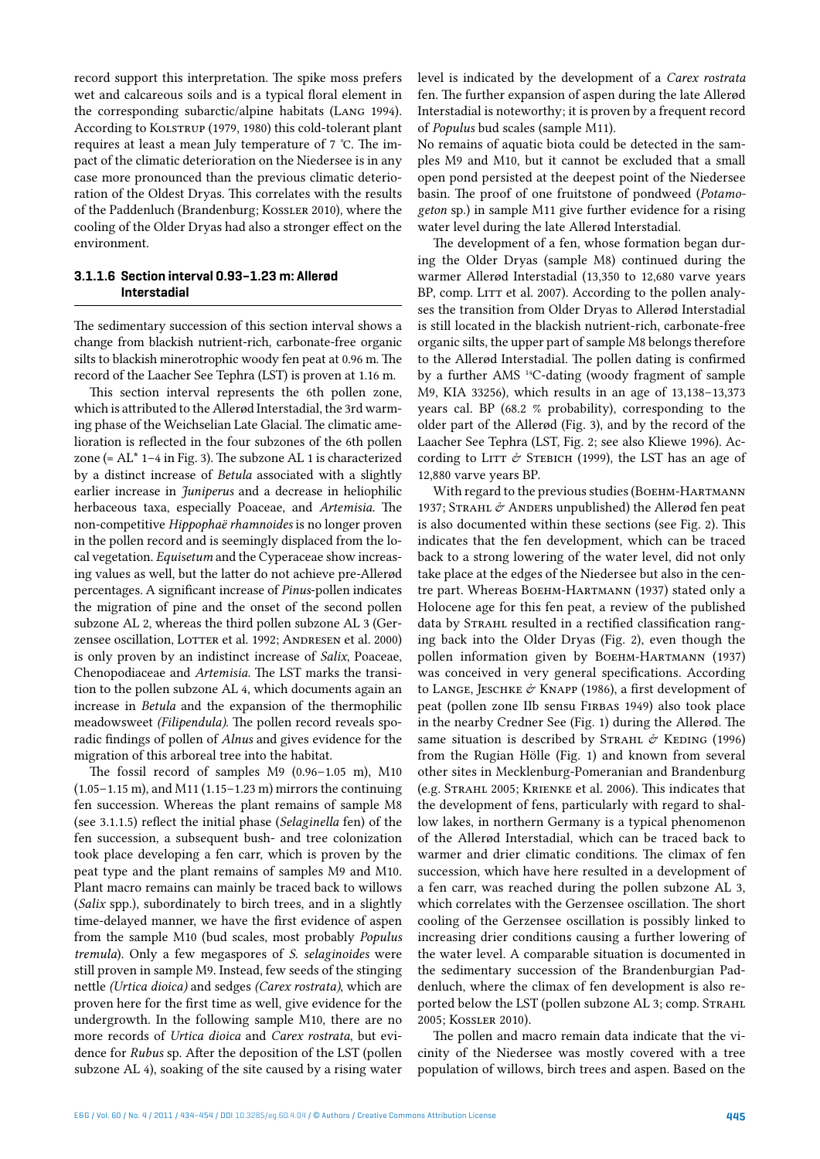record support this interpretation. The spike moss prefers wet and calcareous soils and is a typical floral element in the corresponding subarctic/alpine habitats (Lang 1994). According to KOLSTRUP (1979, 1980) this cold-tolerant plant requires at least a mean July temperature of 7 °C. The impact of the climatic deterioration on the Niedersee is in any case more pronounced than the previous climatic deterioration of the Oldest Dryas. This correlates with the results of the Paddenluch (Brandenburg; Kossler 2010), where the cooling of the Older Dryas had also a stronger effect on the environment.

## **3.1.1.6 Section interval 0.93–1.23 m: Allerød Interstadial**

The sedimentary succession of this section interval shows a change from blackish nutrient-rich, carbonate-free organic silts to blackish minerotrophic woody fen peat at 0.96 m. The record of the Laacher See Tephra (LST) is proven at 1.16 m.

This section interval represents the 6th pollen zone, which is attributed to the Allerød Interstadial, the 3rd warming phase of the Weichselian Late Glacial. The climatic amelioration is reflected in the four subzones of the 6th pollen zone (=  $AL^*$  1–4 in Fig. 3). The subzone AL 1 is characterized by a distinct increase of *Betula* associated with a slightly earlier increase in *Juniperus* and a decrease in heliophilic herbaceous taxa, especially Poaceae, and *Artemisia*. The non-competitive *Hippophaë rhamnoides* is no longer proven in the pollen record and is seemingly displaced from the local vegetation. *Equisetum* and the Cyperaceae show increasing values as well, but the latter do not achieve pre-Allerød percentages. A significant increase of *Pinus*-pollen indicates the migration of pine and the onset of the second pollen subzone AL 2, whereas the third pollen subzone AL 3 (Gerzensee oscillation, LOTTER et al. 1992; ANDRESEN et al. 2000) is only proven by an indistinct increase of *Salix*, Poaceae, Chenopodiaceae and *Artemisia*. The LST marks the transition to the pollen subzone AL 4, which documents again an increase in *Betula* and the expansion of the thermophilic meadowsweet *(Filipendula)*. The pollen record reveals sporadic findings of pollen of *Alnus* and gives evidence for the migration of this arboreal tree into the habitat.

The fossil record of samples M9 (0.96–1.05 m), M10 (1.05–1.15 m), and M11 (1.15–1.23 m) mirrors the continuing fen succession. Whereas the plant remains of sample M8 (see 3.1.1.5) reflect the initial phase (*Selaginella* fen) of the fen succession, a subsequent bush- and tree colonization took place developing a fen carr, which is proven by the peat type and the plant remains of samples M9 and M10. Plant macro remains can mainly be traced back to willows (*Salix* spp.), subordinately to birch trees, and in a slightly time-delayed manner, we have the first evidence of aspen from the sample M10 (bud scales, most probably *Populus tremula*). Only a few megaspores of *S. selaginoides* were still proven in sample M9. Instead, few seeds of the stinging nettle *(Urtica dioica)* and sedges *(Carex rostrata)*, which are proven here for the first time as well, give evidence for the undergrowth. In the following sample M10, there are no more records of *Urtica dioica* and *Carex rostrata*, but evidence for *Rubus* sp. After the deposition of the LST (pollen subzone AL 4), soaking of the site caused by a rising water

level is indicated by the development of a *Carex rostrata*  fen. The further expansion of aspen during the late Allerød Interstadial is noteworthy; it is proven by a frequent record of *Populus* bud scales (sample M11).

No remains of aquatic biota could be detected in the samples M9 and M10, but it cannot be excluded that a small open pond persisted at the deepest point of the Niedersee basin. The proof of one fruitstone of pondweed (*Potamogeton* sp.) in sample M11 give further evidence for a rising water level during the late Allerød Interstadial.

The development of a fen, whose formation began during the Older Dryas (sample M8) continued during the warmer Allerød Interstadial (13,350 to 12,680 varve years BP, comp. LITT et al. 2007). According to the pollen analyses the transition from Older Dryas to Allerød Interstadial is still located in the blackish nutrient-rich, carbonate-free organic silts, the upper part of sample M8 belongs therefore to the Allerød Interstadial. The pollen dating is confirmed by a further AMS 14C-dating (woody fragment of sample M9, KIA 33256), which results in an age of 13,138–13,373 years cal. BP (68.2 % probability), corresponding to the older part of the Allerød (Fig. 3), and by the record of the Laacher See Tephra (LST, Fig. 2; see also Kliewe 1996). According to LITT  $\acute{\text{\emph{\i}}\hspace*{-0.85em}\raisebox{0.2mm}{\label{eq:14}}}$  Cording to LITT  $\acute{\text{\emph{\i}}\hspace*{-0.85em}\raisebox{0.2mm}{\label{eq:14}}}$  Cording to LITT  $\acute{\text{\emph{\i}}\hspace*{-0.85em}\raisebox{0.2mm}{\label{eq:14}}}$  Cording to LITT  $\acute{\text{\emph{\i}}\hspace*{-0.85em}\raisebox{0.2mm}{\label{eq$ 12,880 varve years BP.

With regard to the previous studies (BOEHM-HARTMANN 1937; STRAHL & ANDERS unpublished) the Allerød fen peat is also documented within these sections (see Fig. 2). This indicates that the fen development, which can be traced back to a strong lowering of the water level, did not only take place at the edges of the Niedersee but also in the centre part. Whereas Военм-Нактмали (1937) stated only a Holocene age for this fen peat, a review of the published data by STRAHL resulted in a rectified classification ranging back into the Older Dryas (Fig. 2), even though the pollen information given by BOEHM-HARTMANN (1937) was conceived in very general specifications. According to LANGE, JESCHKE  $\acute{\sigma}$  KNAPP (1986), a first development of peat (pollen zone IIb sensu FIRBAS 1949) also took place in the nearby Credner See (Fig. 1) during the Allerød. The same situation is described by STRAHL  $\acute{\mathrm{c}}$  KEDING (1996) from the Rugian Hölle (Fig. 1) and known from several other sites in Mecklenburg-Pomeranian and Brandenburg (e.g. Strahl 2005; Krienke et al. 2006). This indicates that the development of fens, particularly with regard to shallow lakes, in northern Germany is a typical phenomenon of the Allerød Interstadial, which can be traced back to warmer and drier climatic conditions. The climax of fen succession, which have here resulted in a development of a fen carr, was reached during the pollen subzone AL 3, which correlates with the Gerzensee oscillation. The short cooling of the Gerzensee oscillation is possibly linked to increasing drier conditions causing a further lowering of the water level. A comparable situation is documented in the sedimentary succession of the Brandenburgian Paddenluch, where the climax of fen development is also reported below the LST (pollen subzone AL 3; comp. STRAHL 2005; Kossler 2010).

The pollen and macro remain data indicate that the vicinity of the Niedersee was mostly covered with a tree population of willows, birch trees and aspen. Based on the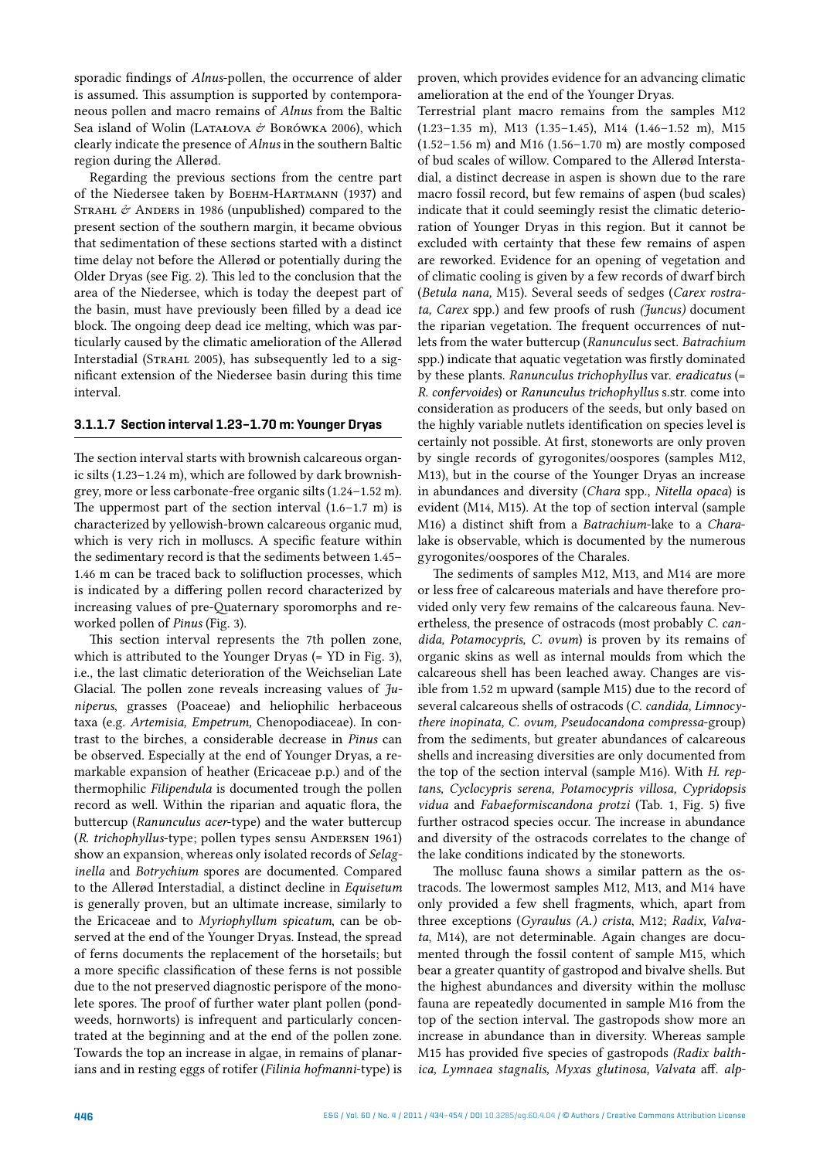sporadic findings of *Alnus*-pollen, the occurrence of alder is assumed. This assumption is supported by contemporaneous pollen and macro remains of *Alnus* from the Baltic Sea island of Wolin (LATAŁOVA  $\acute{\n}$  BORÓWKA 2006), which clearly indicate the presence of *Alnus* in the southern Baltic region during the Allerød.

Regarding the previous sections from the centre part of the Niedersee taken by BOEHM-HARTMANN (1937) and STRAHL  $\acute{\sigma}$  ANDERS in 1986 (unpublished) compared to the present section of the southern margin, it became obvious that sedimentation of these sections started with a distinct time delay not before the Allerød or potentially during the Older Dryas (see Fig. 2). This led to the conclusion that the area of the Niedersee, which is today the deepest part of the basin, must have previously been filled by a dead ice block. The ongoing deep dead ice melting, which was particularly caused by the climatic amelioration of the Allerød Interstadial (STRAHL 2005), has subsequently led to a significant extension of the Niedersee basin during this time interval.

## **3.1.1.7 Section interval 1.23–1.70 m: Younger Dryas**

The section interval starts with brownish calcareous organic silts (1.23–1.24 m), which are followed by dark brownishgrey, more or less carbonate-free organic silts (1.24–1.52 m). The uppermost part of the section interval  $(1.6-1.7 \text{ m})$  is characterized by yellowish-brown calcareous organic mud, which is very rich in molluscs. A specific feature within the sedimentary record is that the sediments between 1.45– 1.46 m can be traced back to solifluction processes, which is indicated by a differing pollen record characterized by increasing values of pre-Quaternary sporomorphs and reworked pollen of *Pinus* (Fig. 3).

This section interval represents the 7th pollen zone, which is attributed to the Younger Dryas (= YD in Fig. 3). i.e., the last climatic deterioration of the Weichselian Late Glacial. The pollen zone reveals increasing values of *Juniperus*, grasses (Poaceae) and heliophilic herbaceous taxa (e.g. *Artemisia, Empetrum,* Chenopodiaceae). In contrast to the birches, a considerable decrease in *Pinus* can be observed. Especially at the end of Younger Dryas, a remarkable expansion of heather (Ericaceae p.p.) and of the thermophilic *Filipendula* is documented trough the pollen record as well. Within the riparian and aquatic flora, the buttercup (*Ranunculus acer*-type) and the water buttercup (*R. trichophyllus*-type; pollen types sensu Andersen 1961) show an expansion, whereas only isolated records of *Selaginella* and *Botrychium* spores are documented. Compared to the Allerød Interstadial, a distinct decline in *Equisetum* is generally proven, but an ultimate increase, similarly to the Ericaceae and to *Myriophyllum spicatum*, can be observed at the end of the Younger Dryas. Instead, the spread of ferns documents the replacement of the horsetails; but a more specific classification of these ferns is not possible due to the not preserved diagnostic perispore of the monolete spores. The proof of further water plant pollen (pondweeds, hornworts) is infrequent and particularly concentrated at the beginning and at the end of the pollen zone. Towards the top an increase in algae, in remains of planarians and in resting eggs of rotifer (*Filinia hofmanni*-type) is proven, which provides evidence for an advancing climatic amelioration at the end of the Younger Dryas.

Terrestrial plant macro remains from the samples M12 (1.23–1.35 m), M13 (1.35–1.45), M14 (1.46–1.52 m), M15 (1.52–1.56 m) and M16 (1.56–1.70 m) are mostly composed of bud scales of willow. Compared to the Allerød Interstadial, a distinct decrease in aspen is shown due to the rare macro fossil record, but few remains of aspen (bud scales) indicate that it could seemingly resist the climatic deterioration of Younger Dryas in this region. But it cannot be excluded with certainty that these few remains of aspen are reworked. Evidence for an opening of vegetation and of climatic cooling is given by a few records of dwarf birch (*Betula nana,* M15). Several seeds of sedges (*Carex rostrata, Carex* spp.) and few proofs of rush *(Juncus)* document the riparian vegetation. The frequent occurrences of nutlets from the water buttercup (*Ranunculus* sect. *Batrachium* spp.) indicate that aquatic vegetation was firstly dominated by these plants. *Ranunculus trichophyllus* var. *eradicatus* (= *R. confervoides*) or *Ranunculus trichophyllus* s.str. come into consideration as producers of the seeds, but only based on the highly variable nutlets identification on species level is certainly not possible. At first, stoneworts are only proven by single records of gyrogonites/oospores (samples M12, M13), but in the course of the Younger Dryas an increase in abundances and diversity (*Chara* spp., *Nitella opaca*) is evident (M14, M15). At the top of section interval (sample M16) a distinct shift from a *Batrachium*-lake to a *Chara*lake is observable, which is documented by the numerous gyrogonites/oospores of the Charales.

The sediments of samples M12, M13, and M14 are more or less free of calcareous materials and have therefore provided only very few remains of the calcareous fauna. Nevertheless, the presence of ostracods (most probably *C. candida, Potamocypris, C. ovum*) is proven by its remains of organic skins as well as internal moulds from which the calcareous shell has been leached away. Changes are visible from 1.52 m upward (sample M15) due to the record of several calcareous shells of ostracods (*C. candida, Limnocythere inopinata, C. ovum, Pseudocandona compressa*-group) from the sediments, but greater abundances of calcareous shells and increasing diversities are only documented from the top of the section interval (sample M16). With *H. reptans, Cyclocypris serena, Potamocypris villosa, Cypridopsis vidua* and *Fabaeformiscandona protzi* (Tab. 1, Fig. 5) five further ostracod species occur. The increase in abundance and diversity of the ostracods correlates to the change of the lake conditions indicated by the stoneworts.

The mollusc fauna shows a similar pattern as the ostracods. The lowermost samples M12, M13, and M14 have only provided a few shell fragments, which, apart from three exceptions (*Gyraulus (A.) crista*, M12; *Radix, Valvata*, M14), are not determinable. Again changes are documented through the fossil content of sample M15, which bear a greater quantity of gastropod and bivalve shells. But the highest abundances and diversity within the mollusc fauna are repeatedly documented in sample M16 from the top of the section interval. The gastropods show more an increase in abundance than in diversity. Whereas sample M15 has provided five species of gastropods *(Radix balthica, Lymnaea stagnalis, Myxas glutinosa, Valvata* aff. *alp-*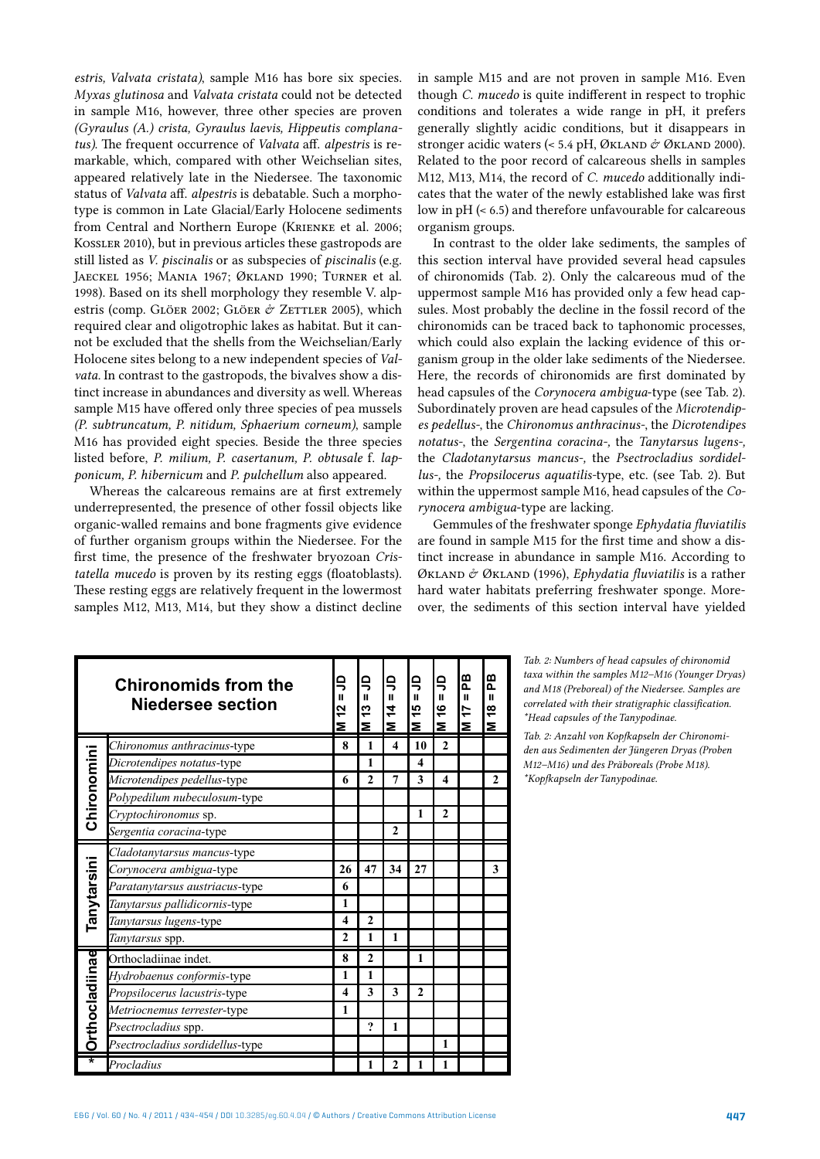*estris, Valvata cristata)*, sample M16 has bore six species. *Myxas glutinosa* and *Valvata cristata* could not be detected in sample M16, however, three other species are proven *(Gyraulus (A.) crista, Gyraulus laevis, Hippeutis complanatus)*. The frequent occurrence of *Valvata* aff. *alpestris* is remarkable, which, compared with other Weichselian sites, appeared relatively late in the Niedersee. The taxonomic status of *Valvata* aff. *alpestris* is debatable. Such a morphotype is common in Late Glacial/Early Holocene sediments from Central and Northern Europe (KRIENKE et al. 2006; Kossler 2010), but in previous articles these gastropods are still listed as *V. piscinalis* or as subspecies of *piscinalis* (e.g. Jaeckel 1956; Mania 1967; Økland 1990; Turner et al. 1998). Based on its shell morphology they resemble V. alpestris (comp. Glöer 2002; Glöer & Zettler 2005), which required clear and oligotrophic lakes as habitat. But it cannot be excluded that the shells from the Weichselian/Early Holocene sites belong to a new independent species of *Valvata.* In contrast to the gastropods, the bivalves show a distinct increase in abundances and diversity as well. Whereas sample M15 have offered only three species of pea mussels *(P. subtruncatum, P. nitidum, Sphaerium corneum)*, sample M16 has provided eight species. Beside the three species listed before, *P. milium, P. casertanum, P. obtusale* f. *lapponicum, P. hibernicum* and *P. pulchellum* also appeared.

Whereas the calcareous remains are at first extremely underrepresented, the presence of other fossil objects like organic-walled remains and bone fragments give evidence of further organism groups within the Niedersee. For the first time, the presence of the freshwater bryozoan *Cristatella mucedo* is proven by its resting eggs (floatoblasts). These resting eggs are relatively frequent in the lowermost samples M12, M13, M14, but they show a distinct decline

in sample M15 and are not proven in sample M16. Even though *C. mucedo* is quite indifferent in respect to trophic conditions and tolerates a wide range in pH, it prefers generally slightly acidic conditions, but it disappears in stronger acidic waters (< 5.4 pH, ØKLAND & ØKLAND 2000). Related to the poor record of calcareous shells in samples M12, M13, M14, the record of *C. mucedo* additionally indicates that the water of the newly established lake was first low in pH (< 6.5) and therefore unfavourable for calcareous organism groups.

In contrast to the older lake sediments, the samples of this section interval have provided several head capsules of chironomids (Tab. 2). Only the calcareous mud of the uppermost sample M16 has provided only a few head capsules. Most probably the decline in the fossil record of the chironomids can be traced back to taphonomic processes, which could also explain the lacking evidence of this organism group in the older lake sediments of the Niedersee. Here, the records of chironomids are first dominated by head capsules of the *Corynocera ambigua*-type (see Tab. 2). Subordinately proven are head capsules of the *Microtendipes pedellus-*, the *Chironomus anthracinus-*, the *Dicrotendipes notatus-*, the *Sergentina coracina-,* the *Tanytarsus lugens-,*  the *Cladotanytarsus mancus-,* the *Psectrocladius sordidellus-,* the *Propsilocerus aquatilis-*type, etc. (see Tab. 2). But within the uppermost sample M16, head capsules of the *Corynocera ambigua*-type are lacking.

Gemmules of the freshwater sponge *Ephydatia fluviatilis* are found in sample M15 for the first time and show a distinct increase in abundance in sample M16. According to Økland & Økland (1996), *Ephydatia fluviatilis* is a rather hard water habitats preferring freshwater sponge. Moreover, the sediments of this section interval have yielded

|                         | <b>Chironomids from the</b><br><b>Niedersee section</b> | 乌<br>ш<br>2<br>Σ        | 乌<br>$\mathbf{u}$<br>5<br>Σ | S<br>$\mathbf{u}$<br>$\frac{4}{4}$<br>Σ | 乌<br>ш<br>ю<br>$\overline{\phantom{0}}$<br>Σ | 9<br>Ш<br>\$<br>Σ | æ<br>$\mathbf{u}$<br>17<br>Σ | 은<br>$\mathbf{u}$<br>\$<br>Σ |
|-------------------------|---------------------------------------------------------|-------------------------|-----------------------------|-----------------------------------------|----------------------------------------------|-------------------|------------------------------|------------------------------|
|                         | Chironomus anthracinus-type                             | 8                       | 1                           | 4                                       | 10                                           | $\mathbf{2}$      |                              |                              |
| Chironomini             | Dicrotendipes notatus-type                              |                         | 1                           |                                         | 4                                            |                   |                              |                              |
|                         | Microtendipes pedellus-type                             | 6                       | $\mathbf{2}$                | 7                                       | 3                                            | 4                 |                              | $\mathbf{2}$                 |
|                         | Polypedilum nubeculosum-type                            |                         |                             |                                         |                                              |                   |                              |                              |
|                         | Cryptochironomus sp.                                    |                         |                             |                                         | 1                                            | $\mathbf{2}$      |                              |                              |
|                         | Sergentia coracina-type                                 |                         |                             | $\mathbf{2}$                            |                                              |                   |                              |                              |
|                         | Cladotanytarsus mancus-type                             |                         |                             |                                         |                                              |                   |                              |                              |
|                         | Corynocera ambigua-type                                 | 26                      | 47                          | 34                                      | 27                                           |                   |                              | 3                            |
| Tanytarsini             | Paratanytarsus austriacus-type                          | 6                       |                             |                                         |                                              |                   |                              |                              |
|                         | Tanytarsus pallidicornis-type                           | 1                       |                             |                                         |                                              |                   |                              |                              |
|                         | Tanytarsus lugens-type                                  | $\overline{\mathbf{4}}$ | $\overline{2}$              |                                         |                                              |                   |                              |                              |
|                         | Tanytarsus spp.                                         | $\mathbf{2}$            | 1                           | 1                                       |                                              |                   |                              |                              |
|                         | Orthocladiinae indet.                                   | 8                       | $\mathbf{2}$                |                                         | 1                                            |                   |                              |                              |
| <b>Orthocladiinae</b>   | Hydrobaenus conformis-type                              | 1                       | 1                           |                                         |                                              |                   |                              |                              |
|                         | Propsilocerus lacustris-type                            | $\overline{\mathbf{4}}$ | 3                           | 3                                       | $\mathbf{2}$                                 |                   |                              |                              |
|                         | Metriocnemus terrester-type                             | $\mathbf{1}$            |                             |                                         |                                              |                   |                              |                              |
|                         | Psectrocladius spp.                                     |                         | $\boldsymbol{\mathcal{P}}$  | 1                                       |                                              |                   |                              |                              |
|                         | Psectrocladius sordidellus-type                         |                         |                             |                                         |                                              | 1                 |                              |                              |
| $\overline{\textbf{r}}$ | Procladius                                              |                         | 1                           | $\mathbf{2}$                            |                                              | 1                 |                              |                              |

*Tab. 2: Numbers of head capsules of chironomid taxa within the samples M12–M16 (Younger Dryas) and M18 (Preboreal) of the Niedersee. Samples are correlated with their stratigraphic classification. \*Head capsules of the Tanypodinae.*

*Tab. 2: Anzahl von Kopfkapseln der Chironomiden aus Sedimenten der Jüngeren Dryas (Proben M12–M16) und des Präboreals (Probe M18). \*Kopfkapseln der Tanypodinae.*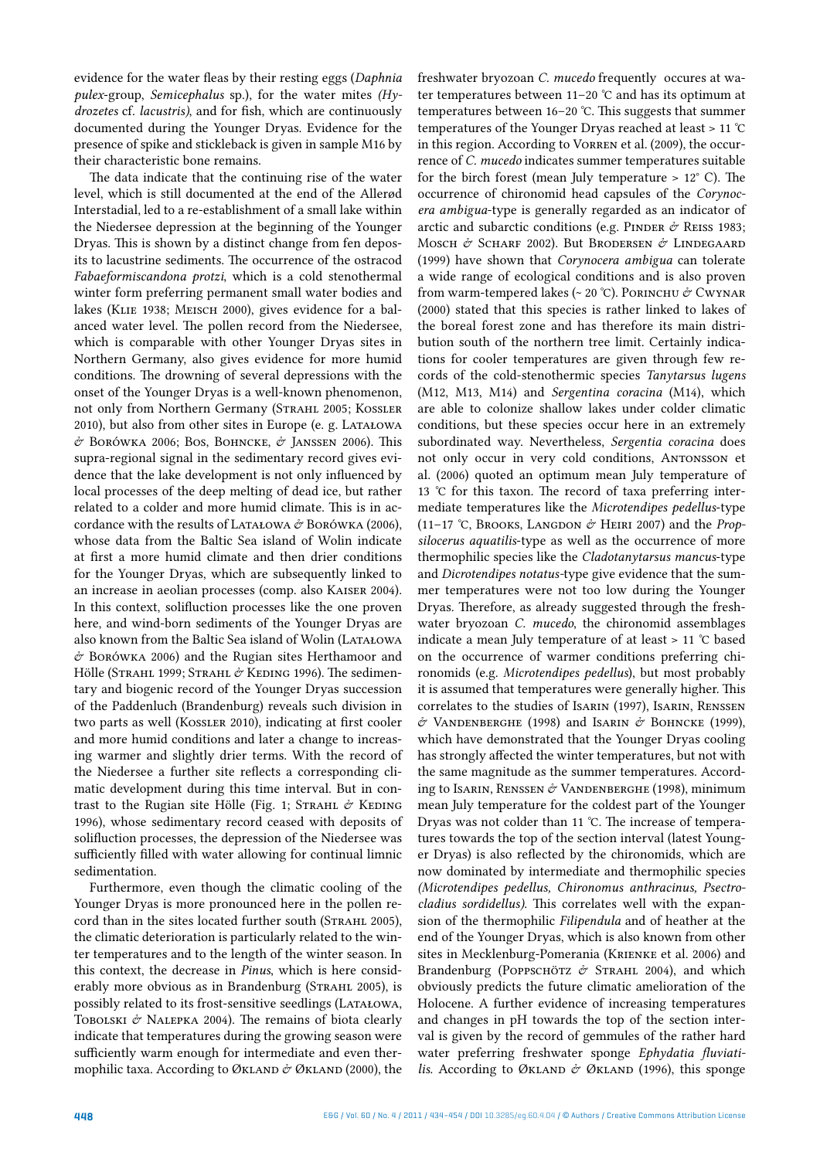evidence for the water fleas by their resting eggs (*Daphnia pulex*-group, *Semicephalus* sp.), for the water mites *(Hydrozetes* cf. *lacustris)*, and for fish, which are continuously documented during the Younger Dryas. Evidence for the presence of spike and stickleback is given in sample M16 by their characteristic bone remains.

The data indicate that the continuing rise of the water level, which is still documented at the end of the Allerød Interstadial, led to a re-establishment of a small lake within the Niedersee depression at the beginning of the Younger Dryas. This is shown by a distinct change from fen deposits to lacustrine sediments. The occurrence of the ostracod *Fabaeformiscandona protzi*, which is a cold stenothermal winter form preferring permanent small water bodies and lakes (Klie 1938; Meisch 2000), gives evidence for a balanced water level. The pollen record from the Niedersee, which is comparable with other Younger Dryas sites in Northern Germany, also gives evidence for more humid conditions. The drowning of several depressions with the onset of the Younger Dryas is a well-known phenomenon, not only from Northern Germany (STRAHL 2005; KOSSLER 2010), but also from other sites in Europe (e. g. Latałowa  $\acute{\sigma}$  Borówka 2006; Bos, Bohncke,  $\acute{\sigma}$  Janssen 2006). This supra-regional signal in the sedimentary record gives evidence that the lake development is not only influenced by local processes of the deep melting of dead ice, but rather related to a colder and more humid climate. This is in accordance with the results of LATAŁOWA  $\acute{\sigma}$  BORÓWKA (2006), whose data from the Baltic Sea island of Wolin indicate at first a more humid climate and then drier conditions for the Younger Dryas, which are subsequently linked to an increase in aeolian processes (comp. also Kaiser 2004). In this context, solifluction processes like the one proven here, and wind-born sediments of the Younger Dryas are also known from the Baltic Sea island of Wolin (Latałowa  $\acute{\sigma}$  Borówka 2006) and the Rugian sites Herthamoor and Hölle (STRAHL 1999; STRAHL  $\acute{\text{\emph{\o}}}$  KEDING 1996). The sedimentary and biogenic record of the Younger Dryas succession of the Paddenluch (Brandenburg) reveals such division in two parts as well (Kossler 2010), indicating at first cooler and more humid conditions and later a change to increasing warmer and slightly drier terms. With the record of the Niedersee a further site reflects a corresponding climatic development during this time interval. But in contrast to the Rugian site Hölle (Fig. 1; STRAHL  $\mathcal O$  KEDING 1996), whose sedimentary record ceased with deposits of solifluction processes, the depression of the Niedersee was sufficiently filled with water allowing for continual limnic sedimentation.

Furthermore, even though the climatic cooling of the Younger Dryas is more pronounced here in the pollen record than in the sites located further south (STRAHL 2005), the climatic deterioration is particularly related to the winter temperatures and to the length of the winter season. In this context, the decrease in *Pinus*, which is here considerably more obvious as in Brandenburg (STRAHL 2005), is possibly related to its frost-sensitive seedlings (Latałowa, TOBOLSKI  $\mathcal{O}'$  NALEPKA 2004). The remains of biota clearly indicate that temperatures during the growing season were sufficiently warm enough for intermediate and even thermophilic taxa. According to ØKLAND & ØKLAND (2000), the

freshwater bryozoan *C. mucedo* frequently occures at water temperatures between 11–20 °C and has its optimum at temperatures between 16–20 °C. This suggests that summer temperatures of the Younger Dryas reached at least > 11 °C in this region. According to Vorren et al. (2009), the occurrence of *C. mucedo* indicates summer temperatures suitable for the birch forest (mean July temperature  $> 12^{\circ}$  C). The occurrence of chironomid head capsules of the *Corynocera ambigua*-type is generally regarded as an indicator of arctic and subarctic conditions (e.g. PINDER  $\acute{\sigma}$  REISS 1983; Mosch  $\phi$  Scharf 2002). But Brodersen  $\phi$  Lindegaard (1999) have shown that *Corynocera ambigua* can tolerate a wide range of ecological conditions and is also proven from warm-tempered lakes (~ 20 °C). PORINCHU & CWYNAR (2000) stated that this species is rather linked to lakes of the boreal forest zone and has therefore its main distribution south of the northern tree limit. Certainly indications for cooler temperatures are given through few records of the cold-stenothermic species *Tanytarsus lugens*  (M12, M13, M14) and *Sergentina coracina* (M14), which are able to colonize shallow lakes under colder climatic conditions, but these species occur here in an extremely subordinated way. Nevertheless, *Sergentia coracina* does not only occur in very cold conditions, Antonsson et al. (2006) quoted an optimum mean July temperature of 13 °C for this taxon. The record of taxa preferring intermediate temperatures like the *Microtendipes pedellus*-type (11–17 °C, Brooks, Langdon & Heiri 2007) and the *Propsilocerus aquatilis*-type as well as the occurrence of more thermophilic species like the *Cladotanytarsus mancus*-type and *Dicrotendipes notatus-*type give evidence that the summer temperatures were not too low during the Younger Dryas. Therefore, as already suggested through the freshwater bryozoan *C. mucedo*, the chironomid assemblages indicate a mean July temperature of at least > 11 °C based on the occurrence of warmer conditions preferring chironomids (e.g. *Microtendipes pedellus*), but most probably it is assumed that temperatures were generally higher. This correlates to the studies of Isarin (1997), Isarin, Renssen  $\acute{\sigma}$  VANDENBERGHE (1998) and ISARIN  $\acute{\sigma}$  BOHNCKE (1999), which have demonstrated that the Younger Dryas cooling has strongly affected the winter temperatures, but not with the same magnitude as the summer temperatures. According to Isarin, RENSSEN & VANDENBERGHE (1998), minimum mean July temperature for the coldest part of the Younger Dryas was not colder than 11 °C. The increase of temperatures towards the top of the section interval (latest Younger Dryas) is also reflected by the chironomids, which are now dominated by intermediate and thermophilic species *(Microtendipes pedellus, Chironomus anthracinus, Psectrocladius sordidellus)*. This correlates well with the expansion of the thermophilic *Filipendula* and of heather at the end of the Younger Dryas, which is also known from other sites in Mecklenburg-Pomerania (Krienke et al. 2006) and Brandenburg (POPPSCHÖTZ  $\mathring{\sigma}$  STRAHL 2004), and which obviously predicts the future climatic amelioration of the Holocene. A further evidence of increasing temperatures and changes in pH towards the top of the section interval is given by the record of gemmules of the rather hard water preferring freshwater sponge *Ephydatia fluviatilis.* According to ØKLAND & ØKLAND (1996), this sponge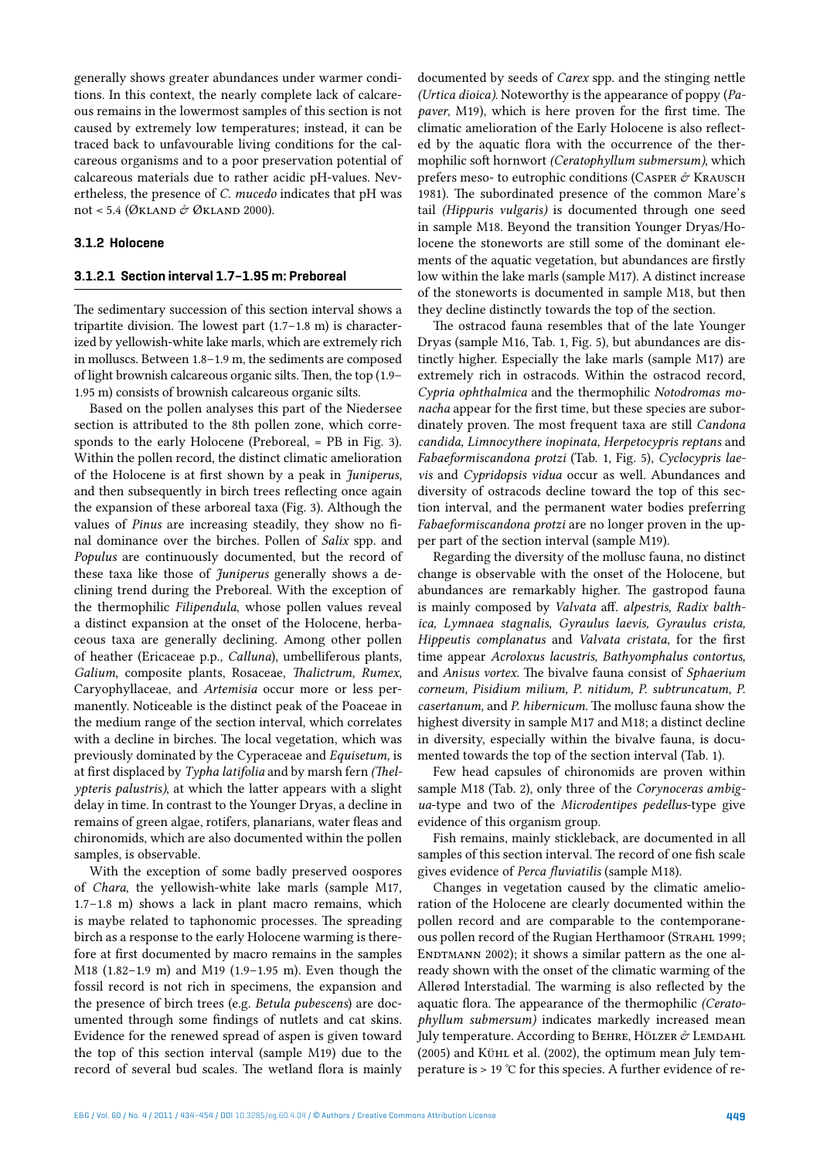generally shows greater abundances under warmer conditions. In this context, the nearly complete lack of calcareous remains in the lowermost samples of this section is not caused by extremely low temperatures; instead, it can be traced back to unfavourable living conditions for the calcareous organisms and to a poor preservation potential of calcareous materials due to rather acidic pH-values. Nevertheless, the presence of *C. mucedo* indicates that pH was not < 5.4 (ØKLAND  $\acute{\text{\emph{C}}}$  ØKLAND 2000).

#### **3.1.2 Holocene**

#### **3.1.2.1 Section interval 1.7–1.95 m: Preboreal**

The sedimentary succession of this section interval shows a tripartite division. The lowest part (1.7–1.8 m) is characterized by yellowish-white lake marls, which are extremely rich in molluscs. Between 1.8–1.9 m, the sediments are composed of light brownish calcareous organic silts. Then, the top (1.9– 1.95 m) consists of brownish calcareous organic silts.

Based on the pollen analyses this part of the Niedersee section is attributed to the 8th pollen zone, which corresponds to the early Holocene (Preboreal, = PB in Fig. 3). Within the pollen record, the distinct climatic amelioration of the Holocene is at first shown by a peak in *Juniperus*, and then subsequently in birch trees reflecting once again the expansion of these arboreal taxa (Fig. 3). Although the values of *Pinus* are increasing steadily, they show no final dominance over the birches. Pollen of *Salix* spp. and *Populus* are continuously documented, but the record of these taxa like those of *Juniperus* generally shows a declining trend during the Preboreal. With the exception of the thermophilic *Filipendula*, whose pollen values reveal a distinct expansion at the onset of the Holocene, herbaceous taxa are generally declining. Among other pollen of heather (Ericaceae p.p., *Calluna*), umbelliferous plants, *Galium*, composite plants, Rosaceae, *Thalictrum, Rumex*, Caryophyllaceae, and *Artemisia* occur more or less permanently. Noticeable is the distinct peak of the Poaceae in the medium range of the section interval, which correlates with a decline in birches. The local vegetation, which was previously dominated by the Cyperaceae and *Equisetum,* is at first displaced by *Typha latifolia* and by marsh fern *(Thelypteris palustris)*, at which the latter appears with a slight delay in time. In contrast to the Younger Dryas, a decline in remains of green algae, rotifers, planarians, water fleas and chironomids, which are also documented within the pollen samples, is observable.

With the exception of some badly preserved oospores of *Chara*, the yellowish-white lake marls (sample M17, 1.7–1.8 m) shows a lack in plant macro remains, which is maybe related to taphonomic processes. The spreading birch as a response to the early Holocene warming is therefore at first documented by macro remains in the samples M18 (1.82–1.9 m) and M19 (1.9–1.95 m). Even though the fossil record is not rich in specimens, the expansion and the presence of birch trees (e.g. *Betula pubescens*) are documented through some findings of nutlets and cat skins. Evidence for the renewed spread of aspen is given toward the top of this section interval (sample M19) due to the record of several bud scales. The wetland flora is mainly

documented by seeds of *Carex* spp. and the stinging nettle *(Urtica dioica)*. Noteworthy is the appearance of poppy (*Papaver*, M19), which is here proven for the first time. The climatic amelioration of the Early Holocene is also reflected by the aquatic flora with the occurrence of the thermophilic soft hornwort *(Ceratophyllum submersum)*, which prefers meso- to eutrophic conditions (CASPER  $\phi$  KRAUSCH 1981). The subordinated presence of the common Mare's tail *(Hippuris vulgaris)* is documented through one seed in sample M18. Beyond the transition Younger Dryas/Holocene the stoneworts are still some of the dominant elements of the aquatic vegetation, but abundances are firstly low within the lake marls (sample M17). A distinct increase of the stoneworts is documented in sample M18, but then they decline distinctly towards the top of the section.

The ostracod fauna resembles that of the late Younger Dryas (sample M16, Tab. 1, Fig. 5), but abundances are distinctly higher. Especially the lake marls (sample M17) are extremely rich in ostracods. Within the ostracod record, *Cypria ophthalmica* and the thermophilic *Notodromas monacha* appear for the first time, but these species are subordinately proven. The most frequent taxa are still *Candona candida, Limnocythere inopinata, Herpetocypris reptans* and *Fabaeformiscandona protzi* (Tab. 1, Fig. 5), *Cyclocypris laevis* and *Cypridopsis vidua* occur as well. Abundances and diversity of ostracods decline toward the top of this section interval, and the permanent water bodies preferring *Fabaeformiscandona protzi* are no longer proven in the upper part of the section interval (sample M19).

Regarding the diversity of the mollusc fauna, no distinct change is observable with the onset of the Holocene, but abundances are remarkably higher. The gastropod fauna is mainly composed by *Valvata* aff. *alpestris, Radix balthica, Lymnaea stagnalis, Gyraulus laevis, Gyraulus crista, Hippeutis complanatus* and *Valvata cristata*, for the first time appear *Acroloxus lacustris, Bathyomphalus contortus,*  and *Anisus vortex*. The bivalve fauna consist of *Sphaerium corneum, Pisidium milium, P. nitidum, P. subtruncatum, P. casertanum,* and *P. hibernicum.* The mollusc fauna show the highest diversity in sample M17 and M18; a distinct decline in diversity, especially within the bivalve fauna, is documented towards the top of the section interval (Tab. 1).

Few head capsules of chironomids are proven within sample M18 (Tab. 2), only three of the *Corynoceras ambigua*-type and two of the *Microdentipes pedellus*-type give evidence of this organism group.

Fish remains, mainly stickleback, are documented in all samples of this section interval. The record of one fish scale gives evidence of *Perca fluviatilis* (sample M18).

Changes in vegetation caused by the climatic amelioration of the Holocene are clearly documented within the pollen record and are comparable to the contemporaneous pollen record of the Rugian Herthamoor (STRAHL 1999; ENDTMANN 2002); it shows a similar pattern as the one already shown with the onset of the climatic warming of the Allerød Interstadial. The warming is also reflected by the aquatic flora. The appearance of the thermophilic *(Ceratophyllum submersum)* indicates markedly increased mean July temperature. According to BEHRE, HÖLZER  $\mathcal{O}$  LEMDAHL (2005) and Kühl et al. (2002), the optimum mean July temperature is > 19 °C for this species. A further evidence of re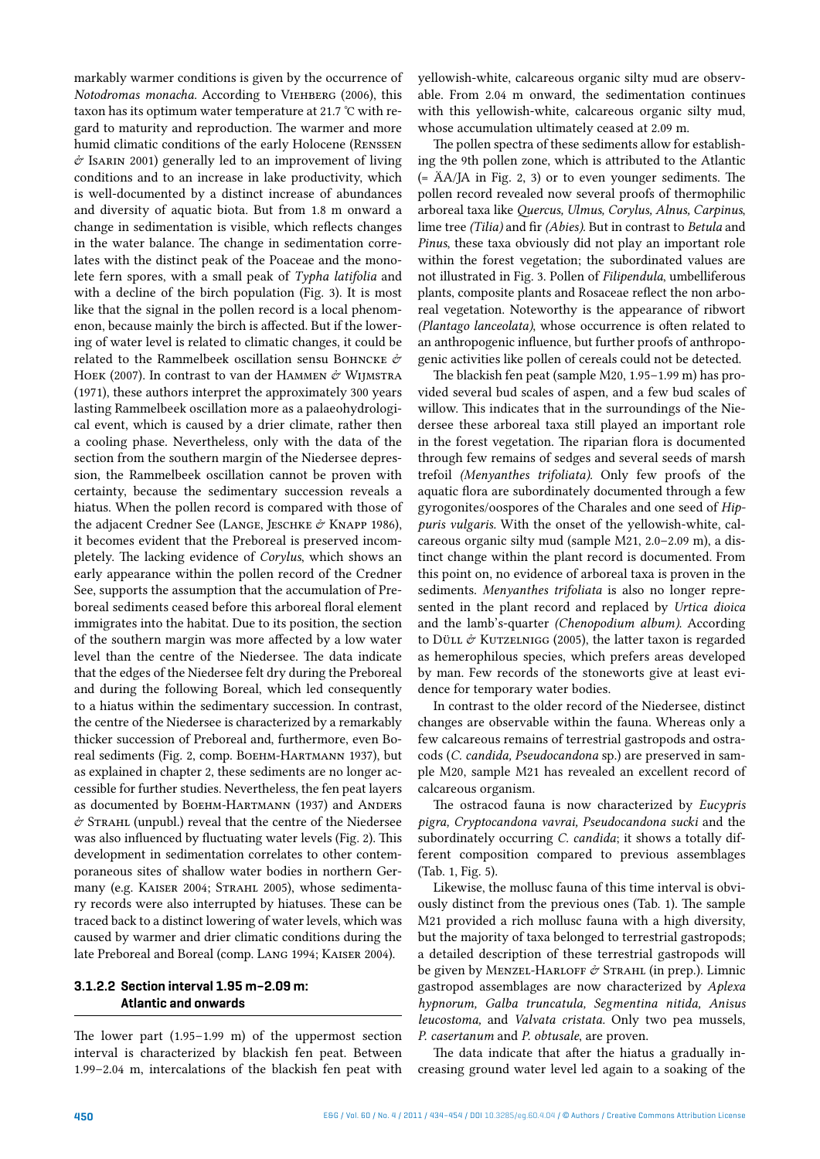markably warmer conditions is given by the occurrence of *Notodromas monacha.* According to VIEHBERG (2006), this taxon has its optimum water temperature at 21.7 °C with regard to maturity and reproduction. The warmer and more humid climatic conditions of the early Holocene (Renssen  $\acute{\sigma}$  Isarin 2001) generally led to an improvement of living conditions and to an increase in lake productivity, which is well-documented by a distinct increase of abundances and diversity of aquatic biota. But from 1.8 m onward a change in sedimentation is visible, which reflects changes in the water balance. The change in sedimentation correlates with the distinct peak of the Poaceae and the monolete fern spores, with a small peak of *Typha latifolia* and with a decline of the birch population (Fig. 3). It is most like that the signal in the pollen record is a local phenomenon, because mainly the birch is affected. But if the lowering of water level is related to climatic changes, it could be related to the Rammelbeek oscillation sensu BOHNCKE  $\mathcal{\hat{C}}$ HOEK (2007). In contrast to van der HAMMEN & WIJMSTRA (1971), these authors interpret the approximately 300 years lasting Rammelbeek oscillation more as a palaeohydrological event, which is caused by a drier climate, rather then a cooling phase. Nevertheless, only with the data of the section from the southern margin of the Niedersee depression, the Rammelbeek oscillation cannot be proven with certainty, because the sedimentary succession reveals a hiatus. When the pollen record is compared with those of the adjacent Credner See (LANGE, JESCHKE & KNAPP 1986), it becomes evident that the Preboreal is preserved incompletely. The lacking evidence of *Corylus*, which shows an early appearance within the pollen record of the Credner See, supports the assumption that the accumulation of Preboreal sediments ceased before this arboreal floral element immigrates into the habitat. Due to its position, the section of the southern margin was more affected by a low water level than the centre of the Niedersee. The data indicate that the edges of the Niedersee felt dry during the Preboreal and during the following Boreal, which led consequently to a hiatus within the sedimentary succession. In contrast, the centre of the Niedersee is characterized by a remarkably thicker succession of Preboreal and, furthermore, even Boreal sediments (Fig. 2, comp. Военм-Нактмали 1937), but as explained in chapter 2, these sediments are no longer accessible for further studies. Nevertheless, the fen peat layers as documented by BOEHM-HARTMANN (1937) and ANDERS  $\acute{\sigma}$  STRAHL (unpubl.) reveal that the centre of the Niedersee was also influenced by fluctuating water levels (Fig. 2). This development in sedimentation correlates to other contemporaneous sites of shallow water bodies in northern Germany (e.g. KAISER 2004; STRAHL 2005), whose sedimentary records were also interrupted by hiatuses. These can be traced back to a distinct lowering of water levels, which was caused by warmer and drier climatic conditions during the late Preboreal and Boreal (comp. Lang 1994; Kaiser 2004).

# **3.1.2.2 Section interval 1.95 m–2.09 m: Atlantic and onwards**

The lower part (1.95–1.99 m) of the uppermost section interval is characterized by blackish fen peat. Between 1.99–2.04 m, intercalations of the blackish fen peat with

yellowish-white, calcareous organic silty mud are observable. From 2.04 m onward, the sedimentation continues with this yellowish-white, calcareous organic silty mud, whose accumulation ultimately ceased at 2.09 m.

The pollen spectra of these sediments allow for establishing the 9th pollen zone, which is attributed to the Atlantic (= ÄA/JA in Fig. 2, 3) or to even younger sediments. The pollen record revealed now several proofs of thermophilic arboreal taxa like *Quercus, Ulmus, Corylus, Alnus, Carpinus*, lime tree *(Tilia)* and fir *(Abies)*. But in contrast to *Betula* and *Pinus*, these taxa obviously did not play an important role within the forest vegetation; the subordinated values are not illustrated in Fig. 3. Pollen of *Filipendula*, umbelliferous plants, composite plants and Rosaceae reflect the non arboreal vegetation. Noteworthy is the appearance of ribwort *(Plantago lanceolata)*, whose occurrence is often related to an anthropogenic influence, but further proofs of anthropogenic activities like pollen of cereals could not be detected.

The blackish fen peat (sample M20, 1.95–1.99 m) has provided several bud scales of aspen, and a few bud scales of willow. This indicates that in the surroundings of the Niedersee these arboreal taxa still played an important role in the forest vegetation. The riparian flora is documented through few remains of sedges and several seeds of marsh trefoil *(Menyanthes trifoliata).* Only few proofs of the aquatic flora are subordinately documented through a few gyrogonites/oospores of the Charales and one seed of *Hippuris vulgaris.* With the onset of the yellowish-white, calcareous organic silty mud (sample M21, 2.0–2.09 m), a distinct change within the plant record is documented. From this point on, no evidence of arboreal taxa is proven in the sediments. *Menyanthes trifoliata* is also no longer represented in the plant record and replaced by *Urtica dioica*  and the lamb's-quarter *(Chenopodium album)*. According to Düll  $\acute{\sigma}$  KUTZELNIGG (2005), the latter taxon is regarded as hemerophilous species, which prefers areas developed by man. Few records of the stoneworts give at least evidence for temporary water bodies.

In contrast to the older record of the Niedersee, distinct changes are observable within the fauna. Whereas only a few calcareous remains of terrestrial gastropods and ostracods (*C. candida, Pseudocandona* sp.) are preserved in sample M20, sample M21 has revealed an excellent record of calcareous organism.

The ostracod fauna is now characterized by *Eucypris pigra, Cryptocandona vavrai, Pseudocandona sucki* and the subordinately occurring *C. candida*; it shows a totally different composition compared to previous assemblages (Tab. 1, Fig. 5).

Likewise, the mollusc fauna of this time interval is obviously distinct from the previous ones (Tab. 1). The sample M21 provided a rich mollusc fauna with a high diversity, but the majority of taxa belonged to terrestrial gastropods; a detailed description of these terrestrial gastropods will be given by MENZEL-HARLOFF & STRAHL (in prep.). Limnic gastropod assemblages are now characterized by *Aplexa hypnorum, Galba truncatula, Segmentina nitida, Anisus leucostoma,* and *Valvata cristata.* Only two pea mussels, *P. casertanum* and *P. obtusale*, are proven.

The data indicate that after the hiatus a gradually increasing ground water level led again to a soaking of the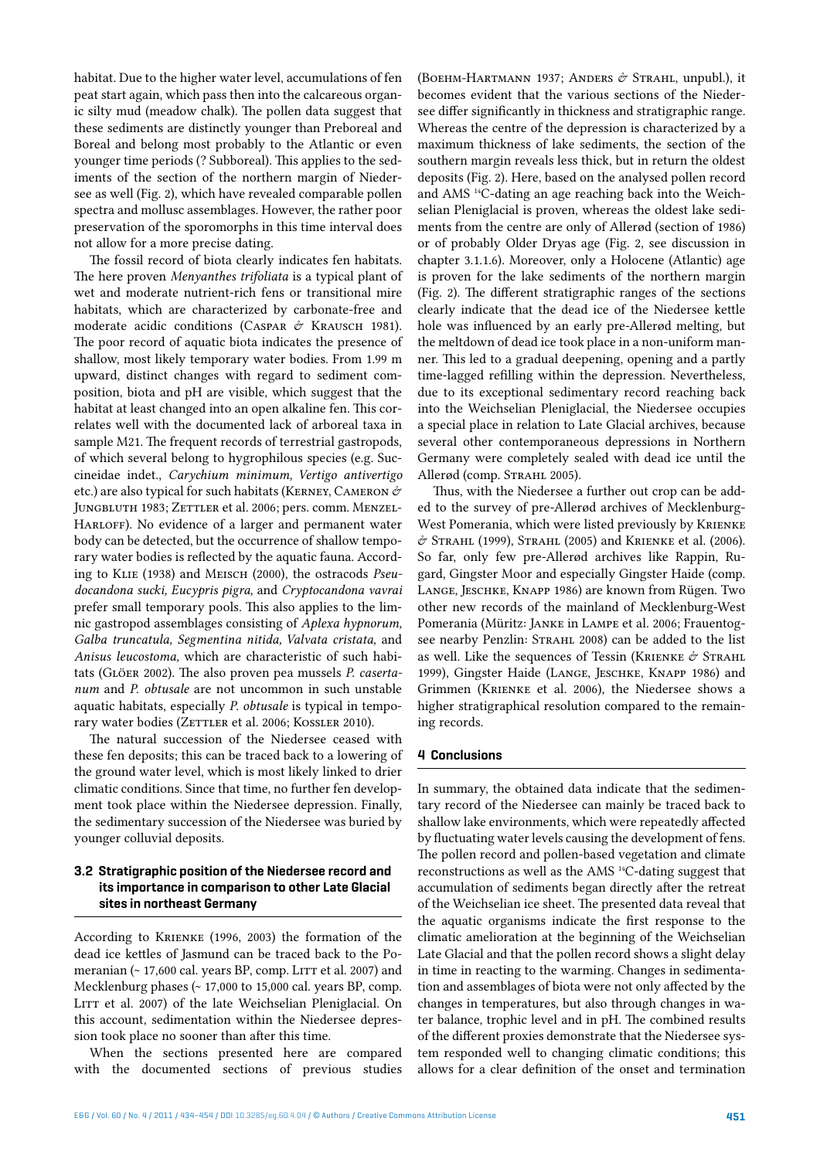habitat. Due to the higher water level, accumulations of fen peat start again, which pass then into the calcareous organic silty mud (meadow chalk). The pollen data suggest that these sediments are distinctly younger than Preboreal and Boreal and belong most probably to the Atlantic or even younger time periods (? Subboreal). This applies to the sediments of the section of the northern margin of Niedersee as well (Fig. 2), which have revealed comparable pollen spectra and mollusc assemblages. However, the rather poor preservation of the sporomorphs in this time interval does not allow for a more precise dating.

The fossil record of biota clearly indicates fen habitats. The here proven *Menyanthes trifoliata* is a typical plant of wet and moderate nutrient-rich fens or transitional mire habitats, which are characterized by carbonate-free and moderate acidic conditions (CASPAR  $\mathring{\sigma}$  KRAUSCH 1981). The poor record of aquatic biota indicates the presence of shallow, most likely temporary water bodies. From 1.99 m upward, distinct changes with regard to sediment composition, biota and pH are visible, which suggest that the habitat at least changed into an open alkaline fen. This correlates well with the documented lack of arboreal taxa in sample M21. The frequent records of terrestrial gastropods, of which several belong to hygrophilous species (e.g. Succineidae indet., *Carychium minimum, Vertigo antivertigo*  etc.) are also typical for such habitats (KERNEY, CAMERON  $\phi$ JUNGBLUTH 1983; ZETTLER et al. 2006; pers. comm. MENZEL-HARLOFF). No evidence of a larger and permanent water body can be detected, but the occurrence of shallow temporary water bodies is reflected by the aquatic fauna. According to Klie (1938) and Meisch (2000), the ostracods *Pseudocandona sucki, Eucypris pigra,* and *Cryptocandona vavrai*  prefer small temporary pools. This also applies to the limnic gastropod assemblages consisting of *Aplexa hypnorum, Galba truncatula, Segmentina nitida, Valvata cristata,* and *Anisus leucostoma,* which are characteristic of such habitats (Glöer 2002). The also proven pea mussels *P. casertanum* and *P. obtusale* are not uncommon in such unstable aquatic habitats, especially *P. obtusale* is typical in temporary water bodies (ZETTLER et al. 2006; KOSSLER 2010).

The natural succession of the Niedersee ceased with these fen deposits; this can be traced back to a lowering of the ground water level, which is most likely linked to drier climatic conditions. Since that time, no further fen development took place within the Niedersee depression. Finally, the sedimentary succession of the Niedersee was buried by younger colluvial deposits.

# **3.2 Stratigraphic position of the Niedersee record and its importance in comparison to other Late Glacial sites in northeast Germany**

According to Krienke (1996, 2003) the formation of the dead ice kettles of Jasmund can be traced back to the Pomeranian  $($  - 17,600 cal. years BP, comp. LITT et al. 2007) and Mecklenburg phases (~ 17,000 to 15,000 cal. years BP, comp. LITT et al. 2007) of the late Weichselian Pleniglacial. On this account, sedimentation within the Niedersee depression took place no sooner than after this time.

When the sections presented here are compared with the documented sections of previous studies

(BOEHM-HARTMANN 1937; ANDERS  $\acute{\sigma}$  Strahl, unpubl.), it becomes evident that the various sections of the Niedersee differ significantly in thickness and stratigraphic range. Whereas the centre of the depression is characterized by a maximum thickness of lake sediments, the section of the southern margin reveals less thick, but in return the oldest deposits (Fig. 2). Here, based on the analysed pollen record and AMS 14C-dating an age reaching back into the Weichselian Pleniglacial is proven, whereas the oldest lake sediments from the centre are only of Allerød (section of 1986) or of probably Older Dryas age (Fig. 2, see discussion in chapter 3.1.1.6). Moreover, only a Holocene (Atlantic) age is proven for the lake sediments of the northern margin (Fig. 2). The different stratigraphic ranges of the sections clearly indicate that the dead ice of the Niedersee kettle hole was influenced by an early pre-Allerød melting, but the meltdown of dead ice took place in a non-uniform manner. This led to a gradual deepening, opening and a partly time-lagged refilling within the depression. Nevertheless, due to its exceptional sedimentary record reaching back into the Weichselian Pleniglacial, the Niedersee occupies a special place in relation to Late Glacial archives, because several other contemporaneous depressions in Northern Germany were completely sealed with dead ice until the Allerød (comp. STRAHL 2005).

Thus, with the Niedersee a further out crop can be added to the survey of pre-Allerød archives of Mecklenburg-West Pomerania, which were listed previously by Krienke  $\acute{\text{\emph{c}}}$  STRAHL (1999), STRAHL (2005) and KRIENKE et al. (2006). So far, only few pre-Allerød archives like Rappin, Rugard, Gingster Moor and especially Gingster Haide (comp. Lange, Jeschke, Knapp 1986) are known from Rügen. Two other new records of the mainland of Mecklenburg-West Pomerania (Müritz: Janke in Lampe et al. 2006; Frauentogsee nearby Penzlin: STRAHL 2008) can be added to the list as well. Like the sequences of Tessin (KRIENKE  $\mathcal{O}$  STRAHL 1999), Gingster Haide (Lange, Jeschke, Knapp 1986) and Grimmen (Krienke et al. 2006), the Niedersee shows a higher stratigraphical resolution compared to the remaining records.

## **4 Conclusions**

In summary, the obtained data indicate that the sedimentary record of the Niedersee can mainly be traced back to shallow lake environments, which were repeatedly affected by fluctuating water levels causing the development of fens. The pollen record and pollen-based vegetation and climate reconstructions as well as the AMS 14C-dating suggest that accumulation of sediments began directly after the retreat of the Weichselian ice sheet. The presented data reveal that the aquatic organisms indicate the first response to the climatic amelioration at the beginning of the Weichselian Late Glacial and that the pollen record shows a slight delay in time in reacting to the warming. Changes in sedimentation and assemblages of biota were not only affected by the changes in temperatures, but also through changes in water balance, trophic level and in pH. The combined results of the different proxies demonstrate that the Niedersee system responded well to changing climatic conditions; this allows for a clear definition of the onset and termination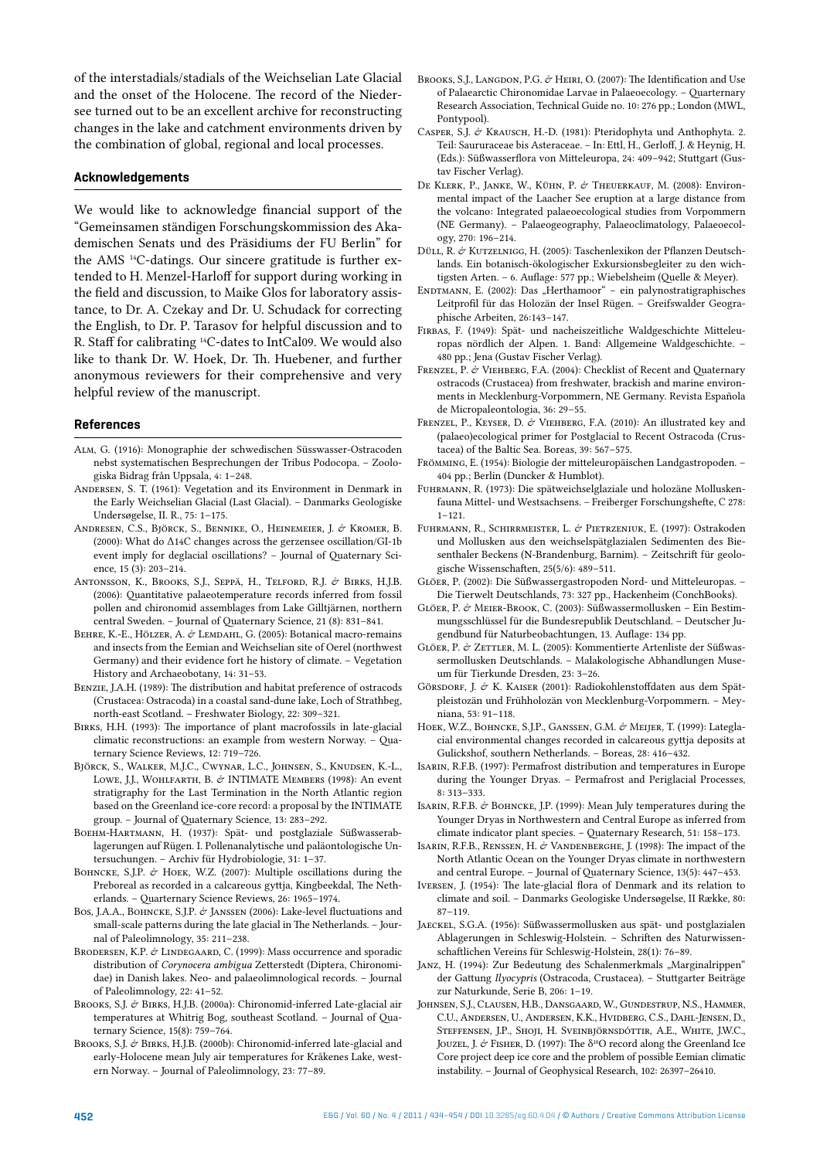of the interstadials/stadials of the Weichselian Late Glacial and the onset of the Holocene. The record of the Niedersee turned out to be an excellent archive for reconstructing changes in the lake and catchment environments driven by the combination of global, regional and local processes.

#### **Acknowledgements**

We would like to acknowledge financial support of the "Gemeinsamen ständigen Forschungskommission des Akademischen Senats und des Präsidiums der FU Berlin" for the AMS 14C-datings. Our sincere gratitude is further extended to H. Menzel-Harloff for support during working in the field and discussion, to Maike Glos for laboratory assistance, to Dr. A. Czekay and Dr. U. Schudack for correcting the English, to Dr. P. Tarasov for helpful discussion and to R. Staff for calibrating 14C-dates to IntCal09. We would also like to thank Dr. W. Hoek, Dr. Th. Huebener, and further anonymous reviewers for their comprehensive and very helpful review of the manuscript.

#### **References**

- Alm, G. (1916): Monographie der schwedischen Süsswasser-Ostracoden nebst systematischen Besprechungen der Tribus Podocopa. – Zoologiska Bidrag från Uppsala, 4: 1–248.
- Andersen, S. T. (1961): Vegetation and its Environment in Denmark in the Early Weichselian Glacial (Last Glacial). – Danmarks Geologiske Undersøgelse, II. R., 75: 1–175.
- ANDRESEN, C.S., BJÖRCK, S., BENNIKE, O., HEINEMEIER, J. & KROMER, B. (2000): What do Δ14C changes across the gerzensee oscillation/GI-1b event imply for deglacial oscillations? – Journal of Quaternary Science, 15 (3): 203–214.
- Antonsson, K., Brooks, S.J., Seppä, H., Telford, R.J. & Birks, H.J.B. (2006): Quantitative palaeotemperature records inferred from fossil pollen and chironomid assemblages from Lake Gilltjärnen, northern central Sweden. – Journal of Quaternary Science, 21 (8): 831–841.
- BEHRE, K.-E., HÖLZER, A. & LEMDAHL, G. (2005): Botanical macro-remains and insects from the Eemian and Weichselian site of Oerel (northwest Germany) and their evidence fort he history of climate. – Vegetation History and Archaeobotany, 14: 31–53.
- Benzie, J.A.H. (1989): The distribution and habitat preference of ostracods (Crustacea: Ostracoda) in a coastal sand-dune lake, Loch of Strathbeg, north-east Scotland. – Freshwater Biology, 22: 309–321.
- Birks, H.H. (1993): The importance of plant macrofossils in late-glacial climatic reconstructions: an example from western Norway. – Quaternary Science Reviews, 12: 719–726.
- Björck, S., Walker, M.J.C., Cwynar, L.C., Johnsen, S., Knudsen, K.-L., LOWE, J.J., WOHLFARTH, B. & INTIMATE MEMBERS (1998): An event stratigraphy for the Last Termination in the North Atlantic region based on the Greenland ice-core record: a proposal by the INTIMATE group. – Journal of Quaternary Science, 13: 283–292.
- Boehm-Hartmann, H. (1937): Spät- und postglaziale Süßwasserablagerungen auf Rügen. I. Pollenanalytische und paläontologische Untersuchungen. – Archiv für Hydrobiologie, 31: 1–37.
- BOHNCKE, S.J.P. & HOEK, W.Z. (2007): Multiple oscillations during the Preboreal as recorded in a calcareous gyttja, Kingbeekdal, The Netherlands. – Quarternary Science Reviews, 26: 1965–1974.
- Bos, J.A.A., BOHNCKE, S.J.P. & JANSSEN (2006): Lake-level fluctuations and small-scale patterns during the late glacial in The Netherlands. – Journal of Paleolimnology, 35: 211–238.
- BRODERSEN, K.P. & LINDEGAARD, C. (1999): Mass occurrence and sporadic distribution of *Corynocera ambigua* Zetterstedt (Diptera, Chironomidae) in Danish lakes. Neo- and palaeolimnological records. – Journal of Paleolimnology, 22: 41–52.
- BROOKS, S.J. & BIRKS, H.J.B. (2000a): Chironomid-inferred Late-glacial air temperatures at Whitrig Bog, southeast Scotland. – Journal of Quaternary Science, 15(8): 759–764.
- BROOKS, S.J. & BIRKS, H.J.B. (2000b): Chironomid-inferred late-glacial and early-Holocene mean July air temperatures for Kråkenes Lake, western Norway. – Journal of Paleolimnology, 23: 77–89.
- BROOKS, S.J., LANGDON, P.G. & HEIRI, O. (2007): The Identification and Use of Palaearctic Chironomidae Larvae in Palaeoecology. – Quarternary Research Association, Technical Guide no. 10: 276 pp.; London (MWL, Pontypool).
- Casper, S.J. & Krausch, H.-D. (1981): Pteridophyta und Anthophyta. 2. Teil: Saururaceae bis Asteraceae. – In: Ettl, H., Gerloff, J. & Heynig, H. (Eds.): Süßwasserflora von Mitteleuropa, 24: 409–942; Stuttgart (Gustav Fischer Verlag).
- De Klerk, P., JANKE, W., KÜHN, P. & THEUERKAUF, M. (2008): Environmental impact of the Laacher See eruption at a large distance from the volcano: Integrated palaeoecological studies from Vorpommern (NE Germany). – Palaeogeography, Palaeoclimatology, Palaeoecology, 270: 196–214.
- Düll, R. & KUTZELNIGG, H. (2005): Taschenlexikon der Pflanzen Deutschlands. Ein botanisch-ökologischer Exkursionsbegleiter zu den wichtigsten Arten. – 6. Auflage: 577 pp.; Wiebelsheim (Quelle & Meyer).
- ENDTMANN, E. (2002): Das "Herthamoor" ein palynostratigraphisches Leitprofil für das Holozän der Insel Rügen. – Greifswalder Geographische Arbeiten, 26:143–147.
- Firbas, F. (1949): Spät- und nacheiszeitliche Waldgeschichte Mitteleuropas nördlich der Alpen. 1. Band: Allgemeine Waldgeschichte. – 480 pp.; Jena (Gustav Fischer Verlag).
- FRENZEL, P. & VIEHBERG, F.A. (2004): Checklist of Recent and Quaternary ostracods (Crustacea) from freshwater, brackish and marine environments in Mecklenburg-Vorpommern, NE Germany. Revista Española de Micropaleontologia, 36: 29–55.
- FRENZEL, P., KEYSER, D. & VIEHBERG, F.A. (2010): An illustrated key and (palaeo)ecological primer for Postglacial to Recent Ostracoda (Crustacea) of the Baltic Sea. Boreas, 39: 567–575.
- Frömming, E. (1954): Biologie der mitteleuropäischen Landgastropoden. 404 pp.; Berlin (Duncker & Humblot).
- Fuhrmann, R. (1973): Die spätweichselglaziale und holozäne Molluskenfauna Mittel- und Westsachsens. – Freiberger Forschungshefte, C 278: 1–121.
- Fuhrmann, R., Schirrmeister, L. & Pietrzeniuk, E. (1997): Ostrakoden und Mollusken aus den weichselspätglazialen Sedimenten des Biesenthaler Beckens (N-Brandenburg, Barnim). – Zeitschrift für geologische Wissenschaften, 25(5/6): 489–511.
- Glöer, P. (2002): Die Süßwassergastropoden Nord- und Mitteleuropas. Die Tierwelt Deutschlands, 73: 327 pp., Hackenheim (ConchBooks).
- Glöer, P. & Meier-Brook, C. (2003): Süßwassermollusken Ein Bestimmungsschlüssel für die Bundesrepublik Deutschland. – Deutscher Jugendbund für Naturbeobachtungen, 13. Auflage: 134 pp.
- GLÖER, P. & ZETTLER, M. L. (2005): Kommentierte Artenliste der Süßwassermollusken Deutschlands. – Malakologische Abhandlungen Museum für Tierkunde Dresden, 23: 3–26.
- Görsdorf, J. & K. KAISER (2001): Radiokohlenstoffdaten aus dem Spätpleistozän und Frühholozän von Mecklenburg-Vorpommern. – Meyniana, 53: 91–118.
- Hoek, W.Z., Bohncke, S.J.P., Ganssen, G.M. & Meijer, T. (1999): Lateglacial environmental changes recorded in calcareous gyttja deposits at Gulickshof, southern Netherlands. – Boreas, 28: 416–432.
- Isarin, R.F.B. (1997): Permafrost distribution and temperatures in Europe during the Younger Dryas. – Permafrost and Periglacial Processes, 8: 313–333.
- Isarin, R.F.B. & Bohncke, J.P. (1999): Mean July temperatures during the Younger Dryas in Northwestern and Central Europe as inferred from climate indicator plant species. – Quaternary Research, 51: 158–173.
- ISARIN, R.F.B., RENSSEN, H. & VANDENBERGHE, J. (1998): The impact of the North Atlantic Ocean on the Younger Dryas climate in northwestern and central Europe. – Journal of Quaternary Science, 13(5): 447–453.
- Iversen, J. (1954): The late-glacial flora of Denmark and its relation to climate and soil. – Danmarks Geologiske Undersøgelse, II Række, 80: 87–119.
- Jaeckel, S.G.A. (1956): Süßwassermollusken aus spät- und postglazialen Ablagerungen in Schleswig-Holstein. – Schriften des Naturwissenschaftlichen Vereins für Schleswig-Holstein, 28(1): 76–89.
- JANZ, H. (1994): Zur Bedeutung des Schalenmerkmals "Marginalrippen" der Gattung *Ilyocypris* (Ostracoda, Crustacea). – Stuttgarter Beiträge zur Naturkunde, Serie B, 206: 1–19.
- Johnsen, S.J., Clausen, H.B., Dansgaard, W., Gundestrup, N.S., Hammer, C.U., Andersen, U., Andersen, K.K., Hvidberg, C.S., Dahl-Jensen, D., Steffensen, J.P., Shoji, H. Sveinbjörnsdóttir, A.E., White, J.W.C., JOUZEL, J. & FISHER, D. (1997): The δ<sup>18</sup>O record along the Greenland Ice Core project deep ice core and the problem of possible Eemian climatic instability. – Journal of Geophysical Research, 102: 26397–26410.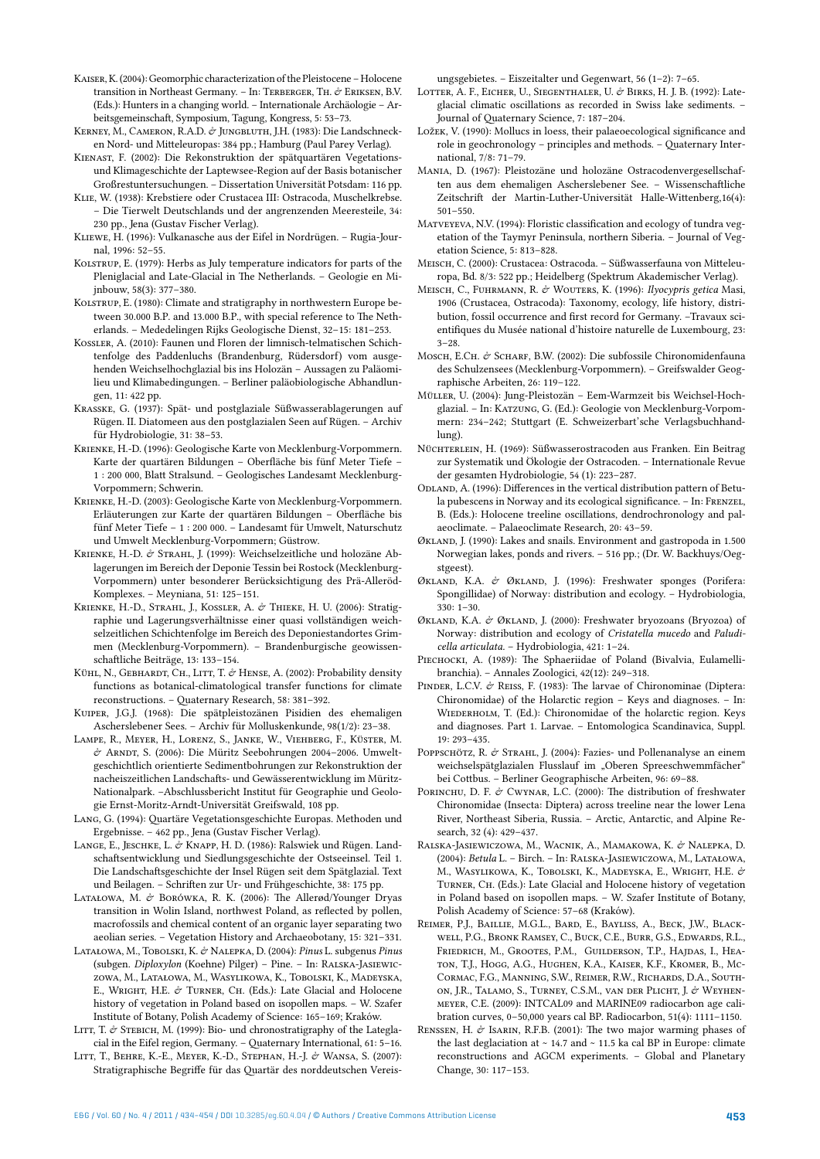- Kaiser, K. (2004): Geomorphic characterization of the Pleistocene Holocene transition in Northeast Germany. – In: TERBERGER, TH.  $\mathcal{O}$  ERIKSEN, B.V. (Eds.): Hunters in a changing world. – Internationale Archäologie – Arbeitsgemeinschaft, Symposium, Tagung, Kongress, 5: 53–73.
- KERNEY, M., CAMERON, R.A.D. & JUNGBLUTH, J.H. (1983): Die Landschnecken Nord- und Mitteleuropas: 384 pp.; Hamburg (Paul Parey Verlag).
- Kienast, F. (2002): Die Rekonstruktion der spätquartären Vegetationsund Klimageschichte der Laptewsee-Region auf der Basis botanischer Großrestuntersuchungen. – Dissertation Universität Potsdam: 116 pp.
- Klie, W. (1938): Krebstiere oder Crustacea III: Ostracoda, Muschelkrebse. – Die Tierwelt Deutschlands und der angrenzenden Meeresteile, 34: 230 pp., Jena (Gustav Fischer Verlag).
- Kliewe, H. (1996): Vulkanasche aus der Eifel in Nordrügen. Rugia-Journal, 1996: 52–55.
- Kolstrup, E. (1979): Herbs as July temperature indicators for parts of the Pleniglacial and Late-Glacial in The Netherlands. – Geologie en Mijnbouw, 58(3): 377–380.
- KOLSTRUP, E. (1980): Climate and stratigraphy in northwestern Europe between 30.000 B.P. and 13.000 B.P., with special reference to The Netherlands. – Mededelingen Rijks Geologische Dienst, 32–15: 181–253.
- Kossler, A. (2010): Faunen und Floren der limnisch-telmatischen Schichtenfolge des Paddenluchs (Brandenburg, Rüdersdorf) vom ausgehenden Weichselhochglazial bis ins Holozän – Aussagen zu Paläomilieu und Klimabedingungen. – Berliner paläobiologische Abhandlungen, 11: 422 pp.
- Krasske, G. (1937): Spät- und postglaziale Süßwasserablagerungen auf Rügen. II. Diatomeen aus den postglazialen Seen auf Rügen. – Archiv für Hydrobiologie, 31: 38–53.
- Krienke, H.-D. (1996): Geologische Karte von Mecklenburg-Vorpommern. Karte der quartären Bildungen – Oberfläche bis fünf Meter Tiefe – 1 : 200 000, Blatt Stralsund. – Geologisches Landesamt Mecklenburg-Vorpommern; Schwerin.
- Krienke, H.-D. (2003): Geologische Karte von Mecklenburg-Vorpommern. Erläuterungen zur Karte der quartären Bildungen – Oberfläche bis fünf Meter Tiefe – 1 : 200 000. – Landesamt für Umwelt, Naturschutz und Umwelt Mecklenburg-Vorpommern; Güstrow.
- KRIENKE, H.-D. & STRAHL, J. (1999): Weichselzeitliche und holozäne Ablagerungen im Bereich der Deponie Tessin bei Rostock (Mecklenburg-Vorpommern) unter besonderer Berücksichtigung des Prä-Alleröd-Komplexes. – Meyniana, 51: 125–151.
- KRIENKE, H.-D., STRAHL, J., KOSSLER, A. & THIEKE, H. U. (2006): Stratigraphie und Lagerungsverhältnisse einer quasi vollständigen weichselzeitlichen Schichtenfolge im Bereich des Deponiestandortes Grimmen (Mecklenburg-Vorpommern). – Brandenburgische geowissenschaftliche Beiträge, 13: 133–154.
- KÜHL, N., GEBHARDT, CH., LITT, T. & HENSE, A. (2002): Probability density functions as botanical-climatological transfer functions for climate reconstructions. – Quaternary Research, 58: 381–392.
- Kuiper, J.G.J. (1968): Die spätpleistozänen Pisidien des ehemaligen Ascherslebener Sees. – Archiv für Molluskenkunde, 98(1/2): 23–38.
- Lampe, R., Meyer, H., Lorenz, S., Janke, W., Viehberg, F., Küster, M. & Arndt, S. (2006): Die Müritz Seebohrungen 2004–2006. Umweltgeschichtlich orientierte Sedimentbohrungen zur Rekonstruktion der nacheiszeitlichen Landschafts- und Gewässerentwicklung im Müritz-Nationalpark. –Abschlussbericht Institut für Geographie und Geologie Ernst-Moritz-Arndt-Universität Greifswald, 108 pp.
- Lang, G. (1994): Quartäre Vegetationsgeschichte Europas. Methoden und Ergebnisse. – 462 pp., Jena (Gustav Fischer Verlag).
- LANGE, E., JESCHKE, L. & KNAPP, H. D. (1986): Ralswiek und Rügen. Landschaftsentwicklung und Siedlungsgeschichte der Ostseeinsel. Teil 1. Die Landschaftsgeschichte der Insel Rügen seit dem Spätglazial. Text und Beilagen. – Schriften zur Ur- und Frühgeschichte, 38: 175 pp.
- LATAŁOWA, M. & BORÓWKA, R. K. (2006): The Allerød/Younger Dryas transition in Wolin Island, northwest Poland, as reflected by pollen, macrofossils and chemical content of an organic layer separating two aeolian series. – Vegetation History and Archaeobotany, 15: 321–331.
- Latałowa, M., Tobolski, K. & Nalepka, D. (2004): *Pinus* L. subgenus *Pinus* (subgen. *Diploxylon* (Koehne) Pilger) – Pine. – In: Ralska-Jasiewiczowa, M., Latałowa, M., Wasylikowa, K., Tobolski, K., Madeyska, E., WRIGHT, H.E. & TURNER, CH. (Eds.): Late Glacial and Holocene history of vegetation in Poland based on isopollen maps. – W. Szafer Institute of Botany, Polish Academy of Science: 165–169; Kraków.
- LITT, T. & STEBICH, M. (1999): Bio- und chronostratigraphy of the Lateglacial in the Eifel region, Germany. – Quaternary International, 61: 5–16.
- LITT, T., BEHRE, K.-E., MEYER, K.-D., STEPHAN, H.-J. & WANSA, S. (2007): Stratigraphische Begriffe für das Quartär des norddeutschen Vereis-

ungsgebietes. – Eiszeitalter und Gegenwart, 56 (1–2): 7–65.

- LOTTER, A. F., EICHER, U., SIEGENTHALER, U. & BIRKS, H. J. B. (1992): Lateglacial climatic oscillations as recorded in Swiss lake sediments. – Journal of Quaternary Science, 7: 187–204.
- Ložek, V. (1990): Mollucs in loess, their palaeoecological significance and role in geochronology – principles and methods. – Quaternary International, 7/8: 71–79.
- Mania, D. (1967): Pleistozäne und holozäne Ostracodenvergesellschaften aus dem ehemaligen Ascherslebener See. – Wissenschaftliche Zeitschrift der Martin-Luther-Universität Halle-Wittenberg,16(4): 501–550.
- Matveyeva, N.V. (1994): Floristic classification and ecology of tundra vegetation of the Taymyr Peninsula, northern Siberia. – Journal of Vegetation Science, 5: 813–828.
- Meisch, C. (2000): Crustacea: Ostracoda. Süßwasserfauna von Mitteleuropa, Bd. 8/3: 522 pp.; Heidelberg (Spektrum Akademischer Verlag).
- Meisch, C., Fuhrmann, R. & Wouters, K. (1996): *Ilyocypris getica* Masi, 1906 (Crustacea, Ostracoda): Taxonomy, ecology, life history, distribution, fossil occurrence and first record for Germany. –Travaux scientifiques du Musée national d'histoire naturelle de Luxembourg, 23: 3–28.
- Mosch, E.Ch. & Scharf, B.W. (2002): Die subfossile Chironomidenfauna des Schulzensees (Mecklenburg-Vorpommern). – Greifswalder Geographische Arbeiten, 26: 119–122.
- Müller, U. (2004): Jung-Pleistozän Eem-Warmzeit bis Weichsel-Hochglazial. – In: Katzung, G. (Ed.): Geologie von Mecklenburg-Vorpommern: 234–242; Stuttgart (E. Schweizerbart'sche Verlagsbuchhandlung).
- Nüchterlein, H. (1969): Süßwasserostracoden aus Franken. Ein Beitrag zur Systematik und Ökologie der Ostracoden. – Internationale Revue der gesamten Hydrobiologie, 54 (1): 223–287.
- ODLAND, A. (1996): Differences in the vertical distribution pattern of Betula pubescens in Norway and its ecological significance. - In: FRENZEL, B. (Eds.): Holocene treeline oscillations, dendrochronology and palaeoclimate. – Palaeoclimate Research, 20: 43–59.
- Økland, J. (1990): Lakes and snails. Environment and gastropoda in 1.500 Norwegian lakes, ponds and rivers. – 516 pp.; (Dr. W. Backhuys/Oegstgeest).
- ØKLAND, K.A. & ØKLAND, J. (1996): Freshwater sponges (Porifera: Spongillidae) of Norway: distribution and ecology. – Hydrobiologia, 330: 1–30.
- Økland, K.A. & Økland, J. (2000): Freshwater bryozoans (Bryozoa) of Norway: distribution and ecology of *Cristatella mucedo* and *Paludicella articulata.* – Hydrobiologia, 421: 1–24.
- PIECHOCKI, A. (1989): The Sphaeriidae of Poland (Bivalvia, Eulamellibranchia). – Annales Zoologici, 42(12): 249–318.
- PINDER, L.C.V. & REISS, F. (1983): The larvae of Chironominae (Diptera: Chironomidae) of the Holarctic region – Keys and diagnoses. – In: WIEDERHOLM, T. (Ed.): Chironomidae of the holarctic region. Keys and diagnoses. Part 1. Larvae. – Entomologica Scandinavica, Suppl. 19: 293–435.
- POPPSCHÖTZ, R. & STRAHL, J. (2004): Fazies- und Pollenanalyse an einem weichselspätglazialen Flusslauf im "Oberen Spreeschwemmfächer" bei Cottbus. – Berliner Geographische Arbeiten, 96: 69–88.
- PORINCHU, D. F. & CWYNAR, L.C. (2000): The distribution of freshwater Chironomidae (Insecta: Diptera) across treeline near the lower Lena River, Northeast Siberia, Russia. – Arctic, Antarctic, and Alpine Research, 32 (4): 429–437.
- RALSKA-JASIEWICZOWA, M., WACNIK, A., MAMAKOWA, K. & NALEPKA, D. (2004): *Betula* L. – Birch. – In: Ralska-Jasiewiczowa, M., Latałowa, M., WASYLIKOWA, K., TOBOLSKI, K., MADEYSKA, E., WRIGHT, H.E. & Turner, Ch. (Eds.): Late Glacial and Holocene history of vegetation in Poland based on isopollen maps. – W. Szafer Institute of Botany, Polish Academy of Science: 57–68 (Kraków).
- Reimer, P.J., Baillie, M.G.L., Bard, E., Bayliss, A., Beck, J.W., Blackwell, P.G., Bronk Ramsey, C., Buck, C.E., Burr, G.S., Edwards, R.L., Friedrich, M., Grootes, P.M., Guilderson, T.P., Hajdas, I., Heaton, T.J., Hogg, A.G., Hughen, K.A., Kaiser, K.F., Kromer, B., Mc-Cormac, F.G., Manning, S.W., Reimer, R.W., Richards, D.A., Southon, J.R., Talamo, S., Turney, C.S.M., van der Plicht, J. & Weyhenmeyer, C.E. (2009): INTCAL09 and MARINE09 radiocarbon age calibration curves, 0–50,000 years cal BP. Radiocarbon, 51(4): 1111–1150.
- RENSSEN, H. & ISARIN, R.F.B. (2001): The two major warming phases of the last deglaciation at  $\sim$  14.7 and  $\sim$  11.5 ka cal BP in Europe: climate reconstructions and AGCM experiments. – Global and Planetary Change, 30: 117–153.